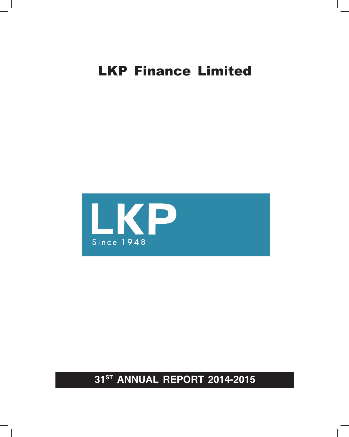

**31ST ANNUAL REPORT 2014-2015**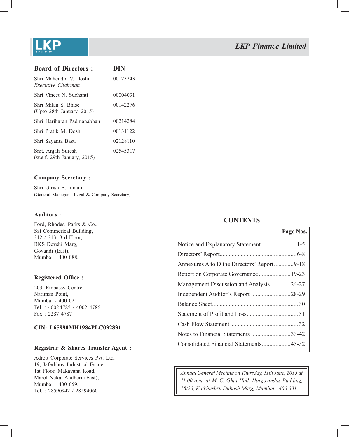

| <b>Board of Directors:</b>                           | DIN      |
|------------------------------------------------------|----------|
| Shri Mahendra V. Doshi<br>Executive Chairman         | 00123243 |
| Shri Vineet N. Suchanti                              | 00004031 |
| Shri Milan S. Bhise<br>(Upto 28th January, 2015)     | 00142276 |
| Shri Hariharan Padmanabhan                           | 00214284 |
| Shri Pratik M Doshi                                  | 00131122 |
| Shri Sayanta Basu                                    | 02128110 |
| Smt. Anjali Suresh<br>(w.e.f. 29th January, $2015$ ) | 02545317 |

#### **Company Secretary :**

Shri Girish B. Innani (General Manager - Legal & Company Secretary)

#### **Auditors :**

Ford, Rhodes, Parks & Co., Sai Commerical Building, 312 / 313, 3rd Floor, BKS Devshi Marg, Govandi (East), Mumbai - 400 088.

#### **Registered Office:**

203, Embassy Centre, Nariman Point, Mumbai - 400 021. Tel. : 4002 4785 / 4002 4786 Fax : 2287 4787

#### **CIN: L65990MH1984PLC032831**

#### **Registrar & Shares Transfer Agent :**

Adroit Corporate Services Pvt. Ltd. 19, Jaferbhoy Industrial Estate, 1st Floor, Makavana Road, Marol Naka, Andheri (East), Mumbai - 400 059. Tel. : 28590942 / 28594060

#### **CONTENTS**

|                                          | Page Nos. |
|------------------------------------------|-----------|
|                                          |           |
|                                          |           |
|                                          |           |
|                                          |           |
| Management Discussion and Analysis 24-27 |           |
|                                          |           |
|                                          |           |
|                                          |           |
|                                          |           |
| Notes to Financial Statements 33-42      |           |
| Consolidated Financial Statements43-52   |           |

*Annual General Meeting on Thursday, 11th June, 2015 at 11.00 a.m. at M. C. Ghia Hall, Hargovindas Building, 18/20, Kaikhushru Dubash Marg, Mumbai - 400 001.*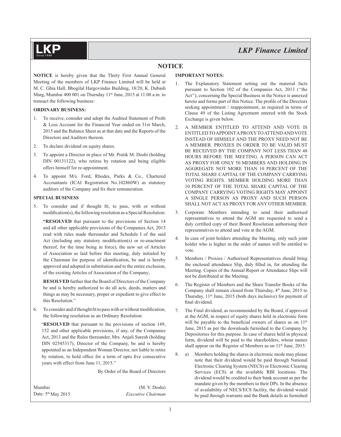

### **NOTICE**

**NOTICE** is hereby given that the Thirty First Annual General Meeting of the members of LKP Finance Limited will be held at M. C. Ghia Hall, Bhogilal Hargovindas Building, 18/20, K. Dubash Marg, Mumbai 400 001 on Thursday 11<sup>th</sup> June, 2015 at 11.00 a.m. to transact the following business:

#### **ORDINARY BUSINESS:**

- 1. To receive, consider and adopt the Audited Statement of Profit & Loss Account for the Financial Year ended on 31st March, 2015 and the Balance Sheet as at that date and the Reports of the Directors and Auditors thereon.
- 2. To declare dividend on equity shares.
- 3. To appoint a Director in place of Mr. Pratik M. Doshi (holding DIN 00131122), who retires by rotation and being eligible offers himself for re-appointment.
- 4. To appoint M/s. Ford, Rhodes, Parks & Co., Chartered Accountants (ICAI Registration No.102860W) as statutory auditors of the Company and fix their remuneration.

#### **SPECIAL BUSINESS**

5. To consider and if thought fit, to pass, with or without modification(s), the following resolution as a Special Resolution:

**"RESOLVED** that pursuant to the provisions of Section 14 and all other applicable provisions of the Companies Act, 2013 read with rules made thereunder and Schedule I of the said Act (including any statutory modification(s) or re-enactment thereof, for the time being in force), the new set of Articles of Association as laid before this meeting, duly initialed by the Chairman for purpose of identification, be and is hereby approved and adopted in substitution and to the entire exclusion, of the existing Articles of Association of the Company;

**RESOLVED** further that the Board of Directors of the Company be and is hereby authorized to do all acts, deeds, matters and things as may be necessary, proper or expedient to give effect to this Resolution."

6. To consider and if thought fit to pass with or without modification, the following resolution as an Ordinary Resolution:

"**RESOLVED** that pursuant to the provisions of section 149, 152 and other applicable provisions, if any, of the Companies Act, 2013 and the Rules thereunder, Mrs. Anjali Suresh (holding DIN 02545317), Director of the Company, be and is hereby appointed as an Independent Woman Director, not liable to retire by rotation, to hold office for a term of upto five consecutive years with effect from June 11, 2015."

By Order of the Board of Directors

| Mumbai |                                |  |
|--------|--------------------------------|--|
|        | Date: 5 <sup>th</sup> May 2015 |  |

(M. V. Doshi) Date: 5th May 2015 *Executive Chairman*

#### **IMPORTANT NOTES:**

- The Explanatory Statement setting out the material facts pursuant to Section 102 of the Companies Act, 2013 (''the Act''), concerning the Special Business in the Notice is annexed hereto and forms part of this Notice. The profile of the Directors seeking appointment / reappointment, as required in terms of Clause 49 of the Listing Agreement entered with the Stock Exchange is given below.
- 2. A MEMBER ENTITLED TO ATTEND AND VOTE IS ENTITLED TO APPOINT A PROXY TO ATTEND AND VOTE INSTEAD OF HIMSELF AND THE PROXY NEED NOT BE A MEMBER. PROXIES IN ORDER TO BE VALID MUST BE RECEIVED BY THE COMPANY NOT LESS THAN 48 HOURS BEFORE THE MEETING. A PERSON CAN ACT AS PROXY FOR ONLY 50 MEMBERS AND HOLDING IN AGGREGATE NOT MORE THAN 10 PERCENT OF THE TOTAL SHARE CAPITAL OF THE COMPANY CARRYING VOTING RIGHTS. MEMBER HOLDING MORE THAN 10 PERCENT OF THE TOTAL SHARE CAPITAL OF THE COMPANY CARRYING VOTING RIGHTS MAY APPOINT A SINGLE PERSON AS PROXY AND SUCH PERSON SHALL NOT ACT AS PROXY FOR ANY OTHER MEMBER.
- 3. Corporate Members intending to send their authorised representatives to attend the AGM are requested to send a duly certified copy of their Board Resolution authorising their representatives to attend and vote at the AGM.
- 4. In case of joint holders attending the Meeting, only such joint holder who is higher in the order of names will be entitled to vote.
- 5. Members / Proxies / Authorised Representatives should bring the enclosed attendance Slip, duly filled in, for attending the Meeting. Copies of the Annual Report or Attendance Slips will not be distributed at the Meeting.
- 6. The Register of Members and the Share Transfer Books of the Company shall remain closed from Thursday, 4<sup>th</sup> June, 2015 to Thursday, 11<sup>th</sup> June, 2015 (both days inclusive) for payment of final dividend.
- 7. The Final dividend, as recommended by the Board, if approved at the AGM, in respect of equity shares held in electronic form will be payable to the beneficial owners of shares as on 11<sup>th</sup> June, 2015 as per the downloads furnished to the Company by Depositories for this purpose. In case of shares held in physical form, dividend will be paid to the shareholders, whose names shall appear on the Register of Members as on  $11<sup>th</sup>$  June, 2015.
- 8. a) Members holding the shares in electronic mode may please note that their dividend would be paid through National Electronic Clearing System (NECS) or Electronic Clearing Services (ECS) at the available RBI locations. The dividend would be credited to their bank account as per the mandate given by the members to their DPs. In the absence of availability of NECS/ECS facility, the dividend would be paid through warrants and the Bank details as furnished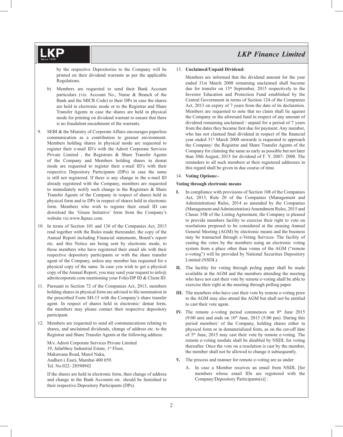by the respective Depositories to the Company will be printed on their dividend warrants as per the applicable Regulations.

- b) Members are requested to send their Bank Account particulars (viz. Account No., Name & Branch of the Bank and the MICR Code) to their DPs in case the shares are held in electronic mode or to the Registrar and Share Transfer Agents in case the shares are held in physical mode for printing on dividend warrant to ensure that there is no fraudulent encashment of the warrants.
- 9. SEBI & the Ministry of Corporate Affairs encourages paperless communication as a contribution to greener environment. Members holding shares in physical mode are requested to register their e-mail ID's with the Adroit Corporate Services Private Limited , the Registrars & Share Transfer Agents of the Company and Members holding shares in demat mode are requested to register their e-mail ID's with their respective Depository Participants (DPs) in case the same is still not registered. If there is any change in the e-mail ID already registered with the Company, members are requested to immediately notify such change to the Registrars & Share Transfer Agents of the Company in respect of shares held in physical form and to DPs in respect of shares held in electronic form. Members who wish to register their email ID can download the 'Green Initiative' form from the Company's website viz.www.lkpsec.com.
- 10. In terms of Section 101 and 136 of the Companies Act, 2013 read together with the Rules made thereunder, the copy of the Annual Report including Financial statements, Board's report etc. and this Notice are being sent by electronic mode, to those members who have registered their email ids with their respective depository participants or with the share transfer agent of the Company, unless any member has requested for a physical copy of the same. In case you wish to get a physical copy of the Annual Report, you may send your request to info@ adroitcorporate.com mentioning your Folio/DP ID & Client ID.
- 11. Pursuant to Section 72 of the Companies Act, 2013, members holding shares in physical form are advised to file nomination in the prescribed Form SH-13 with the Company's share transfer agent. In respect of shares held in electronic/ demat form, the members may please contact their respective depository participant.
- 12. Members are requested to send all communications relating to shares, and unclaimed dividends, change of address etc. to the Registrar and Share Transfer Agents at the following address:

 M/s. Adroit Corporate Services Private Limited 19, Jafarbhoy Industrial Estate, 1st Floor, Makawana Road, Marol Naka, Andheri ( East), Mumbai 400 059. Tel. No.022- 28590942

 If the shares are held in electronic form, then change of address and change in the Bank Accounts etc. should be furnished to their respective Depository Participants (DPs).

#### 13. **Unclaimed/Unpaid Dividend:**

 Members are informed that the dividend amount for the year ended 31st March 2008 remaining unclaimed shall become due for transfer on 13th September, 2015 respectively to the Investor Education and Protection Fund established by the Central Government in terms of Section 124 of the Companies Act, 2013 on expiry of 7 years from the date of its declaration. Members are requested to note that no claim shall lie against the Company or the aforesaid fund in respect of any amount of dividend remaining unclaimed / unpaid for a period of 7 years from the dates they became first due for payment. Any member, who has not claimed final dividend in respect of the financial year ended 31<sup>st</sup> March 2008 onwards is requested to approach the Company/ the Registrar and Share Transfer Agents of the Company for claiming the same as early as possible but not later than 30th August, 2015 for dividend of F. Y. 2007- 2008. The reminders to all such members at their registered addresses in this regard shall be given in due course of time.

#### 14. **Voting Options:-**

#### **Voting through electronic means**

- **I.** In compliance with provisions of Section 108 of the Companies Act, 2013, Rule 20 of the Companies (Management and Administration) Rules, 2014 as amended by the Companies (Management and Administration) Amendment Rules, 2015 and Clause 35B of the Listing Agreement, the Company is pleased to provide members facility to exercise their right to vote on resolutions proposed to be considered at the ensuing Annual General Meeting (AGM) by electronic means and the business may be transacted through e-Voting Services. The facility of casting the votes by the members using an electronic voting system from a place other than venue of the AGM ("remote e-voting") will be provided by National Securities Depository Limited (NSDL).
- **II.** The facility for voting through poling paper shall be made available at the AGM and the members attending the meeting who have not cast their vote by remote e-voting shall be able to exercise their right at the meeting through polling paper.
- **III.** The members who have cast their vote by remote e-voting prior to the AGM may also attend the AGM but shall not be entitled to cast their vote again.
- IV. The remote e-voting period commences on 8<sup>th</sup> June 2015  $(9:00)$  am) and ends on  $10<sup>th</sup>$  June, 2015 (5:00 pm). During this period members' of the Company, holding shares either in physical form or in dematerialized form, as on the cut-off date of 5th June, 2015 may cast their vote by remote e-voting. The remote e-voting module shall be disabled by NSDL for voting thereafter. Once the vote on a resolution is cast by the member, the member shall not be allowed to change it subsequently.
- **V.** The process and manner for remote e-voting are as under:
	- A. In case a Member receives an email from NSDL [for members whose email IDs are registered with the Company/Depository Participants(s)] :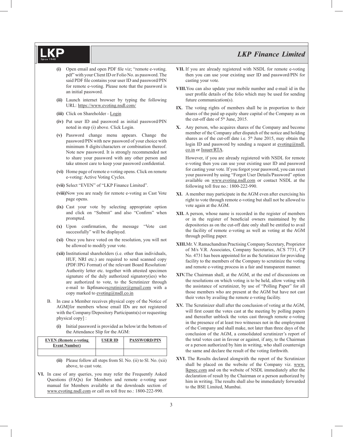- **(i)** Open email and open PDF file viz; "remote e-voting. pdf" with your Client ID or Folio No. as password. The said PDF file contains your user ID and password/PIN for remote e-voting. Please note that the password is an initial password.
- **(ii)** Launch internet browser by typing the following URL: https://www.evoting.nsdl.com/
- **(iii)** Click on Shareholder Login
- **(iv)** Put user ID and password as initial password/PIN noted in step (i) above. Click Login.
- **(v)** Password change menu appears. Change the password/PIN with new password of your choice with minimum 8 digits/characters or combination thereof. Note new password. It is strongly recommended not to share your password with any other person and take utmost care to keep your password confidential.
- **(vi)** Home page of remote e-voting opens. Click on remote e-voting: Active Voting Cycles.
- **(vii)** Select "EVEN" of "LKP Finance Limited".
- **(viii)** Now you are ready for remote e-voting as Cast Vote page opens.
- **(ix)** Cast your vote by selecting appropriate option and click on "Submit" and also "Confirm" when prompted.
- (x) Upon confirmation, the message "Vote cast successfully" will be displayed.
- **(xi)** Once you have voted on the resolution, you will not be allowed to modify your vote.
- **(xii)** Institutional shareholders (i.e. other than individuals, HUF, NRI etc.) are required to send scanned copy (PDF/JPG Format) of the relevant Board Resolution/ Authority letter etc. together with attested specimen signature of the duly authorized signatory(ies) who are authorized to vote, to the Scrutinizer through e-mail to lkpfinancescrutinizer@gmail.com with a copy marked to evoting@nsdl.co.in
- B. In case a Member receives physical copy of the Notice of AGM[for members whose email IDs are not registered with the Company/Depository Participants(s) or requesting physical copy] :
	- **(i)** Initial password is provided as below/at the bottom of the Attendance Slip for the AGM:

| <b>EVEN</b> (Remote e-voting<br><b>Event Number</b> ) | <b>USER ID</b> | <b>PASSWORD/PIN</b> |
|-------------------------------------------------------|----------------|---------------------|
|                                                       |                |                     |

**(ii)** Please follow all steps from Sl. No. (ii) to Sl. No. (xii) above, to cast vote.

**VI.** In case of any queries, you may refer the Frequently Asked Questions (FAQs) for Members and remote e-voting user manual for Members available at the downloads section of www.evoting.nsdl.com or call on toll free no.: 1800-222-990.

- **VII.** If you are already registered with NSDL for remote e-voting then you can use your existing user ID and password/PIN for casting your vote.
- **VIII.**You can also update your mobile number and e-mail id in the user profile details of the folio which may be used for sending future communication(s).
- **IX.** The voting rights of members shall be in proportion to their shares of the paid up equity share capital of the Company as on the cut-off date of 5<sup>th</sup> June, 2015.
- **X.** Any person, who acquires shares of the Company and become member of the Company after dispatch of the notice and holding shares as of the cut-off date i.e.  $5<sup>th</sup>$  June 2015, may obtain the login ID and password by sending a request at evoting@nsdl. co.in or Issuer/RTA.

 However, if you are already registered with NSDL for remote e-voting then you can use your existing user ID and password for casting your vote. If you forgot your password, you can reset your password by using "Forgot User Details/Password" option available on www.evoting.nsdl.com or contact NSDL at the following toll free no.: 1800-222-990.

- **XI.** A member may participate in the AGM even after exercising his right to vote through remote e-voting but shall not be allowed to vote again at the AGM.
- **XII.** A person, whose name is recorded in the register of members or in the register of beneficial owners maintained by the depositories as on the cut-off date only shall be entitled to avail the facility of remote e-voting as well as voting at the AGM through polling paper.
- **XIII.**Mr. V. Ramachandran Practising Company Secretary, Proprietor of M/s V.R. Associates, Company Secretaries, ACS 7731, CP No. 4731 has been appointed for as the Scrutinizer for providing facility to the members of the Company to scrutinize the voting and remote e-voting process in a fair and transparent manner.
- **XIV.** The Chairman shall, at the AGM, at the end of discussions on the resolutions on which voting is to be held, allow voting with the assistance of scrutinizer, by use of "Polling Paper" for all those members who are present at the AGM but have not cast their votes by availing the remote e-voting facility.
- **XV.** The Scrutinizer shall after the conclusion of voting at the AGM, will first count the votes cast at the meeting by polling papers and thereafter unblock the votes cast through remote e-voting in the presence of at least two witnesses not in the employment of the Company and shall make, not later than three days of the conclusion of the AGM, a consolidated scrutinizer's report of the total votes cast in favour or against, if any, to the Chairman or a person authorized by him in writing, who shall countersign the same and declare the result of the voting forthwith.
- **XVI.** The Results declared alongwith the report of the Scrutinizer shall be placed on the website of the Company viz. www. lkpsec.com and on the website of NSDL immediately after the declaration of result by the Chairman or a person authorized by him in writing. The results shall also be immediately forwarded to the BSE Limited, Mumbai.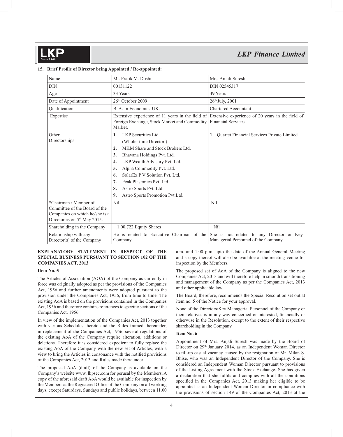| Name                                                                                                                                 | Mr. Pratik M. Doshi                                                                                                                                                                                                                                                                                                                                                            | Mrs. Anjali Suresh                                                                |
|--------------------------------------------------------------------------------------------------------------------------------------|--------------------------------------------------------------------------------------------------------------------------------------------------------------------------------------------------------------------------------------------------------------------------------------------------------------------------------------------------------------------------------|-----------------------------------------------------------------------------------|
| <b>DIN</b>                                                                                                                           | 00131122                                                                                                                                                                                                                                                                                                                                                                       | DIN 02545317                                                                      |
| Age                                                                                                                                  | 33 Years                                                                                                                                                                                                                                                                                                                                                                       | 49 Years                                                                          |
| Date of Appointment                                                                                                                  | 2.6 <sup>th</sup> October 2009                                                                                                                                                                                                                                                                                                                                                 | 26th July, 2001                                                                   |
| Qualification                                                                                                                        | B. A. In Economics-UK.                                                                                                                                                                                                                                                                                                                                                         | <b>Chartered Accountant</b>                                                       |
| Expertise                                                                                                                            | Extensive experience of 11 years in the field of<br>Foreign Exchange, Stock Market and Commodity<br>Market.                                                                                                                                                                                                                                                                    | Extensive experience of 20 years in the field of<br>Financial Services.           |
| Other<br>Directorships                                                                                                               | LKP Securities Ltd.<br>1.<br>(Whole-time Director)<br>MKM Share and Stock Brokers Ltd.<br>2.<br>3.<br>Bhavana Holdings Pvt. Ltd.<br>LKP Wealth Advisory Pvt. Ltd.<br>$\boldsymbol{4}$ .<br>Alpha Commodity Pvt. Ltd.<br>5.<br>SolarEx P V Solution Pvt. Ltd.<br>6.<br>7.<br>Peak Plastonics Pvt. Ltd.<br>8.<br>Astro Sports Pvt. Ltd.<br>Astro Sports Promotion Pvt.Ltd.<br>9. | 1. Ouartet Financial Services Private Limited                                     |
| *Chairman / Member of<br>Committee of the Board of the<br>Companies on which he/she is a<br>Director as on 5 <sup>th</sup> May 2015. | Nil                                                                                                                                                                                                                                                                                                                                                                            | Nil                                                                               |
| Shareholding in the Company                                                                                                          | 1,00,722 Equity Shares                                                                                                                                                                                                                                                                                                                                                         | Nil                                                                               |
| Relationship with any<br>Director(s) of the Company                                                                                  | He is related to Executive Chairman of the<br>Company.                                                                                                                                                                                                                                                                                                                         | She is not related to any Director or Key<br>Managerial Personnel of the Company. |

#### 15. Brief Profile of Director being Appointed / Re-appointed:

#### **EXPLANATORY STATEMENT IN RESPECT OF THE SPECIAL BUSINESS PURSUANT TO SECTION 102 OF THE COMPANIES ACT, 2013**

#### **Item No. 5**

The Articles of Association (AOA) of the Company as currently in force was originally adopted as per the provisions of the Companies Act, 1956 and further amendments were adopted pursuant to the provision under the Companies Act, 1956, from time to time. The existing AoA is based on the provisions contained in the Companies Act, 1956 and therefore contains references to specific sections of the Companies Act, 1956.

In view of the implementation of the Companies Act, 2013 together with various Schedules thereto and the Rules framed thereunder, in replacement of the Companies Act, 1956, several regulations of the existing AoA of the Company require alteration, additions or deletions. Therefore it is considered expedient to fully replace the existing AoA of the Company with the new set of Articles, with a view to bring the Articles in consonance with the notified provisions of the Companies Act, 2013 and Rules made thereunder.

The proposed AoA (draft) of the Company is available on the Company's website www. lkpsec.com for perusal by the Members. A copy of the aforesaid draft AoA would be available for inspection by the Members at the Registered Office of the Company on all working days, except Saturdays, Sundays and public holidays, between 11.00

a.m. and 1.00 p.m. upto the date of the Annual General Meeting and a copy thereof will also be available at the meeting venue for inspection by the Members.

The proposed set of AoA of the Company is aligned to the new Companies Act, 2013 and will therefore help in smooth transitioning and management of the Company as per the Companies Act, 2013 and other applicable law.

The Board, therefore, recommends the Special Resolution set out at item no. 5 of the Notice for your approval.

None of the Directors/Key Managerial Personnel of the Company or their relatives is in any way concerned or interested, financially or otherwise in the Resolution, except to the extent of their respective shareholding in the Company

#### **Item No. 6**

Appointment of Mrs. Anjali Suresh was made by the Board of Director on 29<sup>th</sup> January 2014, as an Independent Woman Director to fill-up casual vacancy caused by the resignation of Mr. Milan S. Bhise, who was an Independent Director of the Company. She is considered an Independent Woman Director pursuant to provisions of the Listing Agreement with the Stock Exchange. She has given a declaration that she fulfils and complies with all the conditions specified in the Companies Act, 2013 making her eligible to be appointed as an Independent Woman Director in compliance with the provisions of section 149 of the Companies Act, 2013 at the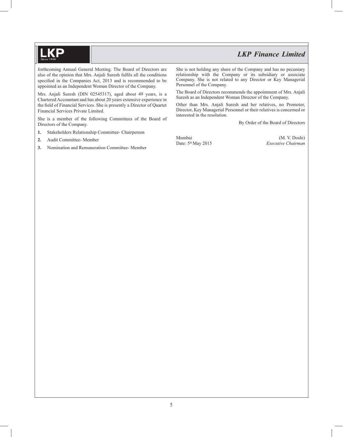forthcoming Annual General Meeting. The Board of Directors are also of the opinion that Mrs. Anjali Suresh fulfils all the conditions specified in the Companies Act, 2013 and is recommended to be appointed as an Independent Woman Director of the Company.

Mrs. Anjali Suresh (DIN 02545317), aged about 49 years, is a Chartered Accountant and has about 20 years extensive experience in the field of Financial Services. She is presently a Director of Quartet Financial Services Private Limited.

She is a member of the following Committees of the Board of Directors of the Company.

- **1.** Stakeholders Relationship Committee- Chairperson
- **2.** Audit Committee- Member
- **3.** Nomination and Remuneration Committee- Member

She is not holding any share of the Company and has no pecuniary relationship with the Company or its subsidiary or associate Company. She is not related to any Director or Key Managerial Personnel of the Company.

The Board of Directors recommends the appointment of Mrs. Anjali Suresh as an Independent Woman Director of the Company.

Other than Mrs. Anjali Suresh and her relatives, no Promoter, Director, Key Managerial Personnel or their relatives is concerned or interested in the resolution.

By Order of the Board of Directors

Mumbai (M. V. Doshi) Date: 5th May 2015 *Executive Chairman*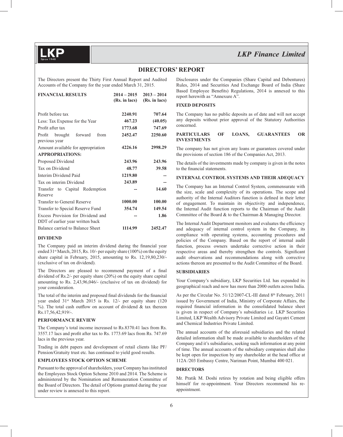#### **DIRECTORS' REPORT**

The Directors present the Thirty First Annual Report and Audited Accounts of the Company for the year ended March 31, 2015.

| <b>FINANCIAL RESULTS</b>                                              | $2014 - 2015$ | $2013 - 2014$ |
|-----------------------------------------------------------------------|---------------|---------------|
|                                                                       | (Rs. in lacs) | (Rs. in lacs) |
| Profit before tax                                                     | 2240.91       | 707.64        |
| Less: Tax Expense for the Year                                        | 467.23        | (40.05)       |
| Profit after tax                                                      | 1773.68       | 747.69        |
| Profit<br>brought<br>forward<br>from                                  | 2452.47       | 2250.60       |
| previous year                                                         |               |               |
| Amount available for appropriation                                    | 4226.16       | 2998.29       |
| <b>APPROPRIATIONS:</b>                                                |               |               |
| Proposed Dividend                                                     | 243.96        | 243.96        |
| Tax on Dividend                                                       | 48.77         | 39.58         |
| Interim Dividend Paid                                                 | 1219.80       |               |
| Tax on interim Dividend                                               | 243.89        | --            |
| Transfer to Capital Redemption<br>Reserve                             |               | 14.60         |
| Transfer to General Reserve                                           | 1000.00       | 100.00        |
| Transfer to Special Reserve Fund                                      | 354.74        | 149.54        |
| Excess Provision for Dividend and<br>DDT of earlier year written back |               | 1.86          |
| Balance carried to Balance Sheet                                      | 1114.99       | 2452.47       |

#### **DIVIDEND**

The Company paid an interim dividend during the financial year ended 31<sup>st</sup> March, 2015, Rs. 10/- per equity share (100%) on the equity share capital in February, 2015, amounting to Rs. 12,19,80,230/- (exclusive of tax on dividend).

The Directors are pleased to recommend payment of a final dividend of Rs.2/- per equity share (20%) on the equity share capital amounting to Rs. 2,43,96,046/- (exclusive of tax on dividend) for your consideration.

The total of the interim and proposed final dividends for the financial year ended 31<sup>st</sup> March 2015 is Rs. 12/- per equity share (120) %). The total cash outflow on account of dividend  $&$  tax thereon Rs.17,56,42,919/-.

#### **PERFORMANCE REVIEW**

The Company's total income increased to Rs.8370.41 lacs from Rs. 3557.17 lacs and profit after tax to Rs. 1773.69 lacs from Rs. 747.69 lacs in the previous year.

Trading in debt papers and development of retail clients like PF/ Pension/Gratuity trust etc. has continued to yield good results.

#### **EMPLOYEES STOCK OPTION SCHEME**

Pursuant to the approval of shareholders, your Company has instituted the Employees Stock Option Scheme 2010 and 2014. The Scheme is administered by the Nomination and Remuneration Committee of the Board of Directors. The detail of Options granted during the year under review is annexed to this report.

Disclosures under the Companies (Share Capital and Debentures) Rules, 2014 and Securities And Exchange Board of India (Share Based Employee Benefits) Regulations, 2014 is annexed to this report herewith as "Annexure A".

#### **FIXED DEPOSITS**

The Company has no public deposits as of date and will not accept any deposits without prior approval of the Statutory Authorities concerned.

#### **PARTICULARS OF LOANS, GUARANTEES OR INVESTMENTS**

The company has not given any loans or guarantees covered under the provisions of section 186 of the Companies Act, 2013.

The details of the investments made by company is given in the notes to the financial statements.

#### **INTERNAL CONTROL SYSTEMS AND THEIR ADEQUACY**

The Company has an Internal Control System, commensurate with the size, scale and complexity of its operations. The scope and authority of the Internal Auditors function is defined in their letter of engagement. To maintain its objectivity and independence, the Internal Audit function reports to the Chairman of the Audit Committee of the Board & to the Chairman & Managing Director.

The Internal Audit Department monitors and evaluates the efficiency and adequacy of internal control system in the Company, its compliance with operating systems, accounting procedures and policies of the Company. Based on the report of internal audit function, process owners undertake corrective action in their respective areas and thereby strengthen the controls. Significant audit observations and recommendations along with corrective actions thereon are presented to the Audit Committee of the Board.

#### **SUBSIDIARIES**

Your Company's subsidiary, LKP Securities Ltd. has expanded its geographical reach and now has more than 2000 outlets across India.

As per the Circular No. 51/12/2007-CL-III dated 8<sup>th</sup> February, 2011 issued by Government of India, Ministry of Corporate Affairs, the required financial information in the consolidated balance sheet is given in respect of Company's subsidiaries i.e. LKP Securities Limited, LKP Wealth Advisory Private Limited and Gayatri Cement and Chemical Industries Private Limited.

The annual accounts of the aforesaid subsidiaries and the related detailed information shall be made available to shareholders of the Company and it's subsidiaries, seeking such information at any point of time. The annual accounts of the subsidiary companies shall also be kept open for inspection by any shareholder at the head office at 112A /203 Embassy Centre, Nariman Point, Mumbai 400 021.

#### **DIRECTORS**

Mr. Pratik M. Doshi retires by rotation and being eligible offers himself for re-appointment. Your Directors recommend his reappointment.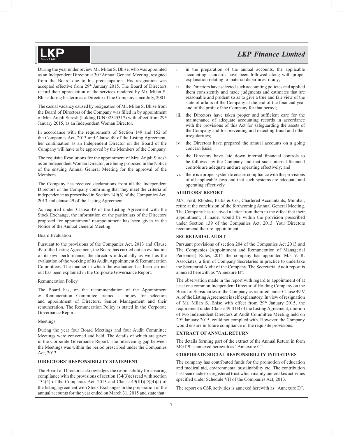During the year under review Mr. Milan S. Bhise, who was appointed as an Independent Director at 30<sup>th</sup> Annual General Meeting, resigned from the Board due to his preoccupation. His resignation was accepted effective from 29<sup>th</sup> January 2015. The Board of Directors record their appreciation of the services rendered by Mr. Milan S. Bhise during his term as a Director of the Company since July, 2001.

The casual vacancy caused by resignation of Mr. Milan S. Bhise from the Board of Directors of the Company was filled in by appointment of Mrs. Anjali Suresh (holding DIN 02545317) with effect from 29<sup>th</sup> January 2015, as an Independent Woman Director.

In accordance with the requirements of Section 149 and 152 of the Companies Act, 2013 and Clause 49 of the Listing Agreement, her continuation as an Independent Director on the Board of the Company will have to be approved by the Members of the Company.

The requisite Resolutions for the appointment of Mrs. Anjali Suresh as an Independent Woman Director, are being proposed in the Notice of the ensuing Annual General Meeting for the approval of the Members.

The Company has received declarations from all the Independent Directors of the Company confirming that they meet the criteria of independence as prescribed in Section 149(6) of the Companies Act, 2013 and clause 49 of the Listing Agreement.

As required under Clause 49 of the Listing Agreement with the Stock Exchange, the information on the particulars of the Directors proposed for appointment/ re-appointment has been given in the Notice of the Annual General Meeting.

#### Board Evaluation

Pursuant to the provisions of the Companies Act, 2013 and Clause 49 of the Listing Agreement, the Board has carried out an evaluation of its own performance, the directors individually as well as the evaluation of the working of its Audit, Appointment & Remuneration Committees. The manner in which the evaluation has been carried out has been explained in the Corporate Governance Report.

#### Remuneration Policy

The Board has, on the recommendation of the Appointment & Remuneration Committee framed a policy for selection and appointment of Directors, Senior Management and their remuneration. The Remuneration Policy is stated in the Corporate Governance Report.

#### Meetings

During the year four Board Meetings and four Audit Committee Meetings were convened and held. The details of which are given in the Corporate Governance Report. The intervening gap between the Meetings was within the period prescribed under the Companies Act, 2013.

#### **DIRECTORS' RESPONSIBILITY STATEMENT**

The Board of Directors acknowledges the responsibility for ensuring compliance with the provisions of section 134(3)(c) read with section 134(5) of the Companies Act, 2013 and Clause  $49(III)(D)(4)(a)$  of the listing agreement with Stock Exchanges in the preparation of the annual accounts for the year ended on March 31, 2015 and state that :

- i. in the preparation of the annual accounts, the applicable accounting standards have been followed along with proper explanation relating to material departures, if any;
- ii. the Directors have selected such accounting policies and applied them consistently and made judgments and estimates that are reasonable and prudent so as to give a true and fair view of the state of affairs of the Company at the end of the financial year and of the profit of the Company for that period;
- iii. the Directors have taken proper and sufficient care for the maintenance of adequate accounting records in accordance with the provisions of this Act for safeguarding the assets of the Company and for preventing and detecting fraud and other irregularities;
- iv. the Directors have prepared the annual accounts on a going concern basis;
- v. the Directors have laid down internal financial controls to be followed by the Company and that such internal financial controls are adequate and are operating effectively; and
- vi. there is a proper system to ensure compliance with the provisions of all applicable laws and that such systems are adequate and operating effectively.

#### **AUDITORS' REPORT**

M/s. Ford, Rhodes, Parks & Co., Chartered Accountants, Mumbai, retire at the conclusion of the forthcoming Annual General Meeting. The Company has received a letter from them to the effect that their appointment, if made, would be within the provision prescribed under Section 139 of the Companies Act, 2013. Your Directors recommend their re-appointment.

#### **SECRETARIAL AUDIT**

Pursuant provisions of section 204 of the Companies Act 2013 and The Companies (Appointment and Remuneration of Managerial Personnel) Rules, 2014 the company has appointed M/s V. R. Associates, a firm of Company Secretaries in practice to undertake the Secretarial Audit of the Company. The Secretarial Audit report is annexed herewith as "Annexure B".

The observation made in the report with regard to appointment of at least one common Independent Director of Holding Company on the Board of Subsidiaries of the Company as required under Clause 49 V A, of the Listing Agreement is self explanatory. In view of resignation of Mr. Milan S. Bhise with effect from 29th January 2015, the requirement under Clause 49 III B of the Listing Agreement, quorum of two Independent Directors at Audit Committee Meeting held on 29th January 2015, could not complied with. However, the Company would ensure in future compliance of the requisite provisions.

#### **EXTRACT OF ANNUAL RETURN**

The details forming part of the extract of the Annual Return in form MGT-9 is annexed herewith as "Annexure C".

#### **CORPORATE SOCIAL RESPONSIBILITY INITIATIVES**

The company has contributed funds for the promotion of education and medical aid, environmental sustainability etc. The contribution has been made to a registered trust which mainly undertakes activities specified under Schedule VII of the Companies Act, 2013.

The report on CSR activities is annexed herewith as "Annexure D".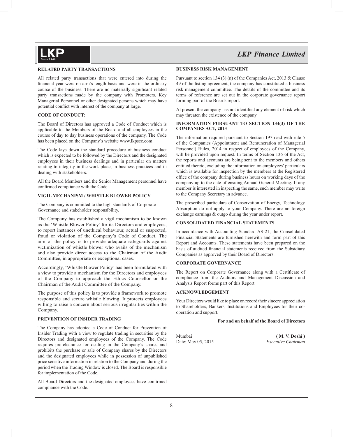

#### **RELATED PARTY TRANSACTIONS**

All related party transactions that were entered into during the financial year were on arm's length basis and were in the ordinary course of the business. There are no materially significant related party transactions made by the company with Promoters, Key Managerial Personnel or other designated persons which may have potential conflict with interest of the company at large.

#### **CODE OF CONDUCT:**

The Board of Directors has approved a Code of Conduct which is applicable to the Members of the Board and all employees in the course of day to day business operations of the company. The Code has been placed on the Company's website www.lkpsec.com

The Code lays down the standard procedure of business conduct which is expected to be followed by the Directors and the designated employees in their business dealings and in particular on matters relating to integrity in the work place, in business practices and in dealing with stakeholders.

All the Board Members and the Senior Management personnel have confirmed compliance with the Code.

#### **VIGIL MECHANISM / WHISTLE BLOWER POLICY**

The Company is committed to the high standards of Corporate Governance and stakeholder responsibility.

The Company has established a vigil mechanism to be known as the 'Whistle Blower Policy' for its Directors and employees, to report instances of unethical behaviour, actual or suspected, fraud or violation of the Company's Code of Conduct. The aim of the policy is to provide adequate safeguards against victimization of whistle blower who avails of the mechanism and also provide direct access to the Chairman of the Audit Committee, in appropriate or exceptional cases.

Accordingly, 'Whistle Blower Policy' has been formulated with a view to provide a mechanism for the Directors and employees of the Company to approach the Ethics Counsellor or the Chairman of the Audit Committee of the Company.

The purpose of this policy is to provide a framework to promote responsible and secure whistle blowing. It protects employees willing to raise a concern about serious irregularities within the Company.

#### **PREVENTION OF INSIDER TRADING**

The Company has adopted a Code of Conduct for Prevention of Insider Trading with a view to regulate trading in securities by the Directors and designated employees of the Company. The Code requires pre-clearance for dealing in the Company's shares and prohibits the purchase or sale of Company shares by the Directors and the designated employees while in possession of unpublished price sensitive information in relation to the Company and during the period when the Trading Window is closed. The Board is responsible for implementation of the Code.

All Board Directors and the designated employees have confirmed compliance with the Code.

#### **BUSINESS RISK MANAGEMENT**

Pursuant to section 134 (3) (n) of the Companies Act, 2013 & Clause 49 of the listing agreement, the company has constituted a business risk management committee. The details of the committee and its terms of reference are set out in the corporate governance report forming part of the Boards report.

At present the company has not identified any element of risk which may threaten the existence of the company.

#### **INFORMATION PURSUANT TO SECTION 134(3) OF THE COMPANIES ACT, 2013**

The information required pursuant to Section 197 read with rule 5 of the Companies (Appointment and Remuneration of Managerial Personnel) Rules, 2014 in respect of employees of the Company, will be provided upon request. In terms of Section 136 of the Act, the reports and accounts are being sent to the members and others entitled thereto, excluding the information on employees' particulars which is available for inspection by the members at the Registered office of the company during business hours on working days of the company up to the date of ensuing Annual General Meeting. If any member is interested in inspecting the same, such member may write to the Company Secretary in advance.

The prescribed particulars of Conservation of Energy, Technology Absorption do not apply to your Company. There are no foreign exchange earnings & outgo during the year under report.

#### **CONSOLIDATED FINANCIAL STATEMENTS**

In accordance with Accounting Standard AS-21, the Consolidated Financial Statements are furnished herewith and form part of this Report and Accounts. These statements have been prepared on the basis of audited financial statements received from the Subsidiary Companies as approved by their Board of Directors.

#### **CORPORATE GOVERNANCE**

The Report on Corporate Governance along with a Certificate of compliance from the Auditors and Management Discussion and Analysis Report forms part of this Report.

#### **ACKNOWLEDGEMENT**

Your Directors would like to place on record their sincere appreciation to Shareholders, Bankers, Institutions and Employees for their cooperation and support.

#### **For and on behalf of the Board of Directors**

Mumbai **( M. V. Doshi )** Date: May 05, 2015 *Executive Chairman*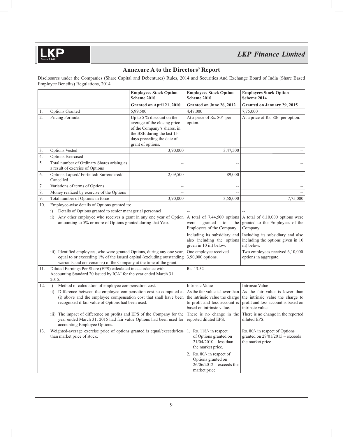### **Annexure A to the Directors' Report**

Disclosures under the Companies (Share Capital and Debentures) Rules, 2014 and Securities And Exchange Board of India (Share Based Employee Benefits) Regulations, 2014.

|                   |                                                                                                                                                                                                                                                                                                                                                                                                                                                                                                                                                                                                                                                                                                                                                                                                                                                                                                                                      | <b>Employees Stock Option</b><br>Scheme 2010                                                                                                                                 | <b>Employees Stock Option</b><br>Scheme 2010                                                                                                                                                                                                                                                                                                                      | <b>Employees Stock Option</b><br>Scheme 2014                                                                                                                                                                                                                                                                                                                                                                                                                                                                                                                  |
|-------------------|--------------------------------------------------------------------------------------------------------------------------------------------------------------------------------------------------------------------------------------------------------------------------------------------------------------------------------------------------------------------------------------------------------------------------------------------------------------------------------------------------------------------------------------------------------------------------------------------------------------------------------------------------------------------------------------------------------------------------------------------------------------------------------------------------------------------------------------------------------------------------------------------------------------------------------------|------------------------------------------------------------------------------------------------------------------------------------------------------------------------------|-------------------------------------------------------------------------------------------------------------------------------------------------------------------------------------------------------------------------------------------------------------------------------------------------------------------------------------------------------------------|---------------------------------------------------------------------------------------------------------------------------------------------------------------------------------------------------------------------------------------------------------------------------------------------------------------------------------------------------------------------------------------------------------------------------------------------------------------------------------------------------------------------------------------------------------------|
|                   |                                                                                                                                                                                                                                                                                                                                                                                                                                                                                                                                                                                                                                                                                                                                                                                                                                                                                                                                      | Granted on April 21, 2010                                                                                                                                                    | Granted on June 26, 2012                                                                                                                                                                                                                                                                                                                                          | Granted on January 29, 2015                                                                                                                                                                                                                                                                                                                                                                                                                                                                                                                                   |
| 1.                | Options Granted                                                                                                                                                                                                                                                                                                                                                                                                                                                                                                                                                                                                                                                                                                                                                                                                                                                                                                                      | 5,99,500                                                                                                                                                                     | 4,47,000                                                                                                                                                                                                                                                                                                                                                          | 7,75,000                                                                                                                                                                                                                                                                                                                                                                                                                                                                                                                                                      |
| 2.                | Pricing Formula                                                                                                                                                                                                                                                                                                                                                                                                                                                                                                                                                                                                                                                                                                                                                                                                                                                                                                                      | Up to 5 $\%$ discount on the<br>average of the closing price<br>of the Company's shares, in<br>the BSE during the last 15<br>days preceding the date of<br>grant of options. | At a price of Rs. 80/- per<br>option.                                                                                                                                                                                                                                                                                                                             | At a price of Rs. 80/- per option.                                                                                                                                                                                                                                                                                                                                                                                                                                                                                                                            |
| 3.                | Options Vested                                                                                                                                                                                                                                                                                                                                                                                                                                                                                                                                                                                                                                                                                                                                                                                                                                                                                                                       | 3,90,000                                                                                                                                                                     | 3,47,500                                                                                                                                                                                                                                                                                                                                                          |                                                                                                                                                                                                                                                                                                                                                                                                                                                                                                                                                               |
| 4.                | Options Exercised                                                                                                                                                                                                                                                                                                                                                                                                                                                                                                                                                                                                                                                                                                                                                                                                                                                                                                                    |                                                                                                                                                                              |                                                                                                                                                                                                                                                                                                                                                                   |                                                                                                                                                                                                                                                                                                                                                                                                                                                                                                                                                               |
| 5.                | Total number of Ordinary Shares arising as<br>a result of exercise of Options                                                                                                                                                                                                                                                                                                                                                                                                                                                                                                                                                                                                                                                                                                                                                                                                                                                        |                                                                                                                                                                              |                                                                                                                                                                                                                                                                                                                                                                   |                                                                                                                                                                                                                                                                                                                                                                                                                                                                                                                                                               |
| 6.                | Options Lapsed/Forfeited/Surrendered/<br>Cancelled                                                                                                                                                                                                                                                                                                                                                                                                                                                                                                                                                                                                                                                                                                                                                                                                                                                                                   | 2,09,500                                                                                                                                                                     | 89,000                                                                                                                                                                                                                                                                                                                                                            |                                                                                                                                                                                                                                                                                                                                                                                                                                                                                                                                                               |
| 7.                | Variations of terms of Options                                                                                                                                                                                                                                                                                                                                                                                                                                                                                                                                                                                                                                                                                                                                                                                                                                                                                                       | --                                                                                                                                                                           |                                                                                                                                                                                                                                                                                                                                                                   |                                                                                                                                                                                                                                                                                                                                                                                                                                                                                                                                                               |
| 8.                | Money realized by exercise of the Options                                                                                                                                                                                                                                                                                                                                                                                                                                                                                                                                                                                                                                                                                                                                                                                                                                                                                            |                                                                                                                                                                              |                                                                                                                                                                                                                                                                                                                                                                   |                                                                                                                                                                                                                                                                                                                                                                                                                                                                                                                                                               |
| 9.                | Total number of Options in force                                                                                                                                                                                                                                                                                                                                                                                                                                                                                                                                                                                                                                                                                                                                                                                                                                                                                                     | 3,90,000                                                                                                                                                                     | 3,58,000                                                                                                                                                                                                                                                                                                                                                          | 7,75,000                                                                                                                                                                                                                                                                                                                                                                                                                                                                                                                                                      |
| 10.<br>11.<br>12. | Employee-wise details of Options granted to:<br>Details of Options granted to senior managerial personnel<br>i)<br>Any other employee who receives a grant in any one year of Option<br>$\overline{11}$<br>amounting to 5% or more of Options granted during that Year.<br>iii) Identified employees, who were granted Options, during any one year,<br>equal to or exceeding 1% of the issued capital (excluding outstanding<br>warrants and conversions) of the Company at the time of the grant.<br>Diluted Earnings Per Share (EPS) calculated in accordance with<br>Accounting Standard 20 issued by ICAI for the year ended March 31,<br>2015.<br>i)<br>Method of calculation of employee compensation cost.<br>Difference between the employee compensation cost so computed at<br>$\overline{11}$<br>(i) above and the employee compensation cost that shall have been<br>recognized if fair value of Options had been used. |                                                                                                                                                                              | granted<br>were<br>to<br>the<br>Employees of the Company<br>also including the options<br>given in 10 iii) below.<br>One employee received<br>3,90,000 options.<br>Rs. 13.52<br>Intrinsic Value<br>the intrinsic value the charge<br>based on intrinsic value.<br>There is no change in the<br>The impact of difference on profits and EPS of the Company for the | A total of $7,44,500$ options A total of $6,10,000$ options were<br>granted to the Employees of the<br>Company<br>Including its subsidiary and Including its subsidiary and also<br>including the options given in 10<br>iii) below.<br>Two employees received 6,10,000<br>options in aggregate.<br>Intrinsic Value<br>As the fair value is lower than $ As$ the fair value is lower than<br>the intrinsic value the charge to<br>to profit and loss account is profit and loss account is based on<br>intrinsic value.<br>There is no change in the reported |
| 13.               | year ended March 31, 2015 had fair value Options had been used for<br>accounting Employee Options.<br>Weighted-average exercise price of options granted is equal/exceeds/less 1. Rs. 118/- in respect<br>than market price of stock.                                                                                                                                                                                                                                                                                                                                                                                                                                                                                                                                                                                                                                                                                                |                                                                                                                                                                              | reported diluted EPS.<br>of Options granted on<br>$21/04/2010 -$ less than<br>the market price.<br>2. Rs. 80/- in respect of<br>Options granted on<br>$26/06/2012$ – exceeds the<br>market price                                                                                                                                                                  | diluted EPS.<br>Rs. 80/- in respect of Options<br>granted on $29/01/2015$ – exceeds<br>the market price                                                                                                                                                                                                                                                                                                                                                                                                                                                       |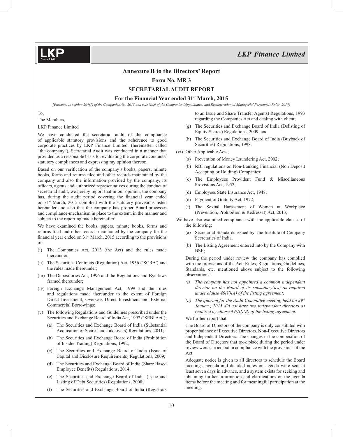#### **Annexure B to the Directors' Report**

**Form No. MR 3**

**SECRETARIAL AUDIT REPORT**

#### **For the Financial Year ended 31st March, 2015**

*[Pursuant to section 204(1) of the Companies Act, 2013 and rule No.9 of the Companies (Appointment and Remuneration of Managerial Personnel) Rules, 2014]*

To,

The Members,

LKP Finance Limited

We have conducted the secretarial audit of the compliance of applicable statutory provisions and the adherence to good corporate practices by LKP Finance Limited, (hereinafter called "the company"). Secretarial Audit was conducted in a manner that provided us a reasonable basis for evaluating the corporate conducts/ statutory compliances and expressing my opinion thereon.

Based on our verification of the company's books, papers, minute books, forms and returns filed and other records maintained by the company and also the information provided by the company, its offi cers, agents and authorized representatives during the conduct of secretarial audit, we hereby report that in our opinion, the company has, during the audit period covering the financial year ended on 31st March, 2015 complied with the statutory provisions listed hereunder and also that the company has proper Board-processes and compliance-mechanism in place to the extent, in the manner and subject to the reporting made hereinafter:

We have examined the books, papers, minute books, forms and returns filed and other records maintained by the company for the financial year ended on  $31<sup>st</sup> March, 2015 according to the provisions$ of:

- (i) The Companies Act, 2013 (the Act) and the rules made thereunder;
- (ii) The Securities Contracts (Regulation) Act, 1956 ('SCRA') and the rules made thereunder;
- (iii) The Depositories Act, 1996 and the Regulations and Bye-laws framed thereunder;
- (iv) Foreign Exchange Management Act, 1999 and the rules and regulations made thereunder to the extent of Foreign Direct Investment, Overseas Direct Investment and External Commercial Borrowings;
- (v) The following Regulations and Guidelines prescribed under the Securities and Exchange Board of India Act, 1992 ('SEBI Act');
	- (a) The Securities and Exchange Board of India (Substantial Acquisition of Shares and Takeovers) Regulations, 2011;
	- (b) The Securities and Exchange Board of India (Prohibition of Insider Trading) Regulations, 1992;
	- (c) The Securities and Exchange Board of India (Issue of Capital and Disclosure Requirements) Regulations, 2009;
	- (d) The Securities and Exchange Board of India (Share Based Employee Benefits) Regulations, 2014;
	- (e) The Securities and Exchange Board of India (Issue and Listing of Debt Securities) Regulations, 2008;
	- (f) The Securities and Exchange Board of India (Registrars

to an Issue and Share Transfer Agents) Regulations, 1993 regarding the Companies Act and dealing with client;

- (g) The Securities and Exchange Board of India (Delisting of Equity Shares) Regulations, 2009, and
- (h) The Securities and Exchange Board of India (Buyback of Securities) Regulations, 1998.
- (vi) Other Applicable Acts;
	- (a) Prevention of Money Laundering Act, 2002;
	- (b) RBI regulations on Non-Banking Financial (Non Deposit Accepting or Holding) Companies;
	- (c) The Employees Provident Fund & Miscellaneous Provisions Act, 1952;
	- (d) Employees State Insurance Act, 1948;
	- (e) Payment of Gratuity Act, 1972;
	- (f) The Sexual Harassment of Women at Workplace (Prevention, Prohibition & Redressal) Act, 2013;
- We have also examined compliance with the applicable clauses of the following:
	- (a) Secretarial Standards issued by The Institute of Company Secretaries of India.
	- (b) The Listing Agreement entered into by the Company with BSE;

 During the period under review the company has complied with the provisions of the Act, Rules, Regulations, Guidelines, Standards, etc. mentioned above subject to the following observations:

- *(i) The company has not appointed a common independent director on the Board of its subsidiary(ies) as required under clause 49(V)(A) of the listing agreement;*
- *(ii)* The quorum for the Audit Committee meeting held on 29<sup>th</sup> *January, 2015 did not have two independent directors as required by clause 49(III)(B) of the listing agreement.*

#### We further report that

 The Board of Directors of the company is duly constituted with proper balance of Executive Directors, Non-Executive Directors and Independent Directors. The changes in the composition of the Board of Directors that took place during the period under review were carried out in compliance with the provisions of the Act.

 Adequate notice is given to all directors to schedule the Board meetings, agenda and detailed notes on agenda were sent at least seven days in advance, and a system exists for seeking and obtaining further information and clarifications on the agenda items before the meeting and for meaningful participation at the meeting.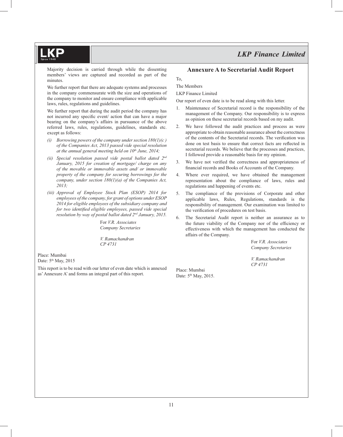Majority decision is carried through while the dissenting members' views are captured and recorded as part of the minutes.

 We further report that there are adequate systems and processes in the company commensurate with the size and operations of the company to monitor and ensure compliance with applicable laws, rules, regulations and guidelines.

 We further report that during the audit period the company has not incurred any specific event/ action that can have a major bearing on the company's affairs in pursuance of the above referred laws, rules, regulations, guidelines, standards etc. except as follows:

- *(i) Borrowing powers of the company under section 180(1)(c ) of the Companies Act, 2013 passed vide special resolution at the annual general meeting held on 10th June, 2014;*
- *(ii) Special resolution passed vide postal ballot dated 2nd January, 2015 for creation of mortgage/ charge on any of the movable or immovable assets and/ or immovable property of the company for securing borrowings for the company, under section 180(1)(a) of the Companies Act, 2013;*
- *(iii) Approval of Employee Stock Plan (ESOP) 2014 for employees of the company, for grant of options under ESOP 2014 for eligible employees of the subsidiary company and for two identified eligible employees, passed vide special resolution by way of postal ballot dated 2nd January, 2015.*

For *V.R. Associates Company Secretaries*

*V. Ramachandran CP 4731*

Place: Mumbai Date: 5<sup>th</sup> May, 2015

This report is to be read with our letter of even date which is annexed as' Annexure A' and forms an integral part of this report.

#### **Annexure A to Secretarial Audit Report**

To,

The Members

LKP Finance Limited

Our report of even date is to be read along with this letter.

- 1. Maintenance of Secretarial record is the responsibility of the management of the Company. Our responsibility is to express as opinion on these secretarial records based on my audit.
- 2. We have followed the audit practices and process as were appropriate to obtain reasonable assurance about the correctness of the contents of the Secretarial records. The verification was done on test basis to ensure that correct facts are reflected in secretarial records. We believe that the processes and practices, I followed provide a reasonable basis for my opinion.
- 3. We have not verified the correctness and appropriateness of financial records and Books of Accounts of the Company.
- 4. Where ever required, we have obtained the management representation about the compliance of laws, rules and regulations and happening of events etc.
- 5. The compliance of the provisions of Corporate and other applicable laws, Rules, Regulations, standards is the responsibility of management. Our examination was limited to the verification of procedures on test basis.
- 6. The Secretarial Audit report is neither an assurance as to the future viability of the Company nor of the efficiency or effectiveness with which the management has conducted the affairs of the Company.

For *V.R. Associates Company Secretaries*

*V. Ramachandran CP 4731*

Place: Mumbai Date: 5<sup>th</sup> May, 2015.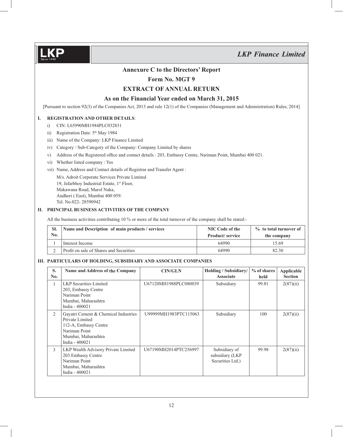

### **Annexure C to the Directors' Report**

### **Form No. MGT 9**

#### **EXTRACT OF ANNUAL RETURN**

#### **As on the Financial Year ended on March 31, 2015**

[Pursuant to section 92(3) of the Companies Act, 2013 and rule 12(1) of the Companies (Management and Administration) Rules, 2014]

#### **I. REGISTRATION AND OTHER DETAILS**:

- i) CIN: L65990MH1984PLC032831
- ii) Registration Date:  $5<sup>th</sup>$  May 1984
- iii) Name of the Company: LKP Finance Limited
- iv) Category / Sub-Category of the Company: Company Limited by shares
- v) Address of the Registered office and contact details : 203, Embassy Centre, Nariman Point, Mumbai 400 021.
- vi) Whether listed company : Yes
- vii) Name, Address and Contact details of Registrar and Transfer Agent :

 M/s. Adroit Corporate Services Private Limited 19, Jafarbhoy Industrial Estate, 1st Floor, Makawana Road, Marol Naka, Andheri ( East), Mumbai 400 059. Tel. No.022- 28590942

#### **II. PRINCIPAL BUSINESS ACTIVITIES OF THE COMPANY**

All the business activities contributing 10 % or more of the total turnover of the company shall be stated:-

| SI.<br>$\mathbf{N}\mathbf{0}$ . | Name and Description of main products / services | NIC Code of the<br>Product/service | % to total turnover of<br>the company |
|---------------------------------|--------------------------------------------------|------------------------------------|---------------------------------------|
|                                 | Interest Income                                  | 64990                              | 15.69                                 |
|                                 | Profit on sale of Shares and Securities          | 64990                              | 82.30                                 |

#### **III. PARTICULARS OF HOLDING, SUBSIDIARY AND ASSOCIATE COMPANIES**

| S.<br>No.      | Name and Address of the Company                                                                                                            | <b>CIN/GLN</b>        | Holding / Subsidiary/<br><b>Associate</b>            | $%$ of shares<br>held | Applicable<br><b>Section</b> |
|----------------|--------------------------------------------------------------------------------------------------------------------------------------------|-----------------------|------------------------------------------------------|-----------------------|------------------------------|
| 1              | <b>LKP</b> Securities Limited<br>203, Embassy Centre<br>Nariman Point<br>Mumbai, Maharashtra<br>India - 400021                             | U67120MH1988PLC080039 | Subsidiary                                           | 99.81                 | 2(87)(ii)                    |
| $\overline{2}$ | Gayatri Cement & Chemical Industries<br>Private Limited<br>112-A, Embassy Centre<br>Nariman Point<br>Mumbai, Maharashtra<br>India - 400021 | U99999MH1983PTC115063 | Subsidiary                                           | 100                   | 2(87)(ii)                    |
| 3              | LKP Wealth Advisory Private Limited<br>203 Embassy Centre<br>Nariman Point<br>Mumbai, Maharashtra<br>India - 400021                        | U67190MH2014PTC256997 | Subsidiary of<br>subsidiary (LKP<br>Securities Ltd.) | 99.98                 | 2(87)(ii)                    |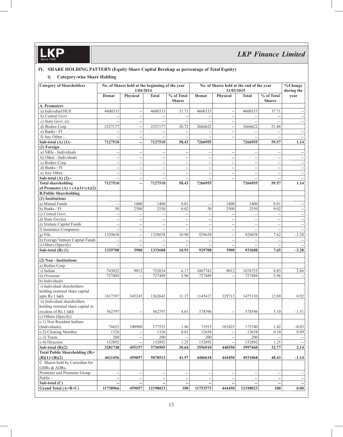### **IV. SHARE HOLDING PATTERN (Equity Share Capital Breakup as percentage of Total Equity)**

### **i) Category-wise Share Holding**

| <b>Category of Shareholders</b>  |                          | No. of Shares held at the beginning of the year<br>1/04/2014 |                                                     |                             | No. of Shares held at the end of the year<br>31/03/2015 |                          | %Change<br>during the    |                                                   |                                                     |
|----------------------------------|--------------------------|--------------------------------------------------------------|-----------------------------------------------------|-----------------------------|---------------------------------------------------------|--------------------------|--------------------------|---------------------------------------------------|-----------------------------------------------------|
|                                  | Demat                    | Physical                                                     | <b>Total</b>                                        | % of Total<br><b>Shares</b> | Demat                                                   | Physical                 | <b>Total</b>             | $\sqrt[9]{\phantom{1}}$ of Total<br><b>Shares</b> | year                                                |
| A. Promoters                     |                          |                                                              |                                                     |                             |                                                         |                          |                          |                                                   |                                                     |
| a) Individual/HUF                | 4600333                  | $\overline{\phantom{m}}$                                     | 4600333                                             | 37.71                       | 4600333                                                 | $\overline{\phantom{a}}$ | 4600333                  | 37.71                                             |                                                     |
| b) Central Govt.                 | $\overline{a}$           | $\overline{a}$                                               | $\overline{\phantom{a}}$                            |                             |                                                         | $\overline{\phantom{a}}$ | $\overline{a}$           | Ξ.                                                |                                                     |
| c) State Govt. (s)               | $-$                      | $\overline{\phantom{a}}$                                     | $\overline{\phantom{a}}$                            | $\overline{\phantom{a}}$    | $-$                                                     | $\overline{\phantom{a}}$ | $\overline{\phantom{a}}$ | $\overline{a}$                                    | $\sim$ $\sim$                                       |
| d) Bodies Corp.                  | 2527177                  | $\overline{\phantom{a}}$                                     | 2527177                                             | 20.72                       | 2666622                                                 | $\overline{\phantom{a}}$ | 2666622                  | 21.86                                             |                                                     |
| e) Banks / FI                    | $\overline{\phantom{a}}$ | $\overline{a}$                                               |                                                     |                             |                                                         | --                       |                          |                                                   |                                                     |
| f) Any Other                     | $\overline{a}$           | $\overline{\phantom{a}}$                                     | $\overline{\phantom{a}}$                            | $\overline{\phantom{a}}$    | --                                                      | $\qquad \qquad -$        |                          | ٠.                                                |                                                     |
| Sub-total $(A)$ $(1)$ :-         | 7127510                  | <u></u>                                                      | 7127510                                             | 58.43                       | 7266955                                                 |                          | 7266955                  | 59.57                                             | 1.14                                                |
| $\overline{(2)}$ Foreign         |                          |                                                              |                                                     |                             |                                                         |                          |                          |                                                   |                                                     |
| a) NRIs - Individuals            | $\overline{\phantom{a}}$ | $\overline{\phantom{a}}$                                     | $\overline{\phantom{a}}$                            | $\overline{\phantom{a}}$    | $\overline{a}$                                          | $\overline{\phantom{a}}$ | $\overline{\phantom{a}}$ | $\overline{a}$                                    | $\overline{\phantom{a}}$                            |
| b) Other - Individuals           | $\overline{a}$           | $\overline{\phantom{a}}$                                     | $\overline{a}$                                      | $\overline{\phantom{a}}$    | --                                                      | $\overline{\phantom{a}}$ | $\overline{\phantom{a}}$ | $\overline{\phantom{a}}$                          |                                                     |
| c) Bodies Corp.                  | $\overline{a}$           | $\overline{a}$                                               | $\overline{a}$                                      | $\sim$                      | $\overline{a}$                                          | $\overline{\phantom{a}}$ | $\overline{a}$           | Ξ.                                                | $\sim$ $\sim$                                       |
| d) Banks / FI                    | --                       | $\overline{a}$                                               | $\hspace{0.05cm} \dashv$                            | $\overline{\phantom{a}}$    | $\overline{\phantom{a}}$                                | $\overline{\phantom{a}}$ | $\overline{\phantom{a}}$ | $\overline{\phantom{a}}$                          | $\hspace{0.05cm} -\hspace{0.05cm} -\hspace{0.05cm}$ |
| e) Any Other                     | $\overline{a}$           | $\overline{\phantom{a}}$                                     | $\overline{\phantom{a}}$                            | $\overline{a}$              | $-$                                                     | $\overline{\phantom{a}}$ | $\overline{\phantom{a}}$ | $\overline{\phantom{a}}$                          |                                                     |
| Sub-total $(A)$ $(2)$ :-         | $\overline{a}$           | $\overline{a}$                                               | $\overline{\phantom{a}}$                            | $\overline{\phantom{a}}$    | $\overline{a}$                                          | $\overline{a}$           | Ξ.                       | $\overline{a}$                                    |                                                     |
| <b>Total shareholding</b>        | 7127510                  | --                                                           | 7127510                                             | 58.43                       | 7266955                                                 |                          | 7266955                  | 59.57                                             | 1.14                                                |
| of Promoter (A) = (A)(1)+(A)(2)  |                          |                                                              |                                                     |                             |                                                         |                          |                          |                                                   |                                                     |
| <b>B.Public Shareholding</b>     |                          |                                                              |                                                     |                             |                                                         |                          |                          |                                                   |                                                     |
| (1) Institutions                 |                          |                                                              |                                                     |                             |                                                         |                          |                          |                                                   |                                                     |
| a) Mutual Funds                  | $\overline{\phantom{a}}$ | 1400                                                         | 1400                                                | 0.01                        | $\overline{\phantom{a}}$                                | 1400                     | 1400                     | 0.01                                              |                                                     |
| b) Banks / FI                    | 50                       | 2500                                                         | 2550                                                | 0.02                        | 50                                                      | 2500                     | 2550                     | 0.02                                              | $\sim$                                              |
| c) Central Govt.                 | $\overline{\phantom{a}}$ | $\overline{a}$                                               | $\overline{a}$                                      | $\overline{a}$              | $-$                                                     | $\overline{\phantom{a}}$ | $\overline{a}$           | $\overline{a}$                                    |                                                     |
| d) State Govt(s)                 | $\overline{a}$           | $\overline{a}$                                               | $\sim$                                              | $\overline{a}$              | $\overline{a}$                                          | $\sim$                   | $\overline{a}$           | $\overline{a}$                                    | $\sim$                                              |
| e) Venture Capital Funds         |                          |                                                              |                                                     |                             |                                                         |                          |                          |                                                   |                                                     |
| f) Insurance Companies           | --                       | $\overline{a}$                                               | $\hspace{0.05cm} -\hspace{0.05cm} -\hspace{0.05cm}$ | $\overline{\phantom{a}}$    | $\overline{\phantom{a}}$                                | --                       | $\overline{\phantom{a}}$ | $\overline{\phantom{a}}$                          |                                                     |
| $g)$ FIIs                        | $\overline{\phantom{a}}$ | $\overline{\phantom{m}}$                                     | $\overline{\phantom{a}}$                            | $\overline{\phantom{a}}$    | Ξ.                                                      | $\overline{\phantom{a}}$ | $\overline{a}$           | $\overline{\phantom{a}}$                          |                                                     |
|                                  | 1329658                  | $\overline{a}$                                               | 1329658                                             | 10.90                       | 929658                                                  | $\overline{\phantom{a}}$ | 929658                   | 7.62                                              | $-3.28$                                             |
| h) Foreign Venture Capital Funds | $\overline{a}$           | $\overline{a}$                                               |                                                     |                             |                                                         | $\rightarrow$            |                          | $\overline{\phantom{a}}$                          |                                                     |
| i) Others (Specify)              | $\overline{a}$           | $\overline{a}$                                               |                                                     |                             |                                                         | $\overline{\phantom{a}}$ |                          | $\overline{a}$                                    |                                                     |
| Sub-total $(B)$ (1)              | 1329708                  | 3900                                                         | 1333608                                             | 10.93                       | 929708                                                  | 3900                     | 933608                   | 7.65                                              | $-3.28$                                             |
| (2) Non - Institutions           |                          |                                                              |                                                     |                             |                                                         |                          |                          |                                                   |                                                     |
| a) Bodies Corp.                  |                          |                                                              |                                                     |                             |                                                         |                          |                          |                                                   |                                                     |
| i) Indian                        | 743022                   | 9012                                                         | 752034                                              | 6.17                        | 1067743                                                 | 9012                     | 1076755                  | 8.83                                              | 2.66                                                |
| ii) Overseas                     | 727489                   |                                                              | 727489                                              | 5.96                        | 727489                                                  |                          | 727489                   | 5.96                                              |                                                     |
| b) Individuals                   |                          |                                                              |                                                     |                             |                                                         |                          |                          |                                                   |                                                     |
| i) Individual shareholders       |                          |                                                              |                                                     |                             |                                                         |                          |                          |                                                   |                                                     |
| holding nominal share capital    |                          |                                                              |                                                     |                             |                                                         |                          |                          |                                                   |                                                     |
| upto Rs.1 lakh                   | 1017397                  | 345245                                                       | 1362642                                             | 11.17                       | 1145417                                                 | 329713                   | 1475130                  | 12.09                                             | 0.92                                                |
| ii) Individual shareholders      |                          |                                                              |                                                     |                             |                                                         |                          |                          |                                                   |                                                     |
| holding nominal share capital in |                          |                                                              |                                                     |                             |                                                         |                          |                          |                                                   |                                                     |
| excdess of Rs.1 lakh             | 562797                   |                                                              | 562797                                              | 4.61                        | 378596                                                  | $\overline{\phantom{a}}$ | 378596                   | 3.10                                              | -1.51                                               |
| c) Others (Specify)              |                          |                                                              |                                                     |                             |                                                         |                          |                          |                                                   |                                                     |
| c-1) Non Resident Indians        |                          |                                                              |                                                     |                             |                                                         |                          |                          |                                                   |                                                     |
| (Individuals)                    | 76625                    | 100900                                                       | 177525                                              | 1.46                        | 71915                                                   | 101825                   | 173740                   | 1.42                                              | $-0.03$                                             |
| c-2) Clearing Member             | 1326                     |                                                              | 1326                                                | 0.01                        | 12658                                                   | $\overline{\phantom{a}}$ | 12658                    | 0.10                                              | 0.09                                                |
| c-3) Trusts                      | $200\,$                  | $\overline{\phantom{a}}$                                     | 200                                                 | $\overline{\phantom{a}}$    | $200\,$                                                 | $\overline{\phantom{a}}$ | 200                      |                                                   |                                                     |
| c-4) Directors                   | 152892                   |                                                              | 152892                                              | 1.25                        | 152892                                                  |                          | 152892                   | 1.25                                              |                                                     |
| Sub-total $(B)(2)$               | 3281748                  | 455157                                                       | 3736905                                             | 30.64                       | 3556910                                                 | 440550                   | 3997460                  | 32.77                                             | 2.14                                                |
| Total Public Shareholding (B)=   |                          |                                                              |                                                     |                             |                                                         |                          |                          |                                                   |                                                     |
| $(B)(1)+(B)(2)$                  | 4611456                  | 459057                                                       | 5070513                                             | 41.57                       | 4486618                                                 | 444450                   | 4931068                  | 40.43                                             | $-1.14$                                             |
| C. Shares held by Custodian for  |                          |                                                              |                                                     |                             |                                                         |                          |                          |                                                   |                                                     |
| GDRs & ADRs.                     |                          |                                                              |                                                     |                             |                                                         |                          |                          |                                                   |                                                     |
| Promoter and Promoter Group      | $\overline{\phantom{a}}$ | $\overline{a}$                                               | $\hspace{0.05cm} \dashv$                            | $\overline{\phantom{m}}$    | $\overline{\phantom{a}}$                                | $\sim$                   | $\overline{a}$           | $\overline{\phantom{a}}$                          | $\sim$                                              |
| Public -                         | --                       | $\overline{\phantom{a}}$                                     | $\overline{\phantom{a}}$                            | $\overline{\phantom{a}}$    | $\overline{\phantom{a}}$                                | $\overline{\phantom{a}}$ | $\overline{\phantom{a}}$ | $\overline{\phantom{a}}$                          |                                                     |
| Sub-total (C)                    |                          |                                                              |                                                     |                             |                                                         |                          |                          |                                                   |                                                     |
| Grand Total (A+B+C)              | 11738966                 | 459057                                                       | 12198023                                            | 100                         | 11753573                                                | 444450                   | 12198023                 | 100                                               | 0.00                                                |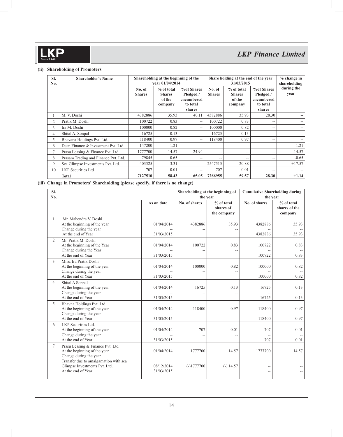#### **(ii) Shareholding of Promoters**

| SI.<br>No.     | <b>Shareholder's Name</b>            |                         | Shareholding at the beginning of the<br>vear 01/04/2014 |                                                             | Share holding at the end of the year | $%$ change in<br>shareholding                    |                                                             |                    |
|----------------|--------------------------------------|-------------------------|---------------------------------------------------------|-------------------------------------------------------------|--------------------------------------|--------------------------------------------------|-------------------------------------------------------------|--------------------|
|                |                                      | No. of<br><b>Shares</b> | $%$ of total<br><b>Shares</b><br>of the<br>company      | %of Shares<br>Pledged /<br>encumbered<br>to total<br>shares | No. of<br><b>Shares</b>              | % of total<br><b>Shares</b><br>of the<br>company | %of Shares<br>Pledged /<br>encumbered<br>to total<br>shares | during the<br>year |
|                | M. V. Doshi                          | 4382886                 | 35.93                                                   | 40.11                                                       | 4382886                              | 35.93                                            | 28.30                                                       |                    |
| $\overline{2}$ | Pratik M. Doshi                      | 100722                  | 0.83                                                    | $\sim$ $-$                                                  | 100722                               | 0.83                                             | $- -$                                                       |                    |
| 3              | Ira M. Doshi                         | 100000                  | 0.82                                                    | $\sim$ $-$                                                  | 100000                               | 0.82                                             | $- -$                                                       |                    |
| $\overline{4}$ | Shital A. Sonpal                     | 16725                   | 0.13                                                    | $\sim$ $-$                                                  | 16725                                | 0.13                                             | $- -$                                                       |                    |
| 5              | Bhavana Holdings Pvt. Ltd.           | 118400                  | 0.97                                                    | $\sim$ $-$                                                  | 118400                               | 0.97                                             | $- -$                                                       |                    |
| 6              | Dean Finance & Investment Pvt. Ltd.  | 147200                  | 1.21                                                    | $\sim$ $-$                                                  | $- -$                                | $-$                                              | $- -$                                                       | $-1.21$            |
| 7              | Prasu Leasing & Finance Pvt. Ltd.    | 1777700                 | 14.57                                                   | 24.94                                                       | $- -$                                | $-$                                              | $- -$                                                       | $-14.57$           |
| 8              | Prasam Trading and Finance Pvt. Ltd. | 79845                   | 0.65                                                    | $ -$                                                        | $- -$                                | $-$                                              | $- -$                                                       | $-0.65$            |
| 9              | Sea Glimpse Investments Pvt. Ltd.    | 403325                  | 3.31                                                    | $\sim$ $\sim$                                               | 2547515                              | 20.88                                            | $- -$                                                       | $+17.57$           |
| 10             | <b>LKP</b> Securities Ltd            | 707                     | 0.01                                                    | $\sim$ $\sim$                                               | 707                                  | 0.01                                             | $- -$                                                       |                    |
|                | <b>Total</b>                         | 7127510                 | 58.43                                                   | 65.05                                                       | 7266955                              | 59.57                                            | 28.30                                                       | $+1.14$            |

### **(iii) Change in Promoters' Shareholding (please specify, if there is no change)**

| SI.<br>No.     |                                                                                                                                      |                          | Shareholding at the beginning of<br>the year |                                        | <b>Cumulative Shareholding during</b><br>the year |                                        |  |
|----------------|--------------------------------------------------------------------------------------------------------------------------------------|--------------------------|----------------------------------------------|----------------------------------------|---------------------------------------------------|----------------------------------------|--|
|                |                                                                                                                                      | As on date               | No. of shares                                | % of total<br>shares of<br>the company | No. of shares                                     | % of total<br>shares of the<br>company |  |
| 1              | Mr. Mahendra V. Doshi<br>At the beginning of the year<br>Change during the year<br>At the end of Year                                | 01/04/2014<br>31/03/2015 | 4382886                                      | 35.93                                  | 4382886<br>4382886                                | 35.93<br>35.93                         |  |
| $\overline{2}$ | Mr. Pratik M. Doshi<br>At the beginning of the Year<br>Change during the Year<br>At the end of Year                                  | 01/04/2014<br>31/03/2015 | 100722<br>$-$                                | 0.83<br>$\overline{a}$                 | 100722<br>100722                                  | 0.83<br>0.83                           |  |
| 3              | Miss. Ira Pratik Doshi<br>At the beginning of the year<br>Change during the year<br>At the end of Year                               | 01/04/2014<br>31/03/2015 | 100000                                       | 0.82<br>--                             | 100000<br>$-$<br>100000                           | 0.82<br>0.82                           |  |
| 4              | Shital A Sonpal<br>At the beginning of the year<br>Change during the year<br>At the end of Year                                      | 01/04/2014<br>31/03/2015 | 16725                                        | 0.13<br>--                             | 16725<br>16725                                    | 0.13<br>0.13                           |  |
| 5              | Bhavna Holdings Pvt. Ltd.<br>At the beginning of the year<br>Change during the year<br>At the end of Year                            | 01/04/2014<br>31/03/2015 | 118400                                       | 0.97<br>--                             | 118400<br>118400                                  | 0.97<br>0.97                           |  |
| 6              | LKP Securities Ltd.<br>At the beginning of the year<br>Change during the year<br>At the end of Year                                  | 01/04/2014<br>31/03/2015 | 707<br>--                                    | 0.01<br>--                             | 707<br>$\overline{a}$<br>707                      | 0.01<br>0.01                           |  |
| 7              | Prasu Leasing & Finance Pvt. Ltd.<br>At the beginning of the year<br>Change during the year<br>Transfer due to amalgamation with sea | 01/04/2014               | 1777700                                      | 14.57                                  | 1777700                                           | 14.57                                  |  |
|                | Glimpse Investments Pvt. Ltd.<br>At the end of Year                                                                                  | 08/12/2014<br>31/03/2015 | $(-)1777700$                                 | $(-) 14.57$                            | --<br>$\overline{\phantom{m}}$                    |                                        |  |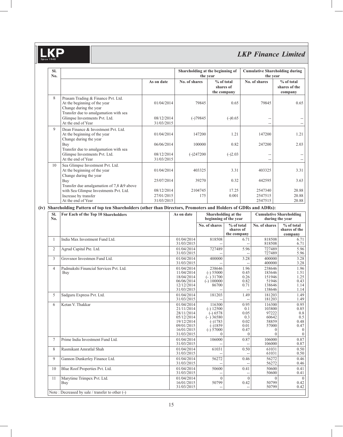## *LKP Finance Limited*

| SI.<br>No.     |                                                                                                                   | Shareholding at the beginning of<br>the year |                                                                                                |                  |                                                                                            | <b>Cumulative Shareholding during</b><br>the vear |                                                    |                                                         |                                                        |
|----------------|-------------------------------------------------------------------------------------------------------------------|----------------------------------------------|------------------------------------------------------------------------------------------------|------------------|--------------------------------------------------------------------------------------------|---------------------------------------------------|----------------------------------------------------|---------------------------------------------------------|--------------------------------------------------------|
|                |                                                                                                                   | As on date                                   | No. of shares                                                                                  |                  |                                                                                            | % of total<br>shares of<br>the company            |                                                    | No. of shares                                           | % of total<br>shares of the<br>company                 |
| 8              | Prasam Trading & Finance Pvt. Ltd.<br>At the beginning of the year<br>Change during the year                      | 01/04/2014                                   |                                                                                                | 79845            |                                                                                            | 0.65                                              |                                                    | 79845                                                   | 0.65                                                   |
|                | Transfer due to amalgamation with sea<br>Glimpse Investments Pvt. Ltd.<br>At the end of Year                      | 08/12/2014<br>31/03/2015                     |                                                                                                | $(-)79845$       |                                                                                            | $(-)0.65$                                         |                                                    | L.                                                      | $\sim$                                                 |
| $\overline{Q}$ | Dean Finance & Investment Pvt. Ltd.<br>At the beginning of the year<br>Change during the year                     | 01/04/2014                                   |                                                                                                | 147200           |                                                                                            | 1.21                                              |                                                    | 147200                                                  | 1.21                                                   |
|                | Buy<br>Transfer due to amalgamation with sea                                                                      | 06/06/2014                                   |                                                                                                | 100000           |                                                                                            | 0.82                                              |                                                    | 247200                                                  | 2.03                                                   |
| 10             | Glimpse Investments Pvt. Ltd.<br>At the end of Year<br>Sea Glimpse Investment Pvt. Ltd.                           | 08/12/2014<br>31/03/2015                     |                                                                                                | $(-)247200$      |                                                                                            | $(-)2.03$                                         |                                                    | 44<br>$\overline{a}$                                    | $\overline{a}$<br>$\sim$                               |
|                | At the beginning of the year<br>Change during the year                                                            | 01/04/2014                                   |                                                                                                | 403325           |                                                                                            | 3.31                                              |                                                    | 403325                                                  | 3.31                                                   |
|                | Buy<br>Transfer due amalgamation of 7,8 &9 above<br>with Sea Glimpse Investments Pvt. Ltd.                        | 25/07/2014<br>08/12/2014                     |                                                                                                | 39270<br>2104745 |                                                                                            | 0.32<br>17.25                                     |                                                    | 442595<br>2547340                                       | 3.63<br>20.88                                          |
|                | Increase by transfer<br>At the end of Year                                                                        | 27/01/2015<br>31/03/2015                     |                                                                                                | 175              |                                                                                            | 0.001                                             |                                                    | 2547515<br>2547515                                      | 20.88<br>20.88                                         |
|                | (iv) Shareholding Pattern of top ten Shareholders (other than Directors, Promoters and Holders of GDRs and ADRs): |                                              |                                                                                                |                  |                                                                                            |                                                   |                                                    |                                                         |                                                        |
| SI.<br>No.     | For Each of the Top 10 Shareholders                                                                               |                                              | As on date                                                                                     |                  |                                                                                            | Shareholding at the<br>beginning of the year      |                                                    |                                                         | <b>Cumulative Shareholding</b><br>during the year      |
|                |                                                                                                                   |                                              |                                                                                                |                  | No. of shares                                                                              | % of total<br>shares of<br>the company            |                                                    | No. of shares                                           | % of total<br>shares of the<br>company                 |
| $\mathbf{1}$   | India Max Investment Fund Ltd.                                                                                    |                                              | 01/04/2014<br>31/03/2015                                                                       |                  | 818508                                                                                     |                                                   | 6.71                                               | 818508<br>818508                                        | 6.71<br>6.71                                           |
| $\overline{c}$ | Agrud Capital Pte. Ltd.                                                                                           |                                              | 01/04/2014<br>31/03/2015                                                                       |                  | 727489                                                                                     |                                                   | 5.96<br>$\sim$                                     | 727489<br>727489                                        | 5.96<br>5.96                                           |
| 3              | Grovsnor Investmen Fund Ltd.                                                                                      |                                              | 01/04/2014<br>31/03/2015                                                                       |                  | 400000                                                                                     |                                                   | 3.28                                               | 400000<br>400000                                        | 3.28<br>3.28                                           |
| $\overline{4}$ | Padmakshi Financial Services Pvt. Ltd.<br>Buy                                                                     |                                              | 01/04/2014<br>11/04/2014<br>18/04/2014<br>06/06/2014<br>12/12/2014<br>31/03/2015               |                  | 238646<br>$(-)$ 55000<br>$(-)$ 31700<br>$(-)$ 100000<br>86700                              |                                                   | 1.96<br>0.45<br>0.26<br>0.82<br>0.71               | 238646<br>183646<br>151946<br>51946<br>138646<br>138646 | 1.96<br>1.51<br>1.25<br>0.43<br>1.14<br>1.14           |
| 5              | Sadguru Express Pvt. Ltd.                                                                                         |                                              | 01/04/2014<br>31/03/2015                                                                       |                  | 181203                                                                                     |                                                   | 1.49                                               | 181203<br>181203                                        | 1.49<br>1.49                                           |
| 6              | Ketan V. Thakkar                                                                                                  |                                              | 01/04/2014<br>21/11/2014<br>28/11/2014<br>05/12/2014<br>19/12/2014<br>09/01/2015<br>16/01/2015 |                  | 116300<br>$(-) 12500$<br>$(-)$ 6578<br>$(-)36580$<br>$(-)1783$<br>$(-)1859$<br>$(-) 57000$ |                                                   | 0.95<br>0.1<br>0.05<br>0.3<br>0.02<br>0.01<br>0.47 | 116300<br>103800<br>97222<br>60642<br>58859<br>57000    | 0.95<br>0.85<br>0.8<br>0.5<br>0.48<br>0.47<br>$\Omega$ |

31/03/2015  $|0|$ 0 0 0 7 Prime India Investment Fund Ltd.  $\frac{01/04/2014}{31/03/2015}$ 106000 -- 0.87 -- 106000 106000 0.87 0.87 8 Rasmikant Amratlal Shah 01/04/2014 31/03/2015 61031 -- 0.50 -- 61031 61031 0.50 0.50 9 Gannon Dunkerley Finance Ltd. 01/04/2014 31/03/2015 56272 -- 0.46 -- 56272 56272 0.46 0.46 10 Blue Roof Properties Pvt. Ltd.  $\frac{01}{04/2014}$ <br>31/03/2015 50600 -- 0.41 -- 50600 50600 0.41 0.41 11 Marytime Trimpex Pvt. Ltd. Buy<sup>1</sup> 01/04/2014 16/01/2015 31/03/2015  $\overline{0}$ 50799 --  $\overline{0}$ 0.42 --  $\overline{0}$ 50799 50799  $\overline{0}$ 0.42 0.42 Note : Decreased by sale / transfer to other (-)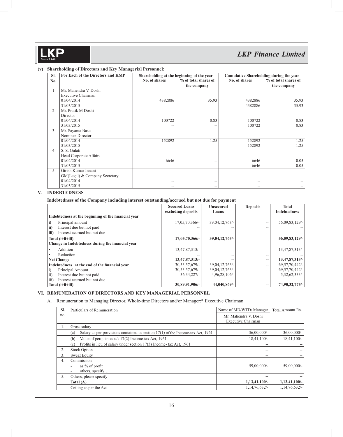#### **(v) Shareholding of Directors and Key Managerial Personnel:**

| SI.            | For Each of the Directors and KMP | Shareholding at the beginning of the year |                      | <b>Cumulative Shareholding during the year</b> |                      |
|----------------|-----------------------------------|-------------------------------------------|----------------------|------------------------------------------------|----------------------|
| No.            |                                   | No. of shares                             | % of total shares of | No. of shares                                  | % of total shares of |
|                |                                   |                                           | the company          |                                                | the company          |
|                | Mr. Mahendra V. Doshi             |                                           |                      |                                                |                      |
|                | Executive Chairman                |                                           |                      |                                                |                      |
|                | 01/04/2014                        | 4382886                                   | 35.93                | 4382886                                        | 35.93                |
|                | 31/03/2015                        |                                           |                      | 4382886                                        | 35.93                |
| 2              | Mr. Pratik M Doshi                |                                           |                      |                                                |                      |
|                | Director                          |                                           |                      |                                                |                      |
|                | 01/04/2014                        | 100722                                    | 0.83                 | 100722                                         | 0.83                 |
|                | 31/03/2015                        | --                                        |                      | 100722                                         | 0.83                 |
| 3              | Mr. Sayanta Basu                  |                                           |                      |                                                |                      |
|                | Nominee Director                  |                                           |                      |                                                |                      |
|                | 01/04/2014                        | 152892                                    | 1.25                 | 152892                                         | 1.25                 |
|                | 31/03/2015                        | --                                        | --                   | 152892                                         | 1.25                 |
| $\overline{4}$ | S. S. Gulati                      |                                           |                      |                                                |                      |
|                | Head Corporate Affairs            |                                           |                      |                                                |                      |
|                | 01/04/2014                        | 6646                                      | --                   | 6646                                           | 0.05                 |
|                | 31/03/2015                        | --                                        | --                   | 6646                                           | 0.05                 |
| 5              | Girish Kumar Innani               |                                           |                      |                                                |                      |
|                | GM(Legal) & Company Secretary     |                                           |                      |                                                |                      |
|                | 01/04/2014                        | $\overline{\phantom{m}}$                  | --                   | --                                             |                      |
|                | 31/03/2015                        | $\hspace{0.05cm} -$                       | --                   | --                                             |                      |

#### **V. INDEBTEDNESS**

#### **Indebtedness of the Company including interest outstanding/accrued but not due for payment**

|                                                     | <b>Secured Loans</b> | <b>Unsecured</b>         | <b>Deposits</b>          | <b>Total</b>        |
|-----------------------------------------------------|----------------------|--------------------------|--------------------------|---------------------|
|                                                     | excluding deposits   | Loans                    |                          | <b>Indebtedness</b> |
| Indebtedness at the beginning of the financial year |                      |                          |                          |                     |
| Principal amount<br>i)                              | 17,05,70,366/-       | 39,04,12,763/-           | $- -$                    | 56,09,83,129/-      |
| ii)<br>Interest due but not paid                    | --                   | --                       | $- -$                    |                     |
| Interest accrued but not due<br>iii)                | $- -$                | $\overline{\phantom{m}}$ | $-$                      |                     |
| Total (i+ii+iii)                                    | 17,05,70,366/-       | 39,04,12,763/-           |                          | 56,09,83,129/-      |
| Change in Indebtedness during the financial year    |                      |                          |                          |                     |
| Addition                                            | 13,47,87,313/-       | --                       | $-$                      | 13,47,87,313/-      |
| Reduction                                           |                      | --                       | $-$                      |                     |
| <b>Net Change</b>                                   | 13,47,87,313/-       | $- -$                    | --                       | 13,47,87,313/-      |
| Indebtedness at the end of the financial year       | 30, 53, 57, 679/-    | 39,04,12,763/-           | $-$                      | 69, 57, 70, 442/-   |
| Principal Amount                                    | 30,53,57,679/-       | 39,04,12,763/-           | $-$                      | 69, 57, 70, 442/-   |
| Interest due but not paid<br>$\overline{11}$        | 36.34.227/           | $4,96,28,106/$ -         | $\overline{\phantom{m}}$ | 5,32,62,333/        |
| iii)<br>Interest accrued but not due                |                      | $- -$                    | $-$                      |                     |
| Total (i+ii+iii)                                    | 30,89,91,906/-       | 44,040,869/-             | --                       | 74,90,32,775/-      |

#### **VI. REMUNERATION OF DIRECTORS AND KEY MANAGERIAL PERSONNEL**

#### A. Remuneration to Managing Director, Whole-time Directors and/or Manager:\* Executive Chairman

| S1. | Particulars of Remuneration                                                              | Name of MD/WTD/ Manager  | Total Amount Rs. |
|-----|------------------------------------------------------------------------------------------|--------------------------|------------------|
| no. |                                                                                          | Mr. Mahendra V. Doshi    |                  |
|     |                                                                                          | Executive Chairman       |                  |
| 1.  | Gross salary                                                                             |                          |                  |
|     | Salary as per provisions contained in section $17(1)$ of the Income-tax Act, 1961<br>(a) | $36,00,000/$ -           | $36,00,000/$ -   |
|     | Value of perquisites u/s 17(2) Income-tax Act, 1961<br>(b)                               | $18.41.100/-$            | $18,41,100/-$    |
|     | Profits in lieu of salary under section 17(3) Income- tax Act, 1961<br>(c)               | --                       | $- -$            |
| 2.  | <b>Stock Option</b>                                                                      | $\overline{\phantom{m}}$ |                  |
| 3.  | Sweat Equity                                                                             | --                       | $- -$            |
| 4.  | Commission                                                                               |                          |                  |
|     | as $\%$ of profit                                                                        | 59,00,000/-              | $59,00,000/$ -   |
|     | others, specify                                                                          |                          |                  |
| 5.  | Others, please specify                                                                   | --                       |                  |
|     | Total $(A)$                                                                              | $1,13,41,100/-$          | $1,13,41,100/-$  |
|     | Ceiling as per the Act                                                                   | 1,14,76,632/             | $1,14,76,632/$ - |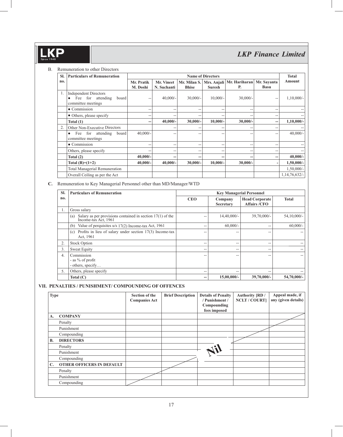#### B. Remuneration to other Directors

| SI. | <b>Particulars of Remuneration</b>                                                  |                        | <b>Name of Directors</b>  |              |               |                                                    |                            |               |
|-----|-------------------------------------------------------------------------------------|------------------------|---------------------------|--------------|---------------|----------------------------------------------------|----------------------------|---------------|
| no. |                                                                                     | Mr. Pratik<br>M. Doshi | Mr. Vineet<br>N. Suchanti | <b>Bhise</b> | <b>Suresh</b> | Mr. Milan S.   Mrs. Anjali   Mr. Hariharan  <br>Р. | Mr. Savanta<br><b>Basu</b> | Amount        |
|     | <b>Independent Directors</b><br>for attending<br>Fee<br>board<br>committee meetings | --                     | $40,000/-$                | $30,000/-$   | $10,000/-$    | $30,000/-$                                         | --                         | $1,10,000/-$  |
|     | $\bullet$ Commission                                                                | --                     | --                        | --           | --            | --                                                 | --                         |               |
|     | • Others, please specify                                                            | --                     | --                        | --           | --            | --                                                 | $- -$                      |               |
|     | Total $(1)$                                                                         | --                     | 40,000/-                  | $30,000/-$   | $10,000/-$    | $30,000/-$                                         |                            | $1,10,000/-$  |
| 2.  | Other Non-Executive Directors                                                       |                        | --                        |              | --            | --                                                 | --                         |               |
|     | Fee for attending<br>board<br>$\bullet$<br>committee meetings                       | $40,000/-$             | --                        |              | --            | --                                                 | --                         | $40,000/-$    |
|     | $\bullet$ Commission                                                                | --                     | --                        | --           | $-$           | --                                                 | --                         |               |
|     | Others, please specify                                                              | $-$                    | --                        | --           | $-$           | --                                                 | --                         |               |
|     | Total $(2)$                                                                         | $40,000/-$             | --                        |              | --            | --                                                 |                            | $40,000/-$    |
|     | Total $(B)=(1+2)$                                                                   | $40,000/-$             | $40,000/-$                | $30,000/-$   | $10,000/-$    | $30,000/-$                                         |                            | $1,50,000/-$  |
|     | <b>Total Managerial Remuneration</b>                                                |                        |                           |              |               |                                                    |                            | $1,50,000/-$  |
|     | Overall Ceiling as per the Act                                                      |                        |                           |              |               |                                                    |                            | 1,14,76,632/- |

**C.** Remuneration to Key Managerial Personnel other than MD/Manager/WTD

| SI. | <b>Particulars of Remuneration</b>                                                       | <b>Key Managerial Personnel</b> |                      |                                              |               |  |
|-----|------------------------------------------------------------------------------------------|---------------------------------|----------------------|----------------------------------------------|---------------|--|
| no. |                                                                                          | <b>CEO</b>                      | Company<br>Secretary | <b>Head Corporate</b><br><b>Affairs /CFO</b> | <b>Total</b>  |  |
| Ι.  | Gross salary                                                                             |                                 |                      |                                              |               |  |
|     | Salary as per provisions contained in section $17(1)$ of the Income-tax Act, 1961<br>(a) | --                              | $14,40,000/-$        | $39,70,000/$ -                               | $54,10,000/-$ |  |
|     | Value of perquisites $u/s$ 17(2) Income-tax Act, 1961<br>(b)                             | --                              | $60,000/-$           | $- -$                                        | $60,000/$ -   |  |
|     | Profits in lieu of salary under section $17(3)$ Income-tax<br>(c)<br>Act, 1961           | --                              | --                   | $-$                                          | --            |  |
| 2.  | <b>Stock Option</b>                                                                      | $- -$                           | --                   | $- -$                                        | --            |  |
| 3.  | Sweat Equity                                                                             | --                              | --                   | $-$                                          | $- -$         |  |
| 4.  | Commission<br>- as $\%$ of profit<br>- others, specify                                   | --                              | --                   | --                                           | --            |  |
| 5.  | Others, please specify                                                                   | --                              | --                   | $-$                                          | --            |  |
|     | Total $(C)$                                                                              | --                              | $15,00,000/-$        | $39,70,000/-$                                | $54,70,000/-$ |  |

#### **VII. PENALTIES / PUNISHMENT/ COMPOUNDING OF OFFENCES**

|                                  | Section of the<br><b>Companies Act</b> | <b>Brief Description</b> | <b>Details of Penalty</b><br>/ Punishment /<br>Compounding<br>fees imposed | <b>Authority [RD /</b><br><b>NCLT / COURT]</b> | Appeal made, if<br>any (given details) |
|----------------------------------|----------------------------------------|--------------------------|----------------------------------------------------------------------------|------------------------------------------------|----------------------------------------|
| <b>COMPANY</b>                   |                                        |                          |                                                                            |                                                |                                        |
| Penalty                          |                                        |                          |                                                                            |                                                |                                        |
| Punishment                       |                                        |                          |                                                                            |                                                |                                        |
| Compounding                      |                                        |                          |                                                                            |                                                |                                        |
| <b>DIRECTORS</b>                 |                                        |                          |                                                                            |                                                |                                        |
| Penalty                          |                                        |                          |                                                                            |                                                |                                        |
| Punishment                       |                                        |                          |                                                                            |                                                |                                        |
| Compounding                      |                                        |                          |                                                                            |                                                |                                        |
| <b>OTHER OFFICERS IN DEFAULT</b> |                                        |                          |                                                                            |                                                |                                        |
| Penalty                          |                                        |                          |                                                                            |                                                |                                        |
| Punishment                       |                                        |                          |                                                                            |                                                |                                        |
| Compounding                      |                                        |                          |                                                                            |                                                |                                        |
|                                  |                                        |                          |                                                                            |                                                |                                        |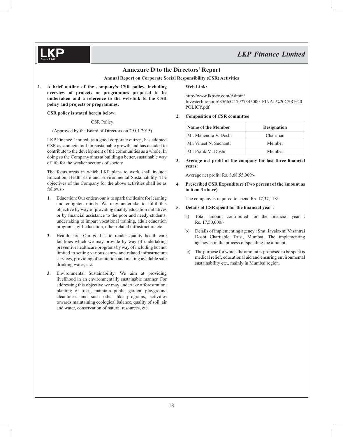

#### **Annexure D to the Directors' Report**

**Annual Report on Corporate Social Responsibility (CSR) Activities**

**1. A brief outline of the company's CSR policy, including overview of projects or programmes proposed to be undertaken and a reference to the web-link to the CSR policy and projects or programmes.**

#### **CSR policy is stated herein below:**

CSR Policy

(Approved by the Board of Directors on 29.01.2015)

 LKP Finance Limited, as a good corporate citizen, has adopted CSR as strategic tool for sustainable growth and has decided to contribute to the development of the communities as a whole. In doing so the Company aims at building a better, sustainable way of life for the weaker sections of society.

 The focus areas in which LKP plans to work shall include Education, Health care and Environmental Sustainability. The objectives of the Company for the above activities shall be as follows:-

- **1.** Education: Our endeavour is to spark the desire for learning and enlighten minds. We may undertake to fulfil this objective by way of providing quality education initiatives or by financial assistance to the poor and needy students, undertaking to impart vocational training, adult education programs, girl education, other related infrastructure etc.
- **2.** Health care: Our goal is to render quality health care facilities which we may provide by way of undertaking preventive healthcare programs by way of including but not limited to setting various camps and related infrastructure services, providing of sanitation and making available safe drinking water, etc.
- **3.** Environmental Sustainability: We aim at providing livelihood in an environmentally sustainable manner. For addressing this objective we may undertake afforestration, planting of trees, maintain public garden, playground cleanliness and such other like programs, activities towards maintaining ecological balance, quality of soil, air and water, conservation of natural resources, etc.

#### **Web Link:**

 http://www.lkpsec.com/Admin/ InvesterInreport/635665217977345000\_FINAL%20CSR%20 POLICY.pdf

#### **2. Composition of CSR committee**

| Name of the Member     | <b>Designation</b> |
|------------------------|--------------------|
| Mr. Mahendra V. Doshi  | Chairman           |
| Mr. Vineet N. Suchanti | Member             |
| Mr. Pratik M. Doshi    | Member             |

**3.** Average net profit of the company for last three financial **years:**

Average net profit: Rs. 8,68,55,909/-

**4. Prescribed CSR Expenditure (Two percent of the amount as in item 3 above)**

The company is required to spend Rs. 17,37,118/-

#### **5.** Details of CSR spend for the financial year :

- a) Total amount contributed for the financial year : Rs. 17,50,000/-
- b) Details of implementing agency : Smt. Jayalaxmi Vasantrai Doshi Charitable Trust, Mumbai. The implementing agency is in the process of spending the amount.
- c) The purpose for which the amount is proposed to be spent is medical relief, educational aid and ensuring environmental sustainability etc., mainly in Mumbai region.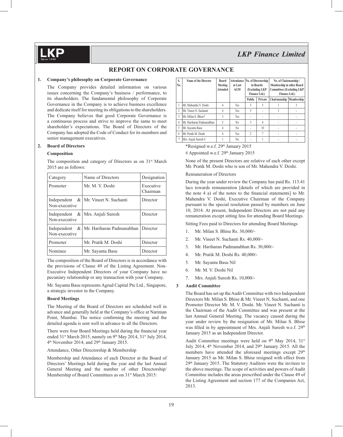#### **REPORT ON CORPORATE GOVERNANCE**

#### **1. Company's philosophy on Corporate Governance**

 The Company provides detailed information on various issues concerning the Company's business / performance, to its shareholders. The fundamental philosophy of Corporate Governance in the Company is to achieve business excellence and dedicate itself for meeting its obligations to the shareholders. The Company believes that good Corporate Governance is a continuous process and strive to improve the same to meet shareholder's expectations. The Board of Directors of the Company has adopted the Code of Conduct for its members and senior management executives.

#### **2. Board of Directors**

#### **Composition**

The composition and category of Directors as on  $31<sup>st</sup>$  March 2015 are as follows:

| Category                     | Name of Directors                        | Designation           |
|------------------------------|------------------------------------------|-----------------------|
| Promoter                     | Mr. M. V. Doshi                          | Executive<br>Chairman |
| Independent<br>Non-executive | &   Mr. Vineet N. Suchanti               | Director              |
| Independent<br>Non-executive | &   Mrs. Anjali Suresh                   | Director              |
| Independent<br>Non-executive | &   Mr. Hariharan Padmanabhan   Director |                       |
| Promoter                     | Mr. Pratik M. Doshi                      | Director              |
| Nominee                      | Mr. Sayanta Basu                         | Director              |

The composition of the Board of Directors is in accordance with the provisions of Clause 49 of the Listing Agreement. Non-Executive Independent Directors of your Company have no pecuniary relationship or any transaction with your Company.

 Mr. Sayanta Basu represents Agrud Capital Pte Ltd., Singapore, a strategic investor in the Company.

#### **Board Meetings**

 The Meeting of the Board of Directors are scheduled well in advance and generally held at the Company's office at Nariman Point, Mumbai. The notice confirming the meeting and the detailed agenda is sent well in advance to all the Directors.

There were four Board Meetings held during the financial year ended 31<sup>st</sup> March 2015, namely on 9<sup>th</sup> May 2014, 31<sup>st</sup> July 2014, 4th November 2014, and 29th January 2015.

Attendance, Other Directorship & Membership

 Membership and Attendance of each Director at the Board of Directors' Meetings held during the year and the last Annual General Meeting and the number of other Directorship/ Membership of Board Committees as on 31<sup>st</sup> March 2015:

| S.<br>No. | Name of the Director      | <b>Board</b><br>Meeting<br><b>Attended</b> | at Last<br><b>AGM</b> | Attendance No. of Directorship<br>in Boards<br>(Excluding LKP<br>Finance Ltd.) |                 | No. of Chairmanship /<br>Membership in other Board<br><b>Committees (Excluding LKP</b><br>Finance Ltd.) |  |
|-----------|---------------------------|--------------------------------------------|-----------------------|--------------------------------------------------------------------------------|-----------------|---------------------------------------------------------------------------------------------------------|--|
|           |                           |                                            |                       | <b>Public</b>                                                                  | Private         | Chairmanship Membership                                                                                 |  |
|           | Mr. Mahendra V. Doshi     | 4                                          | <b>Yes</b>            | 5                                                                              | 5               |                                                                                                         |  |
| 2         | Mr. Vineet N. Suchanti    | 4                                          | <b>Yes</b>            | 5                                                                              |                 | 3                                                                                                       |  |
| 3         | Mr. Milan S. Bhise*       | 3                                          | <b>Yes</b>            | ٠                                                                              |                 |                                                                                                         |  |
| 4         | Mr. Hariharan Padmanabhan | 3                                          | N <sub>0</sub>        | 3                                                                              | 4               |                                                                                                         |  |
| 5         | Mr. Sayanta Basu          | 4                                          | N <sub>0</sub>        | ٠                                                                              | 10 <sup>2</sup> |                                                                                                         |  |
| 6         | Mr. Pratik M. Doshi       | 4                                          | <b>Yes</b>            | $\overline{c}$                                                                 | 7               |                                                                                                         |  |
| 7         | Mrs. Anjali Suresh#       |                                            | N <sub>0</sub>        | ٠                                                                              |                 |                                                                                                         |  |

\*Resigned w.e.f. 29th January 2015

# Appointed w.e.f. 29<sup>th</sup> January 2015

 None of the present Directors are relative of each other except Mr. Pratik M. Doshi who is son of Mr. Mahendra V. Doshi.

#### Remuneration of Directors

 During the year under review the Company has paid Rs. 113.41 lacs towards remuneration [details of which are provided in the note  $4$  a) of the notes to the financial statements] to Mr. Mahendra V. Doshi, Executive Chairman of the Company pursuant to the special resolution passed by members on June 10, 2014. At present, Independent Directors are not paid any remuneration except sitting fess for attending Board Meetings.

Sitting Fees paid to Directors for attending Board Meetings

- 1. Mr. Milan S. Bhise Rs. 30,000/-
- 2. Mr. Vineet N. Suchanti Rs. 40,000/-
- 3. Mr. Hariharan Padmanabhan Rs. 30,000/-
- 4. Mr. Pratik M. Doshi Rs. 40,000/-
- 5. Mr. Sayanta Basu Nil
- 6. Mr. M. V. Doshi Nil
- 7. Mrs. Anjali Suresh Rs. 10,000/-

#### **3 Audit Committee**

 The Board has set up the Audit Committee with two Independent Directors Mr. Milan S. Bhise & Mr. Vineet N. Suchanti, and one Promoter Director Mr. M. V. Doshi. Mr. Vineet N. Suchanti is the Chairman of the Audit Committee and was present at the last Annual General Meeting. The vacancy caused during the year under review by the resignation of Mr. Milan S. Bhise was filled in by appointment of Mrs. Anjali Suresh w.e.f. 29<sup>th</sup> January 2015 as an Independent Director.

Audit Committee meetings were held on  $9<sup>th</sup>$  May 2014, 31<sup>st</sup> July 2014, 4<sup>th</sup> November 2014, and 29<sup>th</sup> January 2015. All the members have attended the aforesaid meetings except 29<sup>th</sup> January 2015 as Mr. Milan S. Bhise resigned with effect from 29th January 2015. The Statutory Auditors were the invitees to the above meetings. The scope of activities and powers of Audit Committee includes the areas prescribed under the Clause 49 of the Listing Agreement and section 177 of the Companies Act, 2013.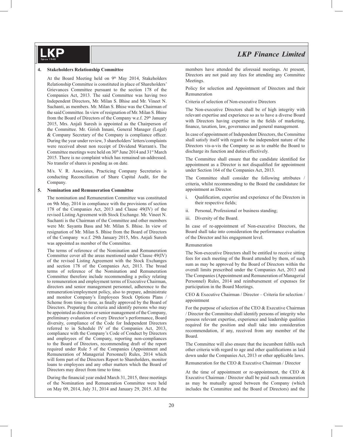#### **4. Stakeholders Relationship Committee**

At the Board Meeting held on 9<sup>th</sup> May 2014, Stakeholders Relationship Committee is constituted in place of Shareholders' Grievances Committee pursuant to the section 178 of the Companies Act, 2013. The said Committee was having two Independent Directors, Mr. Milan S. Bhise and Mr. Vineet N. Suchanti, as members. Mr. Milan S. Bhise was the Chairman of the said Committee. In view of resignation of Mr. Milan S. Bhise from the Board of Directors of the Company w.e.f. 29<sup>th</sup> January 2015, Mrs. Anjali Suresh is appointed as the Chairperson of the Committee. Mr. Girish Innani, General Manager (Legal) & Company Secretary of the Company is compliance officer. During the year under review, 3 shareholders' letters/complaints were received about non receipt of Dividend Warrant/s. The Committee meetings were held on 30<sup>th</sup> June 2014 and 31<sup>st</sup> March 2015. There is no complaint which has remained un-addressed. No transfer of shares is pending as on date.

 M/s. V. R. Associates, Practicing Company Secretaries is conducting Reconciliation of Share Capital Audit, for the Company.

#### **5. Nomination and Remuneration Committee**

 The nomination and Remuneration Committee was constituted on 9th May, 2014 in compliance with the provisions of section 178 of the Companies Act, 2013 and Clause 49(IV) of the revised Listing Agreement with Stock Exchange. Mr. Vineet N. Suchanti is the Chairman of the Committee and other members were Mr. Sayanta Basu and Mr. Milan S. Bhise. In view of resignation of Mr. Milan S. Bhise from the Board of Directors of the Company w.e.f. 29th January 2015, Mrs. Anjali Suresh was appointed as member of the Committee.

 The terms of reference of the Nomination and Remuneration Committee cover all the areas mentioned under Clause 49(IV) of the revised Listing Agreement with the Stock Exchanges and section 178 of the Companies Act, 2013. The broad terms of reference of the Nomination and Remuneration Committee therefore include recommending a policy relating to remuneration and employment terms of Executive Chairman, directors and senior management personnel, adherence to the remuneration/employment policy, also to prepare, administrate and monitor Company's Employees Stock Options Plans / Scheme from time to time, as finally approved by the Board of Directors. Preparing the criteria and identify persons who may be appointed as directors or senior management of the Company, preliminary evaluation of every Director's performance, Board diversity, compliance of the Code for Independent Directors referred to in Schedule IV of the Companies Act, 2013, compliance with the Company's Code of Conduct by Directors and employees of the Company, reporting non-compliances to the Board of Directors, recommending draft of the report required under Rule 5 of the Companies (Appointment and Remuneration of Managerial Personnel) Rules, 2014 which will form part of the Directors Report to Shareholders, monitor loans to employees and any other matters which the Board of Directors may direct from time to time.

During the financial year ended March 31, 2015, three meetings of the Nomination and Remuneration Committee were held on May 09, 2014, July 31, 2014 and January 29, 2015. All the

### *LKP Finance Limited*

members have attended the aforesaid meetings. At present, Directors are not paid any fees for attending any Committee Meetings.

 Policy for selection and Appointment of Directors and their Remuneration

Criteria of selection of Non-executive Directors

 The Non-executive Directors shall be of high integrity with relevant expertise and experience so as to have a diverse Board with Directors having expertise in the fields of marketing, finance, taxation, law, governance and general management.

 In case of appointment of Independent Directors, the Committee shall satisfy itself with regard to the independent nature of the Directors vis-a-vis the Company so as to enable the Board to discharge its function and duties effectively.

The Committee shall ensure that the candidate identified for appointment as a Director is not disqualified for appointment under Section 164 of the Companies Act, 2013.

The Committee shall consider the following attributes criteria, whilst recommending to the Board the candidature for appointment as Director.

- i. Qualification, expertise and experience of the Directors in their respective fields;
- ii. Personal, Professional or business standing;
- iii. Diversity of the Board.

 In case of re-appointment of Non-executive Directors, the Board shall take into consideration the performance evaluation of the Director and his engagement level.

#### Remuneration

 The Non-executive Directors shall be entitled to receive sitting fees for each meeting of the Board attended by them, of such sum as may be approved by the Board of Directors within the overall limits prescribed under the Companies Act, 2013 and The Companies (Appointment and Remuneration of Managerial Personnel) Rules, 2014 and reimbursement of expenses for participation in the Board Meetings.

 CEO & Executive Chairman / Director – Criteria for selection / appointment

 For the purpose of selection of the CEO & Executive Chairman / Director the Committee shall identify persons of integrity who possess relevant expertise, experience and leadership qualities required for the position and shall take into consideration recommendation, if any, received from any member of the Board.

The Committee will also ensure that the incumbent fulfils such other criteria with regard to age and other qualifications as laid down under the Companies Act, 2013 or other applicable laws.

Remuneration for the CEO & Executive Chairman / Director

At the time of appointment or re-appointment, the CEO  $\&$ Executive Chairman / Director shall be paid such remuneration as may be mutually agreed between the Company (which includes the Committee and the Board of Directors) and the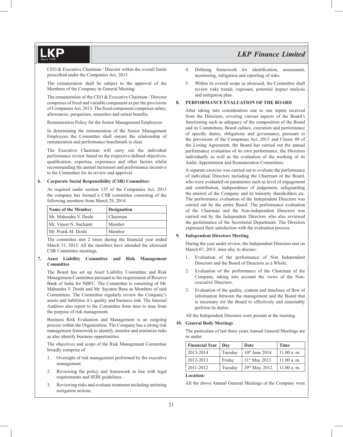CEO & Executive Chairman / Director within the overall limits prescribed under the Companies Act, 2013.

 The remuneration shall be subject to the approval of the Members of the Company in General Meeting.

 The remuneration of the CEO & Executive Chairman / Director comprises of fixed and variable component as per the provisions of Companies Act, 2013. The fixed component comprises salary, allowances, perquisites, amenities and retiral benefits.

Remuneration Policy for the Senior Management Employees

 In determining the remuneration of the Senior Management Employees the Committee shall ensure the relationship of remuneration and performance benchmark is clear.

 The Executive Chairman will carry out the individual performance review based on the respective defined objectives, qualification, expertise, experience and other factors whilst recommending the annual increment and performance incentive to the Committee for its review and approval.

#### **6. Corporate Social Responsibility (CSR) Committee:**

 As required under section 135 of the Companies Act, 2013 the company has formed a CSR committee consisting of the following members from March 29, 2014.

| Name of the Member     | <b>Designation</b> |
|------------------------|--------------------|
| Mr. Mahendra V. Doshi  | Chairman           |
| Mr. Vineet N. Suchanti | Member             |
| Mr. Pratik M. Doshi    | Member             |

The committee met 2 times during the financial year ended March 31, 2015. All the members have attended the aforesaid CSR Committee meetings.

#### **7. Asset Liability Committee and Risk Management Committee**

 The Board has set up Asset Liability Committee and Risk Management Committee pursuant to the requirement of Reserve Bank of India for NBFC. The Committee is consisting of Mr. Mahendra V. Doshi and Mr. Sayanta Basu as Members of said Committees. The Committee regularly review the Company's assets and liabilities it's quality and business risk. The Internal Auditors also report to the Committee form time to time from the purpose of risk management.

 Business Risk Evaluation and Management is an outgoing process within the Organization. The Company has a strong risk management framework to identify, monitor and minimize risks as also identify business opportunities.

 The objectives and scope of the Risk Management Committee broadly comprise of

- 1. Oversight of risk management performed by the executive management.
- 2. Reviewing the policy and framework in line with legal requirements and SEBI guidelines.
- 3. Reviewing risks and evaluate treatment including initiating mitigation actions.
- 4. Defining framework for identification, assessment, monitoring, mitigation and reporting of risks.
- 5. Within its overall scope as aforesaid, the Committee shall review risks trends, exposure, potential impact analysis and mitigation plan.

#### **8. PERFORMANCE EVALUATION OF THE BOARD**

 After taking into consideration one to one inputs received from the Directors, covering various aspects of the Board's functioning such as adequacy of the composition of the Board and its Committees, Board culture, execution and performance of specific duties, obligations and governance; pursuant to the provisions of the Companies Act, 2013 and Clause 49 of the Listing Agreement, the Board has carried out the annual performance evaluation of its own performance, the Directors individually as well as the evaluation of the working of its Audit, Appointment and Remuneration Committees.

 A separate exercise was carried out to evaluate the performance of individual Directors including the Chairman of the Board, who were evaluated on parameters such as level of engagement and contribution, independence of judgement, safeguarding the interest of the Company and its minority shareholders etc. The performance evaluation of the Independent Directors was carried out by the entire Board. The performance evaluation of the Chairman and the Non-independent Directors was carried out by the Independent Directors who also reviewed the performance of the Secretarial Department. The Directors expressed their satisfaction with the evaluation process.

#### **9. Independent Directors Meeting**

 During the year under review, the Independent Directors met on March 07, 2015, inter alia, to discuss:

- 1. Evaluation of the performance of Non Independent Directors and the Board of Directors as a Whole;
- 2. Evaluation of the performance of the Chairman of the Company, taking into account the views of the Nonexecutive Directors.
- 3. Evaluation of the quality, content and timelines of flow of information between the management and the Board that is necessary for the Board to effectively and reasonably perform its duties.

All the Independent Directors were present at the meeting.

#### **10. General Body Meetings**

The particulars of last three years Annual General Meetings are as under:

| <b>Financial Year</b> | Dav     | Date                      | <b>Time</b> |
|-----------------------|---------|---------------------------|-------------|
| 2013-2014             | Tuesday | $10th$ June 2014          | 11.00 a. m. |
| 2012-2013             | Friday  | 31 <sup>st</sup> May 2013 | 11.00 a. m. |
| 2011-2012             | Tuesday | 29th May, 2012            | 11.00 a. m. |

#### **Location:**

All the above Annual General Meetings of the Company were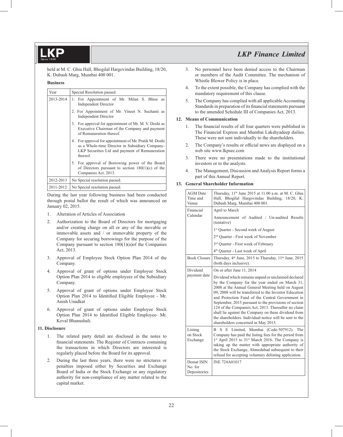held at M. C. Ghia Hall, Bhogilal Hargovindas Building, 18/20, K. Dubash Marg, Mumbai 400 001.

#### **Business**

| Year      | Special Resolution passed.                                                                                                                                              |
|-----------|-------------------------------------------------------------------------------------------------------------------------------------------------------------------------|
| 2013-2014 | 1. For Appointment of Mr. Milan S. Bhise as<br><b>Independent Director</b>                                                                                              |
|           | 2. For Appointment of Mr. Vineet N. Suchanti as<br><b>Independent Director</b>                                                                                          |
|           | 3. For approval for appointment of Mr. M. V. Doshi as<br>Executive Chairman of the Company and payment<br>of Remuneration thereof.                                      |
|           | 4. For approval for appointment of Mr. Pratik M. Doshi<br>as a Whole-time Director in Subsidiary Company-<br>LKP Securities Ltd and payment of Remuneration<br>thereof. |
|           | 5. For approval of Borrowing power of the Board<br>of Directors pursuant to section $180(1)(c)$ of the<br>Companies Act, 2013.                                          |
| 2012-2013 | No Special resolution passed.                                                                                                                                           |
| 2011-2012 | No Special resolution passed.                                                                                                                                           |

 During the last year following business had been conducted through postal ballot the result of which was announced on January 02, 2015.

- 1. Alteration of Articles of Association
- 2. Authorization to the Board of Directors for mortgaging and/or creating charge on all or any of the movable or immovable assets and / or immovable property of the Company for securing borrowings for the purpose of the Company pursuant to section 180(1)(a)of the Companies Act, 2013.
- 3. Approval of Employee Stock Option Plan 2014 of the Company.
- 4. Approval of grant of options under Employee Stock Option Plan 2014 to eligible employees of the Subsidiary Company.
- 5. Approval of grant of options under Employee Stock Option Plan 2014 to Identified Eligible Employee - Mr. Anish Unadkat
- 6. Approval of grant of options under Employee Stock Option Plan 2014 to Identified Eligible Employee- Mr. Keval Bhanushali.

#### **11. Disclosure**

- 1. The related party detail are disclosed in the notes to financial statements. The Register of Contracts containing the transactions in which Directors are interested is regularly placed before the Board for its approval.
- 2. During the last three years, there were no strictures or penalties imposed either by Securities and Exchange Board of India or the Stock Exchange or any regulatory authority for non-compliance of any matter related to the capital market.
- 3. No personnel have been denied access to the Chairman or members of the Audit Committee. The mechanism of Whistle Blower Policy is in place.
- 4. To the extent possible, the Company has complied with the mandatory requirement of this clause.
- 5. The Company has complied with all applicable Accounting Standards in preparation of its financial statements pursuant to the amended Schedule III of Companies Act, 2013.

#### **12. Means of Communication**

- 1. The financial results of all four quarters were published in The Financial Express and Mumbai Lakshyadeep dailies. These were not sent individually to the shareholders.
- 2. The Company's results or official news are displayed on a web site www.lkpsec.com
- 3. There were no presentations made to the institutional investors or to the analysts.
- 4. The Management, Discussion and Analysis Report forms a part of this Annual Report.

#### **13. General Shareholder Information**

| <b>AGM</b> Date<br>Time and<br>Venue  | Thursday, 11 <sup>th</sup> June 2015 at 11.00 a.m. at M. C. Ghia<br>Hall, Bhogilal Hargovindas Building, 18/20, K.<br>Dubash Marg, Mumbai 400 001.                                                                                                                                                                                                                                                                                                                                                                                                 |  |  |  |
|---------------------------------------|----------------------------------------------------------------------------------------------------------------------------------------------------------------------------------------------------------------------------------------------------------------------------------------------------------------------------------------------------------------------------------------------------------------------------------------------------------------------------------------------------------------------------------------------------|--|--|--|
| Financial                             | April to March                                                                                                                                                                                                                                                                                                                                                                                                                                                                                                                                     |  |  |  |
| Calendar                              | Announcement of Audited / Un-audited Results<br>(tentative)                                                                                                                                                                                                                                                                                                                                                                                                                                                                                        |  |  |  |
|                                       | 1 <sup>st</sup> Quarter - Second week of August                                                                                                                                                                                                                                                                                                                                                                                                                                                                                                    |  |  |  |
|                                       | 2 <sup>nd</sup> Ouarter - First week of November                                                                                                                                                                                                                                                                                                                                                                                                                                                                                                   |  |  |  |
|                                       | 3rd Quarter - First week of February                                                                                                                                                                                                                                                                                                                                                                                                                                                                                                               |  |  |  |
|                                       | 4 <sup>th</sup> Quarter - Last week of April                                                                                                                                                                                                                                                                                                                                                                                                                                                                                                       |  |  |  |
| <b>Book Closure</b>                   | Thursday, 4 <sup>th</sup> June, 2015 to Thursday, 11 <sup>th</sup> June, 2015<br>(both days inclusive).                                                                                                                                                                                                                                                                                                                                                                                                                                            |  |  |  |
| Dividend                              | On or after June 11, 2014                                                                                                                                                                                                                                                                                                                                                                                                                                                                                                                          |  |  |  |
| payment date                          | Dividend which remains unpaid or unclaimed declared<br>by the Company for the year ended on March 31,<br>2008 at the Annual General Meeting held on August<br>09, 2008 will be transferred to the Investor Education<br>and Protection Fund of the Central Government in<br>September, 2015 pursuant to the provisions of section<br>124 of the Companies Act, 2013. Thereafter no claim<br>shall lie against the Company on these dividend from<br>the shareholders. Individual notice will be sent to the<br>shareholders concerned in May 2015. |  |  |  |
| Listing<br>on Stock<br>Exchange       | S E Limited, Mumbai (Code-507912). The<br>B.<br>Company has paid the listing fees for the period from<br>1st April 2015 to 31st March 2016. The Company is<br>taking up the matter with appropriate authority of<br>the Stock Exchange, Ahmedabad subsequent to their<br>refusal for accepting voluntary delisting application.                                                                                                                                                                                                                    |  |  |  |
| Demat ISIN<br>No. for<br>Depositories | <b>INE 724A01017</b>                                                                                                                                                                                                                                                                                                                                                                                                                                                                                                                               |  |  |  |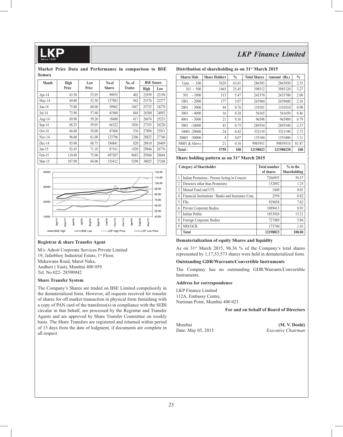#### **Market Price Data and Performance in comparison to BSE Sensex**

| Month    | High   | Low   |               | No. of        | <b>BSE Sensex</b> |       |
|----------|--------|-------|---------------|---------------|-------------------|-------|
|          | Price  | Price | <b>Shares</b> | <b>Trades</b> | High              | Low   |
| Apr-14   | 63.50  | 53.05 | 99955         | 402           | 22939             | 22198 |
| $May-14$ | 69.00  | 52.30 | 137983        | 942           | 25376             | 22277 |
| $Jun-14$ | 75.00  | 60.00 | 50962         | 1047          | 25725             | 24270 |
| $Jul-14$ | 73.90  | 57.60 | 41960         | 844           | 26300             | 24892 |
| Aug-14   | 69.90  | 59.20 | 18480         | 417           | 26674             | 25233 |
| $Sep-14$ | 68.25  | 59.05 | 66322         | 1036          | 27355             | 26220 |
| $Oct-14$ | 66.60  | 58.00 | 47468         | 536           | 27894             | 25911 |
| $Nov-14$ | 96.00  | 61.00 | 123796        | 2306          | 28822             | 27740 |
| $Dec-14$ | 85.00  | 68.75 | 184841        | 820           | 28810             | 26469 |
| $Jan-15$ | 92.45  | 71.10 | 87161         | 1430          | 29844             | 26776 |
| Feb-15   | 110.80 | 75.00 | 697207        | 9683          | 29560             | 28044 |
| $Mar-15$ | 107.90 | 84.00 | 335412        | 5290          | 30025             | 27248 |



#### **Registrar & share Transfer Agent**

M/s. Adroit Corporate Services Private Limited 19, Jafarbhoy Industrial Estate, 1<sup>st</sup> Floor, Makawana Road, Marol Naka, Andheri ( East), Mumbai 400 059. Tel. No.022- 28590942

#### **Share Transfer System**

The Company's Shares are traded on BSE Limited compulsorily in the dematerialized form. However, all requests received for transfer of shares for off market transaction in physical form furnishing with a copy of PAN card of the transferee(s) in compliance with the SEBI circular in that behalf, are processed by the Registrar and Transfer Agents and are approved by Share Transfer Committee on weekly basis. The Share Transfers are registered and returned within period of 15 days from the date of lodgment, if documents are complete in all respect.

#### **Distribution of shareholding as on 31st March 2015**

|                    |                      | o             |                     |              |               |
|--------------------|----------------------|---------------|---------------------|--------------|---------------|
| <b>Shares Slab</b> | <b>Share Holders</b> | $\frac{0}{0}$ | <b>Total Shares</b> | Amount (Rs.) | $\frac{0}{0}$ |
| 100<br>Upto<br>÷,  | 3629                 | 63.01         | 286593              | 2865930      | 2.35          |
| 101<br>$-500$      | 1465                 | 25.45         | 398512              | 3985120      | 3.27          |
| $-1000$<br>501     | 315                  | 5.47          | 243370              | 2433700      | 2.00          |
| 1001<br>$-2000$    | 177                  | 3.07          | 263960              | 2639600      | 2.16          |
| 2001<br>$-3000$    | 44                   | 0.76          | 110101              | 1101010      | 0.90          |
| 3001<br>$-4000$    | 16                   | 0.28          | 56165               | 561650       | 0.46          |
| 4001<br>$-5000$    | 21                   | 0.36          | 96598               | 965980       | 0.79          |
| 5001<br>$-10000$   | 43                   | 0.75          | 289554              | 2895540      | 2.37          |
| 10001 -20000       | 24                   | 0.42          | 332119              | 3321190      | 2.72          |
| 20001<br>$-50000$  | 4                    | 0.07          | 135100              | 1351000      | 1.11          |
| 50001 & Above      | 21                   | 0.36          | 9985951             | 99859510     | 81.87         |
| Total:             | 5759                 | 100           | 12198023            | 121980230    | 100           |

#### **Share holding pattern as on 31st March 2015**

|                | <b>Category of Shareholder</b>                    | <b>Total number</b><br>of shares | $%$ to the<br>Shareholding |
|----------------|---------------------------------------------------|----------------------------------|----------------------------|
|                | Indian Promoters / Person Acting in Concert       | 7266955                          | 59.57                      |
| $\overline{2}$ | Directors other than Promoters                    | 152892                           | 1.25                       |
| $\mathcal{E}$  | Mutual Fund and UTI                               | 1400                             | 0.01                       |
| $\overline{4}$ | Financial Institutions / Banks and Insurance Com. | 2550                             | 0.02                       |
| 5              | <b>FIIs</b>                                       | 929658                           | 7.62                       |
| 6              | Private Corporate Bodies                          | 1089413                          | 8.93                       |
|                | <b>Indian Public</b>                              | 1853926                          | 15.21                      |
| 8              | Foreign Corporate Bodies                          | 727489                           | 5.96                       |
| 9              | NRI/OCB                                           | 173740                           | 1.43                       |
|                | Total                                             | 12198023                         | 100.00                     |

#### **Dematerialization of equity Shares and liquidity**

As on  $31$ <sup>st</sup> March 2015, 96.36  $\%$  of the Company's total shares represented by 1,17,53,573 shares were held in dematerialized form.

#### **Outstanding GDR/Warrants/Convertible Instruments**

The Company has no outstanding GDR/Warrants/Convertible Instruments.

#### **Address for correspondence**

LKP Finance Limited 112A, Embassy Centre, Nariman Point, Mumbai 400 021

 **For and on behalf of Board of Directors**

Mumbai **(M. V. Doshi)**  Date: May 05, 2015 *Executive Chairman*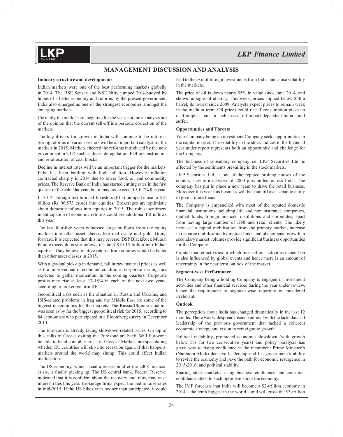### **MANAGEMENT DISCUSSION AND ANALYSIS**

#### **Industry structure and developments**

Indian markets were one of the best performing markets globally in 2014. The BSE Sensex and NSE Nifty jumped 30% buoyed by hopes of a better economy and reforms by the present government. India also emerged as one of the strongest economies amongst the emerging markets.

Currently the markets are negative for the year, but most analysts are of the opinion that the current sell-off is a periodic correction of the markets.

The key drivers for growth in India will continue to be reforms. Strong reforms in various sectors will be an important catalyst for the markets in 2015. Markets cheered the reforms introduced by the new government in 2014 such as diesel deregulation, FDI in construction and re-allocation of coal blocks.

Decline in interest rates will be an important trigger for the markets. India has been battling with high inflation. However, inflation contracted sharply in 2014 due to lower food, oil and commodity prices. The Reserve Bank of India has started cutting rates in the first quarter of the calendar year, but it may not exceed 0.5-0.7% this year.

In 2014, Foreign Institutional Investors (FIIs) pumped close to \$16 billion (Rs 96,573 crore) into equities. Brokerages are optimistic about domestic inflows into equities in 2015. The robust sentiment in anticipation of economic reforms could see additional FII inflows this year.

The last four-five years witnessed large outflows from the equity markets into other asset classes like real estate and gold. Going forward, it is expected that this may reverse. DSP BlackRock Mutual Fund expects domestic inflows of about \$10-15 billion into Indian equities. They believe relative returns from equities would be better than other asset classes in 2015.

With a gradual pick-up in demand, fall in raw material prices as well as the improvement in economic conditions, corporate earnings are expected to gather momentum in the coming quarters. Corporate profits may rise at least  $17-18\%$  in each of the next two years, according to brokerage firm IIFL.

Geopolitical risks such as the situation in Russia and Ukraine, and ISIS-related problems in Iraq and the Middle East are some of the biggest uncertainties for the markets. The Russia/Ukraine situation was seen as by far the biggest geopolitical risk for 2015, according to 84 economists who participated in a Bloomberg survey in December 2014.

The Eurozone is already facing slowdown-related issues. On top of this, talks of Greece exiting the Eurozone are back. Will Eurozone be able to handle another crisis in Greece? Markets are speculating whether EU countries will slip into recession again. If that happens, markets around the world may slump. This could affect Indian markets too.

The US economy, which faced a recession after the 2008 financial crisis, is finally picking up. The US central bank, Federal Reserve, indicated that it is confident about the recovery and, thus, may raise interest rates this year. Brokerage firms expect the Fed to raise rates in mid-2015. If the US hikes rates sooner than anticipated, it could lead to the exit of foreign investments from India and cause volatility in the markets.

The price of oil is down nearly 55% in value since June 2014, and shows no signs of abating. This week, prices slipped below \$50 a barrel, its lowest since 2009. Analysts expect prices to remain weak in the medium term. Oil prices could rise if consumption picks up or if output is cut. In such a case, oil import-dependent India could suffer.

#### **Opportunities and Threats**

Your Company being an investment Company seeks opportunities in the capital market. The volatility in the stock indices in the financial year under report represents both an opportunity and challenge for the Company.

The business of subsidiary company i.e. LKP Securities Ltd. is affected by the sentiments prevailing in the stock markets.

LKP Securities Ltd. is one of the reputed broking houses of the country, having a network of 2000 plus outlets across India. The company has put in place a new team to drive the retail business. Moreover this year this business will be spun off as a separate entity to give it more focus.

The Company is empanelled with most of the reputed domestic financial institutions including life and non insurance companies, mutual funds, foreign financial institutions and corporates, apart from having large number of HNI and retail clients. The likely increase in capital mobilisation from the primary market, increase in resource mobilisation by mutual funds and phenomenal growth in secondary market volumes provide significant business opportunities for the Company.

Capital market activities in which most of our activities depend on is also influenced by global events and hence there is an amount of uncertainty in the near term outlook of the market.

#### **Segment-wise Performance**

The Company being a holding Company is engaged in investment activities and other financial services during the year under review, hence the requirement of segment-wise reporting is considered irrelevant.

#### **Outlook**

The perception about India has changed dramatically in the last 12 months. There was widespread disenchantment with the lackadaisical leadership of the previous government that lacked a coherent economic strategy and vision to reinvigorate growth.

Political instability, protracted economic slowdown (with growth below 5% for two consecutive years) and policy paralysis has given way to rising confidence in the incumbent Prime Minister's (Narendra Modi) decisive leadership and his government's ability to revive the economy and pave the path for economic resurgence in 2015-2016, and political stability.

Soaring stock markets, rising business confidence and consumer confidence attest to such optimism about the economy.

The IMF forecasts that India will become a \$2-trillion economy in 2014 – the tenth biggest in the world – and will cross the \$3-trillion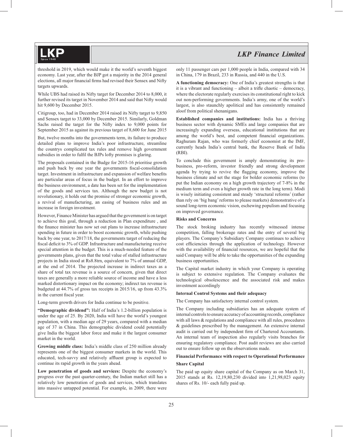threshold in 2019, which would make it the world's seventh biggest economy. Last year, after the BJP got a majority in the 2014 general elections, all major financial firms had revised their Sensex and Nifty targets upwards.

While UBS had raised its Nifty target for December 2014 to 8,000, it further revised its target in November 2014 and said that Nifty would hit 9,600 by December 2015.

Citigroup, too, had in December 2014 raised its Nifty target to 9,850 and Sensex target to 33,000 by December 2015. Similarly, Goldman Sachs raised the target for the Nifty index to 9,000 points for September 2015 as against its previous target of 8,600 for June 2015

But, twelve months into the governments term, its failure to produce detailed plans to improve India's poor infrastructure, streamline the countrys complicated tax rules and remove high government subsidies in order to fulfil the BJPs lofty promises is glaring.

The proposals contained in the Budge for 2015-16 prioritise growth and push back by one year the governments fiscal-consolidation target. Investment in infrastructure and expansion of welfare benefits are particular areas of focus in the budget. In an effort to improve the business environment, a date has been set for the implementation of the goods and services tax. Although the new budget is not revolutionary, it holds out the promise of stronger economic growth, a revival of manufacturing, an easing of business rules and an increase in foreign investment.

However, Finance Minister has argued that the government is on target to achieve this goal, through a reduction in Plan expenditure , and the finance minister has now set out plans to increase infrastructure spending in future in order to boost economic growth, while pushing back by one year, to 2017/18, the governments target of reducing the fiscal deficit to 3% of GDP. Infrastructure and manufacturing receive special attention in the budget. This is a much-needed feature of the governments plans, given that the total value of stalled infrastructure projects in India stood at Rs8.8trn, equivalent to 7% of annual GDP, at the end of 2014. The projected increase in indirect taxes as a share of total tax revenue is a source of concern, given that direct taxes are generally a more reliable source of income and have a less marked distortionary impact on the economy; indirect tax revenue is budgeted at 44.7% of gross tax receipts in 2015/16, up from 43.3% in the current fiscal year.

Long-term growth drivers for India continue to be positive.

**"Demographic dividend":** Half of India's 1.2-billion population is under the age of 25. By 2020, India will have the world's youngest population, with a median age of 29 years, compared with a median age of 37 in China. This demographic dividend could potentially give India the biggest labor force and make it the largest consumer market in the world.

**Growing middle class:** India's middle class of 250 million already represents one of the biggest consumer markets in the world. This educated, tech-savvy and relatively affluent group is expected to continue its rapid growth in the years ahead.

**Low penetration of goods and services:** Despite the economy's progress over the past quarter-century, the Indian market still has a relatively low penetration of goods and services, which translates into massive untapped potential. For example, in 2009, there were only 11 passenger cars per 1,000 people in India, compared with 34 in China, 179 in Brazil, 233 in Russia, and 440 in the U.S.

**A functioning democracy:** One of India's greatest strengths is that it is a vibrant and functioning  $-$  albeit a trifle chaotic  $-$  democracy, where the electorate regularly exercises its constitutional right to kick out non-performing governments. India's army, one of the world's largest, is also staunchly apolitical and has consistently remained aloof from political shenanigans.

**Established companies and institutions:** India has a thriving business sector with dynamic SMEs and large companies that are increasingly expanding overseas, educational institutions that are among the world's best, and competent financial organizations. Raghuram Rajan, who was formerly chief economist at the IMF, currently heads India's central bank, the Reserve Bank of India (RBI).

To conclude this government is amply demonstrating its probusiness, pro-reform, investor friendly and strong development agenda by trying to revive the flagging economy, improve the business climate and set the stage for bolder economic reforms (to put the Indian economy on a high growth trajectory of 7-8% in the medium term and even a higher growth rate in the long term). Modi is wisely initiating consistent and steady 'structural reforms' (rather than rely on 'big bang' reforms to please markets) demonstrative of a sound long-term economic vision, eschewing populism and focusing on improved governance.

#### **Risks and Concerns**

The stock broking industry has recently witnessed intense competition, falling brokerage rates and the entry of several big players. The Company's Subsidiary Company continues to achieve cost efficiencies through the application of technology. However with the availability of financial resources, we are hopeful that the said Company will be able to take the opportunities of the expanding business opportunities.

The Capital market industry in which your Company is operating is subject to extensive regulation. The Company evaluates the technological obsolescence and the associated risk and makes investment accordingly

#### **Internal Control Systems and their adequacy**

The Company has satisfactory internal control system.

The Company including subsidiaries has an adequate system of internal controls to ensure accuracy of accounting records, compliance with all laws & regulations and compliance with all rules, procedures & guidelines prescribed by the management. An extensive internal audit is carried out by independent firm of Chartered Accountants. An internal team of inspection also regularly visits branches for ensuring regulatory compliance. Post audit reviews are also carried out to ensure follow up on the observations made.

#### **Financial Performance with respect to Operational Performance**

#### **Share Capital**

The paid up equity share capital of the Company as on March 31, 2015 stands at Rs. 12,19,80,230 divided into 1,21,98,023 equity shares of Rs. 10/- each fully paid up.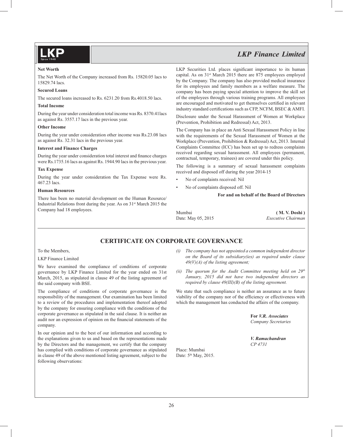#### **Net Worth**

The Net Worth of the Company increased from Rs. 15820.05 lacs to 15829.74 lacs.

#### **Secured Loans**

The secured loans increased to Rs. 6231.20 from Rs.4018.50 lacs.

#### **Total Income**

During the year under consideration total income was Rs. 8370.41lacs as against Rs. 3557.17 lacs in the previous year.

#### **Other Income**

During the year under consideration other income was Rs.23.08 lacs as against Rs. 32.31 lacs in the previous year.

#### **Interest and Finance Charges**

During the year under consideration total interest and finance charges were Rs.1735.16 lacs as against Rs. 1944.90 lacs in the previous year.

#### **Tax Expense**

During the year under consideration the Tax Expense were Rs. 467.23 lacs.

#### **Human Resources**

There has been no material development on the Human Resource/ Industrial Relations front during the year. As on 31st March 2015 the Company had 18 employees.

LKP Securities Ltd. places significant importance to its human capital. As on 31<sup>st</sup> March 2015 there are 875 employees employed by the Company. The company has also provided medical insurance for its employees and family members as a welfare measure. The company has been paying special attention to improve the skill set of the employees through various training programs. All employees are encouraged and motivated to get themselves certified in relevant industry standard certifications such as CFP, NCFM, BSEC & AMFI.

Disclosure under the Sexual Harassment of Women at Workplace (Prevention, Prohibition and Redressal) Act, 2013.

The Company has in place an Anti Sexual Harassment Policy in line with the requirements of the Sexual Harassment of Women at the Workplace (Prevention, Prohibition & Redressal) Act, 2013. Internal Complaints Committee (ICC) has been set up to redress complaints received regarding sexual harassment. All employees (permanent, contractual, temporary, trainees) are covered under this policy.

The following is a summary of sexual harassment complaints received and disposed off during the year 2014-15

- No of complaints received: Nil
- No of complaints disposed off. Nil

 **For and on behalf of the Board of Directors**

Mumbai **( M. V. Doshi )**

Date: May 05, 2015 *Executive Chairman*

### **CERTIFICATE ON CORPORATE GOVERNANCE**

#### To the Members,

#### LKP Finance Limited

We have examined the compliance of conditions of corporate governance by LKP Finance Limited for the year ended on 31st March, 2015, as stipulated in clause 49 of the listing agreement of the said company with BSE.

The compliance of conditions of corporate governance is the responsibility of the management. Our examination has been limited to a review of the procedures and implementation thereof adopted by the company for ensuring compliance with the conditions of the corporate governance as stipulated in the said clause. It is neither an audit nor an expression of opinion on the financial statements of the company.

In our opinion and to the best of our information and according to the explanations given to us and based on the representations made by the Directors and the management, we certify that the company has complied with conditions of corporate governance as stipulated in clause 49 of the above mentioned listing agreement, subject to the following observations:

- *(i) The company has not appointed a common independent director on the Board of its subsidiary(ies) as required under clause 49(V)(A) of the listing agreement;*
- (ii) The quorum for the Audit Committee meeting held on 29<sup>th</sup> *January, 2015 did not have two independent directors as required by clause 49(III)(B) of the listing agreement.*

We state that such compliance is neither an assurance as to future viability of the company nor of the efficiency or effectiveness with which the management has conducted the affairs of the company.

> **For** *V.R. Associates Company Secretaries*

*V. Ramachandran CP 4731*

Place: Mumbai Date: 5<sup>th</sup> May, 2015.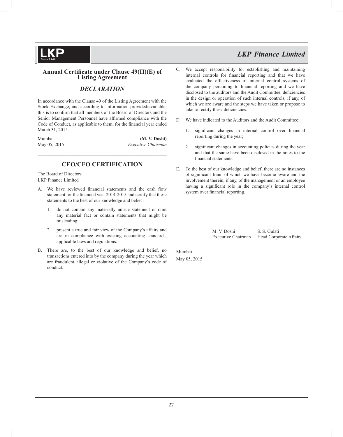

### *DECLARATION*

In accordance with the Clause 49 of the Listing Agreement with the Stock Exchange, and according to information provided/available, this is to confirm that all members of the Board of Directors and the Senior Management Personnel have affirmed compliance with the Code of Conduct, as applicable to them, for the financial year ended March 31, 2015.

Mumbai (**M. V. Doshi)** May 05, 2015 *Executive Chairman* 

### **CEO/CFO CERTIFICATION**

**\_\_\_\_\_\_\_\_\_\_\_\_\_\_\_\_\_\_\_\_\_\_\_\_\_\_\_\_\_\_\_\_\_\_\_\_\_\_\_\_\_**

The Board of Directors LKP Finance Limited

- A. We have reviewed financial statements and the cash flow statement for the financial year 2014-2015 and certify that these statements to the best of our knowledge and belief :
	- 1. do not contain any materially untrue statement or omit any material fact or contain statements that might be misleading:
	- 2. present a true and fair view of the Company's affairs and are in compliance with existing accounting standards, applicable laws and regulations.
- B. There are, to the best of our knowledge and belief, no transactions entered into by the company during the year which are fraudulent, illegal or violative of the Company's code of conduct.
- C. We accept responsibility for establishing and maintaining internal controls for financial reporting and that we have evaluated the effectiveness of internal control systems of the company pertaining to financial reporting and we have disclosed to the auditors and the Audit Committee, deficiencies in the design or operation of such internal controls, if any, of which we are aware and the steps we have taken or propose to take to rectify these deficiencies.
- D. We have indicated to the Auditors and the Audit Committee:
	- 1. significant changes in internal control over financial reporting during the year;
	- 2. significant changes in accounting policies during the year and that the same have been disclosed in the notes to the financial statements.
- E. To the best of our knowledge and belief, there are no instances of significant fraud of which we have become aware and the involvement therein, if any, of the management or an employee having a significant role in the company's internal control system over financial reporting.

M. V. Doshi S. S. Gulati

Executive Chairman Head Corporate Affairs

May 05, 2015

Mumbai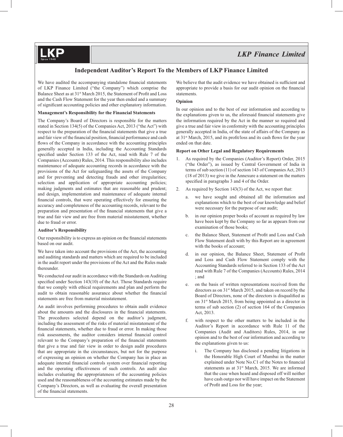### **Independent Auditor's Report To the Members of LKP Finance Limited**

We have audited the accompanying standalone financial statements of LKP Finance Limited ("the Company") which comprise the Balance Sheet as at 31<sup>st</sup> March 2015, the Statement of Profit and Loss and the Cash Flow Statement for the year then ended and a summary of significant accounting policies and other explanatory information.

#### **Management's Responsibility for the Financial Statements**

The Company's Board of Directors is responsible for the matters stated in Section 134(5) of the Companies Act, 2013 ("the Act") with respect to the preparation of the financial statements that give a true and fair view of the financial position, financial performance and cash flows of the Company in accordance with the accounting principles generally accepted in India, including the Accounting Standards specified under Section 133 of the Act, read with Rule 7 of the Companies (Accounts) Rules, 2014. This responsibility also includes maintenance of adequate accounting records in accordance with the provisions of the Act for safeguarding the assets of the Company and for preventing and detecting frauds and other irregularities; selection and application of appropriate accounting policies; making judgments and estimates that are reasonable and prudent; and design, implementation and maintenance of adequate internal financial controls, that were operating effectively for ensuring the accuracy and completeness of the accounting records, relevant to the preparation and presentation of the financial statements that give a true and fair view and are free from material misstatement, whether due to fraud or error.

#### **Auditor's Responsibility**

**KP** 

Our responsibility is to express an opinion on the financial statements based on our audit.

We have taken into account the provisions of the Act, the accounting and auditing standards and matters which are required to be included in the audit report under the provisions of the Act and the Rules made thereunder.

We conducted our audit in accordance with the Standards on Auditing specified under Section  $143(10)$  of the Act. Those Standards require that we comply with ethical requirements and plan and perform the audit to obtain reasonable assurance about whether the financial statements are free from material misstatement.

An audit involves performing procedures to obtain audit evidence about the amounts and the disclosures in the financial statements. The procedures selected depend on the auditor's judgment, including the assessment of the risks of material misstatement of the financial statements, whether due to fraud or error. In making those risk assessments, the auditor considers internal financial control relevant to the Company's preparation of the financial statements that give a true and fair view in order to design audit procedures that are appropriate in the circumstances, but not for the purpose of expressing an opinion on whether the Company has in place an adequate internal financial controls system over financial reporting and the operating effectiveness of such controls. An audit also includes evaluating the appropriateness of the accounting policies used and the reasonableness of the accounting estimates made by the Company's Directors, as well as evaluating the overall presentation of the financial statements.

We believe that the audit evidence we have obtained is sufficient and appropriate to provide a basis for our audit opinion on the financial statements.

#### **Opinion**

In our opinion and to the best of our information and according to the explanations given to us, the aforesaid financial statements give the information required by the Act in the manner so required and give a true and fair view in conformity with the accounting principles generally accepted in India, of the state of affairs of the Company as at  $31<sup>st</sup>$  March, 2015, and its profit/loss and its cash flows for the year ended on that date.

#### **Report on Other Legal and Regulatory Requirements**

- 1. As required by the Companies (Auditor's Report) Order, 2015 ("the Order"), as issued by Central Government of India in terms of sub section (11) of section 143 of Companies Act, 2013 (18 of 2013) we give in the Annexure a statement on the matters specified in paragraphs 3 and 4 of the Order.
- 2. As required by Section 143(3) of the Act, we report that:
	- a. we have sought and obtained all the information and explanations which to the best of our knowledge and belief were necessary for the purpose of our audit;
	- b. in our opinion proper books of account as required by law have been kept by the Company so far as appears from our examination of those books;
	- c. the Balance Sheet, Statement of Profit and Loss and Cash Flow Statement dealt with by this Report are in agreement with the books of account;
	- d. in our opinion, the Balance Sheet, Statement of Profit and Loss and Cash Flow Statement comply with the Accounting Standards referred to in Section 133 of the Act read with Rule 7 of the Companies (Accounts) Rules, 2014 ; and
	- e. on the basis of written representations received from the directors as on 31<sup>st</sup> March 2015, and taken on record by the Board of Directors, none of the directors is disqualified as on 31st March 2015, from being appointed as a director in terms of sub section (2) of section 164 of the Companies Act, 2013.
	- f. with respect to the other matters to be included in the Auditor's Report in accordance with Rule 11 of the Companies (Audit and Auditors) Rules, 2014, in our opinion and to the best of our information and according to the explanations given to us:
		- i. The Company has disclosed a pending litigations in the Honorable High Court of Mumbai in the matter explained under Note No.C1 of the Notes to financial statements as at 31<sup>st</sup> March, 2015. We are informed that the case when heard and disposed off will neither have cash outgo nor will have impact on the Statement of Profit and Loss for the year;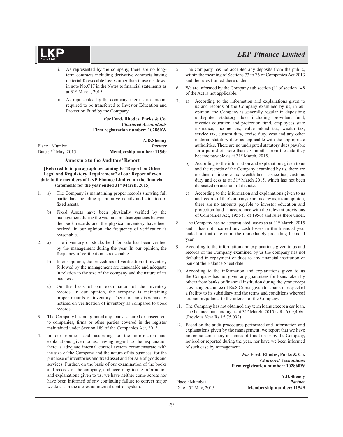- ii. As represented by the company, there are no longterm contracts including derivative contracts having material foreseeable losses other than those disclosed in note No.C17 in the Notes to financial statements as at 31st March, 2015;
- iii. As represented by the company, there is no amount required to be transferred to Investor Education and Protection Fund by the Company.

*For* **Ford, Rhodes, Parks & Co.** *Chartered Accountants*  **Firm registration number: 102860W**

**A.D.Shenoy** Place : Mumbai *Partner* Date :  $5<sup>th</sup>$  May, 2015 **Membership number: 11549** 

#### **Annexure to the Auditors' Report**

**[Referred to in paragraph pertaining to "Report on Other Legal and Regulatory Requirement" of our Report of even**  date to the members of LKP Finance Limited on the financial **statements for the year ended 31st March, 2015]**

- 1. a) The Company is maintaining proper records showing full particulars including quantitative details and situation of fixed assets.
	- b) Fixed Assets have been physically verified by the management during the year and no discrepancies between the book records and the physical inventory have been noticed. In our opinion, the frequency of verification is reasonable.
- 2. a) The inventory of stocks held for sale has been verified by the management during the year. In our opinion, the frequency of verification is reasonable.
	- b) In our opinion, the procedures of verification of inventory followed by the management are reasonable and adequate in relation to the size of the company and the nature of its business.
	- c) On the basis of our examination of the inventory records, in our opinion, the company is maintaining proper records of inventory. There are no discrepancies noticed on verification of inventory as compared to book records.
- 3. The Company has not granted any loans, secured or unsecured, to companies, firms or other parties covered in the register maintained under Section 189 of the Companies Act, 2013.
- 4. In our opinion and according to the information and explanations given to us, having regard to the explanation there is adequate internal control system commensurate with the size of the Company and the nature of its business, for the purchase of inventories and fixed asset and for sale of goods and services. Further, on the basis of our examination of the books and records of the company, and according to the information and explanations given to us, we have neither come across nor have been informed of any continuing failure to correct major weakness in the aforesaid internal control system.
- 5. The Company has not accepted any deposits from the public, within the meaning of Sections 73 to 76 of Companies Act 2013 and the rules framed there under.
- 6. We are informed by the Company sub section (1) of section 148 of the Act is not applicable.
- 7. a) According to the information and explanations given to us and records of the Company examined by us, in our opinion, the Company is generally regular in depositing undisputed statutory dues including provident fund, investor education and protection fund, employees state insurance, income tax, value added tax, wealth tax, service tax, custom duty, excise duty, cess and any other material statutory dues as applicable with the appropriate authorities. There are no undisputed statutory dues payable for a period of more than six months from the date they became payable as at 31<sup>st</sup> March, 2015.
	- b) According to the information and explanations given to us and the records of the Company examined by us, there are no dues of income tax, wealth tax, service tax, customs duty and cess as at 31<sup>st</sup> March 2015, which has not been deposited on account of dispute.
	- c) According to the information and explanations given to us and records of the Company examined by us, in our opinion, there are no amounts payable to investor education and protection fund in accordance with the relevant provisions of Companies Act, 1956 (1 of 1956) and rules there under.
- 8. The Company has no accumulated losses as at 31<sup>st</sup> March, 2015 and it has not incurred any cash losses in the financial year ended on that date or in the immediately preceding financial year.
- 9. According to the information and explanations given to us and records of the Company examined by us the company has not defaulted in repayment of dues to any financial institution or bank at the Balance Sheet date.
- 10. According to the information and explanations given to us the Company has not given any guarantees for loans taken by others from banks or financial institution during the year except a existing guarantee of Rs.8 Crores given to a bank in respect of a facility to its subsidiary and the terms and conditions whereof are not prejudicial to the interest of the Company.
- 11. The Company has not obtained any term loans except a car loan. The balance outstanding as at 31<sup>st</sup> March, 2015 is Rs.6,09,406/-(Previous Year Rs.15,75,092)
- 12. Based on the audit procedures performed and information and explanations given by the management, we report that we have not come across any instances of fraud on or by the Company, noticed or reported during the year, nor have we been informed of such case by management.

*For* **Ford, Rhodes, Parks & Co.** *Chartered Accountants*  **Firm registration number: 102860W**

**A.D.Shenoy** Place : Mumbai *Partner* Date : 5<sup>th</sup> May, 2015 **Membership number: 11549**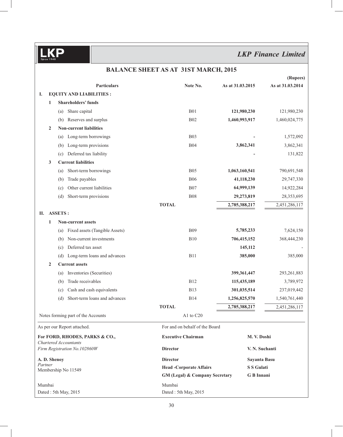|                                                       |                                       | BALANCE SHEET AS AT 31ST MARCH, 2015      |                   |                  |
|-------------------------------------------------------|---------------------------------------|-------------------------------------------|-------------------|------------------|
|                                                       |                                       |                                           |                   | (Rupees)         |
|                                                       | <b>Particulars</b>                    | Note No.                                  | As at 31.03.2015  | As at 31.03.2014 |
| I.                                                    | <b>EQUITY AND LIABILITIES:</b>        |                                           |                   |                  |
| $\mathbf{1}$                                          | <b>Shareholders' funds</b>            |                                           |                   |                  |
|                                                       | Share capital<br>(a)                  | <b>B01</b>                                | 121,980,230       | 121,980,230      |
|                                                       | Reserves and surplus<br>(b)           | <b>B02</b>                                | 1,460,993,917     | 1,460,024,775    |
| $\mathbf{2}$                                          | <b>Non-current liabilities</b>        |                                           |                   |                  |
|                                                       | Long-term borrowings<br>(a)           | <b>B03</b>                                |                   | 1,572,092        |
|                                                       | Long-term provisions<br>(b)           | <b>B04</b>                                | 3,862,341         | 3,862,341        |
|                                                       | Deferred tax liability<br>(c)         |                                           |                   | 131,822          |
| 3                                                     | <b>Current liabilities</b>            |                                           |                   |                  |
|                                                       | Short-term borrowings<br>(a)          | <b>B05</b>                                | 1,063,160,541     | 790,691,548      |
|                                                       | Trade payables<br>(b)                 | <b>B06</b>                                | 41,118,230        | 29,747,330       |
|                                                       | Other current liabilities<br>(c)      | <b>B07</b>                                | 64,999,139        | 14,922,284       |
|                                                       | Short-term provisions<br>(d)          | <b>B08</b>                                | 29,273,819        | 28,353,695       |
|                                                       |                                       | <b>TOTAL</b>                              | 2,785,388,217     | 2,451,286,117    |
| П.                                                    | <b>ASSETS:</b>                        |                                           |                   |                  |
| 1                                                     | <b>Non-current assets</b>             |                                           |                   |                  |
|                                                       | Fixed assets (Tangible Assets)<br>(a) | <b>B09</b>                                | 5,785,233         | 7,624,150        |
|                                                       | Non-current investments<br>(b)        | <b>B10</b>                                | 706,415,152       | 368,444,230      |
|                                                       | Deferred tax asset<br>(c)             |                                           | 145,112           |                  |
|                                                       | Long-term loans and advances<br>(d)   | <b>B11</b>                                | 385,000           | 385,000          |
| $\overline{2}$                                        | <b>Current assets</b>                 |                                           |                   |                  |
|                                                       | Inventories (Securities)<br>(a)       |                                           | 399,361,447       | 293, 261, 883    |
|                                                       | Trade receivables<br>(b)              | <b>B12</b>                                | 115,435,189       | 3,789,972        |
|                                                       | Cash and cash equivalents<br>(c)      | <b>B13</b>                                | 301,035,514       | 237,019,442      |
|                                                       | Short-term loans and advances<br>(d)  | <b>B14</b>                                | 1,256,825,570     | 1,540,761,440    |
|                                                       |                                       | <b>TOTAL</b>                              | 2,785,388,217     | 2,451,286,117    |
|                                                       | Notes forming part of the Accounts    | A1 to $C20$                               |                   |                  |
|                                                       | As per our Report attached.           | For and on behalf of the Board            |                   |                  |
|                                                       | For FORD, RHODES, PARKS & CO.,        | <b>Executive Chairman</b>                 | M. V. Doshi       |                  |
| Chartered Accountants<br>Firm Registration No.102860W |                                       | <b>Director</b>                           | V. N. Suchanti    |                  |
| A.D. Shenoy                                           |                                       | <b>Director</b>                           | Sayanta Basu      |                  |
| Partner                                               | Membership No 11549                   | <b>Head -Corporate Affairs</b>            | <b>S S Gulati</b> |                  |
|                                                       |                                       | <b>GM (Legal) &amp; Company Secretary</b> | <b>G</b> B Innani |                  |
| Mumbai                                                |                                       | Mumbai                                    |                   |                  |
|                                                       | Dated: 5th May, 2015                  | Dated: 5th May, 2015                      |                   |                  |

### **BALANCE SHEET AS AT 31ST MARCH, 2015**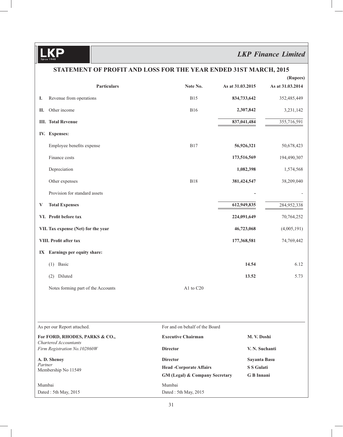### *LKP Finance Limited*

|                                     | STATEMENT OF PROFIT AND LOSS FOR THE YEAR ENDED 31ST MARCH, 2015 |                                                                             |                                   |                              |  |  |  |  |
|-------------------------------------|------------------------------------------------------------------|-----------------------------------------------------------------------------|-----------------------------------|------------------------------|--|--|--|--|
|                                     | <b>Particulars</b>                                               | Note No.                                                                    | As at 31.03.2015                  | (Rupees)<br>As at 31.03.2014 |  |  |  |  |
| Ι.                                  | Revenue from operations                                          | <b>B15</b>                                                                  | 834,733,642                       | 352,485,449                  |  |  |  |  |
| П.                                  | Other income                                                     | <b>B16</b>                                                                  | 2,307,842                         | 3,231,142                    |  |  |  |  |
|                                     | <b>III.</b> Total Revenue                                        |                                                                             | 837,041,484                       | 355,716,591                  |  |  |  |  |
|                                     | IV. Expenses:                                                    |                                                                             |                                   |                              |  |  |  |  |
|                                     | Employee benefits expense                                        | <b>B17</b>                                                                  | 56,926,321                        | 50,678,423                   |  |  |  |  |
|                                     | Finance costs                                                    |                                                                             | 173,516,569                       | 194,490,307                  |  |  |  |  |
|                                     | Depreciation                                                     |                                                                             | 1,082,398                         | 1,574,568                    |  |  |  |  |
|                                     | Other expenses                                                   | <b>B18</b>                                                                  | 381,424,547                       | 38,209,040                   |  |  |  |  |
|                                     | Provision for standard assets                                    |                                                                             |                                   |                              |  |  |  |  |
| V                                   | <b>Total Expenses</b>                                            |                                                                             | 612,949,835                       | 284,952,338                  |  |  |  |  |
|                                     | VI. Profit before tax                                            |                                                                             | 224,091,649                       | 70,764,252                   |  |  |  |  |
| VII. Tax expense (Net) for the year |                                                                  |                                                                             | 46,723,068                        | (4,005,191)                  |  |  |  |  |
|                                     | VIII. Profit after tax                                           |                                                                             | 177,368,581                       | 74,769,442                   |  |  |  |  |
|                                     | IX Earnings per equity share:                                    |                                                                             |                                   |                              |  |  |  |  |
|                                     | Basic<br>(1)                                                     |                                                                             | 14.54                             | 6.12                         |  |  |  |  |
|                                     | Diluted<br>(2)                                                   |                                                                             | 13.52                             | 5.73                         |  |  |  |  |
|                                     | Notes forming part of the Accounts                               | A1 to C20                                                                   |                                   |                              |  |  |  |  |
|                                     |                                                                  |                                                                             |                                   |                              |  |  |  |  |
|                                     | As per our Report attached.                                      | For and on behalf of the Board                                              |                                   |                              |  |  |  |  |
|                                     | For FORD, RHODES, PARKS & CO.,<br>Chartered Accountants          | <b>Executive Chairman</b>                                                   | M. V. Doshi                       |                              |  |  |  |  |
|                                     | Firm Registration No.102860W                                     | <b>Director</b>                                                             | V. N. Suchanti                    |                              |  |  |  |  |
| A.D. Shenoy<br>Partner              |                                                                  | <b>Director</b>                                                             | Sayanta Basu<br><b>S S Gulati</b> |                              |  |  |  |  |
|                                     | Membership No 11549                                              | <b>Head -Corporate Affairs</b><br><b>GM (Legal) &amp; Company Secretary</b> | G B Innani                        |                              |  |  |  |  |
| Mumbai                              | Dated: 5th May, 2015                                             | Mumbai<br>Dated: 5th May, 2015                                              |                                   |                              |  |  |  |  |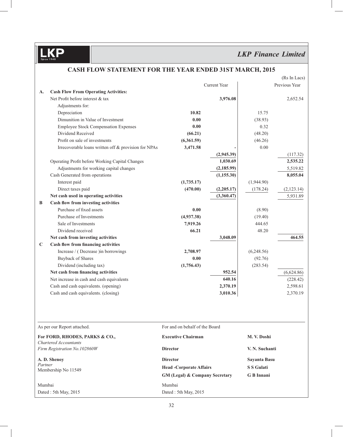## *LKP Finance Limited*

|              |                                                         |                                           |                     |                   | (Rs In Lacs)  |
|--------------|---------------------------------------------------------|-------------------------------------------|---------------------|-------------------|---------------|
|              |                                                         |                                           | <b>Current Year</b> |                   | Previous Year |
| A.           | <b>Cash Flow From Operating Activities:</b>             |                                           |                     |                   |               |
|              | Net Profit before interest & tax                        |                                           | 3,976.08            |                   | 2,652.54      |
|              | Adjustments for:                                        |                                           |                     |                   |               |
|              | Depreciation                                            | 10.82                                     |                     | 15.75             |               |
|              | Dimunition in Value of Investment                       | 0.00                                      |                     | (38.93)           |               |
|              | <b>Employee Stock Compensation Expenses</b>             | 0.00                                      |                     | 0.32              |               |
|              | Dividend Received                                       | (66.21)                                   |                     | (48.20)           |               |
|              | Profit on sale of investments                           | (6,361.59)                                |                     | (46.26)           |               |
|              | Irrecoverable loans written off & provision for NPAs    | 3,471.58                                  |                     | 0.00              |               |
|              |                                                         |                                           | (2,945.39)          |                   | (117.32)      |
|              | Operating Profit before Working Capital Changes         |                                           | 1,030.69            |                   | 2,535.22      |
|              | Adjustments for working capital changes                 |                                           | (2, 185.99)         |                   | 5,519.82      |
|              | Cash Generated from operations                          |                                           | (1, 155.30)         |                   | 8,055.04      |
|              | Interest paid                                           | (1,735.17)                                |                     | (1,944.90)        |               |
|              | Direct taxes paid                                       | (470.00)                                  | (2,205.17)          | (178.24)          | (2, 123.14)   |
|              | Net cash used in operating activities                   |                                           | (3,360.47)          |                   | 5,931.89      |
| B            | Cash flow from investing activities                     |                                           |                     |                   |               |
|              | Purchase of fixed assets                                | 0.00                                      |                     | (8.90)            |               |
|              | Purchase of Investments                                 | (4,937.38)                                |                     | (19.40)           |               |
|              | Sale of Investments                                     | 7,919.26                                  |                     | 444.65            |               |
|              | Dividend received                                       | 66.21                                     |                     | 48.20             |               |
|              | Net cash from investing activities                      |                                           | 3,048.09            |                   | 464.55        |
| C            | Cash flow from financing activities                     |                                           |                     |                   |               |
|              | Increase / (Decrease ) in borrowings                    | 2,708.97                                  |                     | (6,248.56)        |               |
|              | <b>Buyback of Shares</b>                                | 0.00                                      |                     | (92.76)           |               |
|              | Dividend (including tax)                                | (1,756.43)                                |                     | (283.54)          |               |
|              | Net cash from financing activities                      |                                           | 952.54              |                   | (6,624.86)    |
|              | Net increase in cash and cash equivalents               |                                           | 640.16              |                   | (228.42)      |
|              | Cash and cash equivalents. (opening)                    |                                           | 2,370.19            |                   | 2,598.61      |
|              | Cash and cash equivalents. (closing)                    |                                           | 3,010.36            |                   | 2,370.19      |
|              |                                                         |                                           |                     |                   |               |
|              | As per our Report attached.                             | For and on behalf of the Board            |                     |                   |               |
|              | For FORD, RHODES, PARKS & CO.,<br>Chartered Accountants | <b>Executive Chairman</b>                 |                     | M. V. Doshi       |               |
|              | Firm Registration No.102860W                            | <b>Director</b>                           |                     | V. N. Suchanti    |               |
| A. D. Shenoy |                                                         | <b>Director</b>                           |                     | Sayanta Basu      |               |
| Partner      |                                                         | <b>Head -Corporate Affairs</b>            |                     | <b>S S Gulati</b> |               |
|              | Membership No 11549                                     | <b>GM (Legal) &amp; Company Secretary</b> |                     | <b>G</b> B Innani |               |
| Mumbai       |                                                         | Mumbai                                    |                     |                   |               |

### **CASH FLOW STATEMENT FOR THE YEAR ENDED 31ST MARCH, 2015**

32

Dated : 5th May, 2015 Dated : 5th May, 2015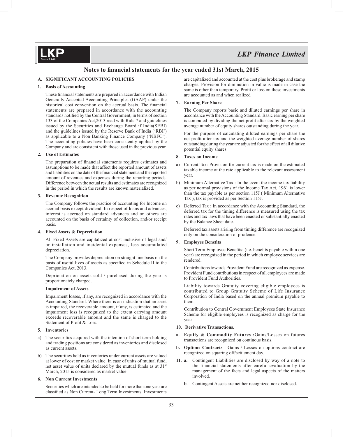### Notes to financial statements for the year ended 31st March, 2015

#### **A. SIGNIFICANT ACCOUNTING POLICIES**

#### **1. Basis of Accounting**

These financial statements are prepared in accordance with Indian Generally Accepted Accounting Principles (GAAP) under the historical cost convention on the accrual basis. The financial statements are prepared in accordance with the accounting standards notified by the Central Government, in terms of section 133 of the Companies Act,2013 read with Rule 7 and guidelines issued by the Securities and Exchange Board if India(SEBI) and the guidelines issued by the Reserve Bank of India ('RBI') as applicable to a Non Banking Finance Company ('NBFC'). The accounting policies have been consistently applied by the Company and are consistent with those used in the previous year.

#### **2. Use of Estimates**

The preparation of financial statements requires estimates and assumptions to be made that affect the reported amount of assets and liabilities on the date of the financial statement and the reported amount of revenues and expenses during the reporting periods. Difference between the actual results and estimates are recognized in the period in which the results are known materialized.

#### **3. Revenue Recognition**

 The Company follows the practice of accounting for Income on accrual basis except dividend. In respect of loans and advances, interest is accrued on standard advances and on others are accounted on the basis of certainty of collection, and/or receipt basis.

#### **4. Fixed Assets & Depreciation**

 All Fixed Assets are capitalized at cost inclusive of legal and/ or installation and incidental expenses, less accumulated depreciation.

 The Company provides depreciation on straight line basis on the basis of useful lives of assets as specified in Schedule II to the Companies Act, 2013.

 Depriciation on assets sold / purchased during the year is proportionately charged.

#### **Impairment of Assets**

 Impairment losses, if any, are recognized in accordance with the Accounting Standard. Where there is an indication that an asset is impaired, the recoverable amount, if any, is estimated and the impairment loss is recognized to the extent carrying amount exceeds recoverable amount and the same is charged to the Statement of Profit & Loss.

#### **5. Inventories**

- a) The securities acquired with the intention of short term holding and trading positions are considered as inventories and disclosed as current assets.
- b) The securities held as inventories under current assets are valued at lower of cost or market value. In case of units of mutual fund, net asset value of units declared by the mutual funds as at 31<sup>st</sup> March, 2015 is considered as market value.

#### **6. Non Current Investments**

 Securities which are intended to be held for more than one year are classified as Non Current- Long Term Investments. Investments are capitalized and accounted at the cost plus brokerage and stamp charges. Provision for diminution in value is made in case the same is other than temporary. Profit or loss on these investments are accounted as and when realized

#### **7. Earning Per Share**

 The Company reports basic and diluted earnings per share in accordance with the Accounting Standard. Basic earning per share is computed by dividing the net profit after tax by the weighted average number of equity shares outstanding during the year.

 For the purpose of calculating diluted earnings per share the net profit after tax and the weighted average number of shares outstanding during the year are adjusted for the effect of all dilutive potential equity shares.

#### **8. Taxes on Income**

- a) Current Tax: Provision for current tax is made on the estimated taxable income at the rate applicable to the relevant assessment year.
- b) Minimum Alternative Tax : In the event the income tax liability as per normal provisions of the Income Tax Act, 1961 is lower than the tax payable as per section 115J ( Minimum Alternative Tax ), tax is provided as per Section 115J.
- c) Deferred Tax : In accordance with the Accounting Standard, the deferred tax for the timing difference is measured using the tax rates and tax laws that have been enacted or substantially enacted by the Balance Sheet date.

 Deferred tax assets arising from timing difference are recognized only on the consideration of prudence.

#### **9.** Employee Benefits

Short Term Employee Benefits: (i.e. benefits payable within one year) are recognized in the period in which employee services are rendered.

 Contributions towards Provident Fund are recognized as expense. Provident Fund contributions in respect of all employees are made to Provident Fund Authorities.

 Liability towards Gratuity covering eligible employees is contributed to Group Gratuity Scheme of Life Insurance Corporation of India based on the annual premium payable to them.

 Contribution to Central Government Employees State Insurance Scheme for eligible employees is recognized as charge for the year

#### **10. Derivative Transactions.**

- **a. Equity & Commodity Futures :**Gains/Losses on futures transactions are recognized on continous basis.
- **b. Options Contracts** : Gains / Losses on options contract are recognized on squaring off/settlement day.
- **11. a.** Contingent Liabilities are disclosed by way of a note to the financial statements after careful evaluation by the management of the facts and legal aspects of the matters involved.
	- **b**. Contingent Assets are neither recognized nor disclosed.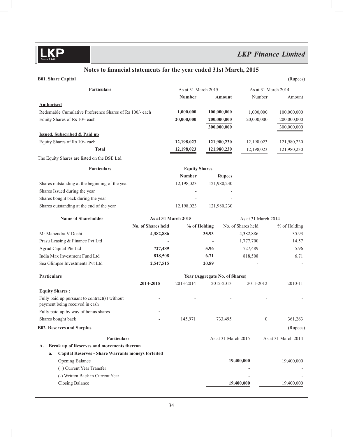## *LKP Finance Limited*

### Notes to financial statements for the year ended 31st March, 2015

| <b>B01. Share Capital</b>                                                       |                     |                      |                                |                     |                     | (Rupees)            |
|---------------------------------------------------------------------------------|---------------------|----------------------|--------------------------------|---------------------|---------------------|---------------------|
| <b>Particulars</b>                                                              |                     | As at 31 March 2015  |                                |                     | As at 31 March 2014 |                     |
|                                                                                 |                     | <b>Number</b>        |                                | Amount              | Number              | Amount              |
| <b>Authorised</b>                                                               |                     |                      |                                |                     |                     |                     |
| Redemable Cumulative Preference Shares of Rs 100/- each                         |                     | 1,000,000            | 100,000,000                    |                     | 1,000,000           | 100,000,000         |
| Equity Shares of Rs 10/- each                                                   |                     | 20,000,000           | 200,000,000                    |                     | 20,000,000          | 200,000,000         |
|                                                                                 |                     |                      | 300,000,000                    |                     |                     | 300,000,000         |
| <b>Issued, Subscribed &amp; Paid up</b>                                         |                     |                      |                                |                     |                     |                     |
| Equity Shares of Rs 10/- each                                                   |                     | 12,198,023           | 121,980,230                    |                     | 12,198,023          | 121,980,230         |
| <b>Total</b>                                                                    |                     | 12,198,023           | 121,980,230                    |                     | 12,198,023          | 121,980,230         |
| The Equity Shares are listed on the BSE Ltd.                                    |                     |                      |                                |                     |                     |                     |
| <b>Particulars</b>                                                              |                     | <b>Equity Shares</b> |                                |                     |                     |                     |
|                                                                                 |                     | <b>Number</b>        |                                | <b>Rupees</b>       |                     |                     |
| Shares outstanding at the beginning of the year                                 |                     | 12,198,023           | 121,980,230                    |                     |                     |                     |
| Shares Issued during the year                                                   |                     |                      |                                |                     |                     |                     |
| Shares bought back during the year                                              |                     |                      |                                |                     |                     |                     |
| Shares outstanding at the end of the year                                       |                     | 12,198,023           | 121,980,230                    |                     |                     |                     |
| <b>Name of Shareholder</b>                                                      | As at 31 March 2015 |                      |                                |                     | As at 31 March 2014 |                     |
|                                                                                 | No. of Shares held  |                      | % of Holding                   | No. of Shares held  |                     | % of Holding        |
| Mr Mahendra V Doshi                                                             | 4,382,886           |                      | 35.93                          | 4,382,886           |                     | 35.93               |
| Prasu Leasing & Finance Pvt Ltd                                                 |                     |                      |                                | 1,777,700           |                     | 14.57               |
| Agrud Capital Pte Ltd                                                           | 727,489             |                      | 5.96                           | 727,489             |                     | 5.96                |
| India Max Investment Fund Ltd                                                   | 818,508             |                      | 6.71                           | 818,508             |                     | 6.71                |
| Sea Glimpse Investments Pvt Ltd                                                 | 2,547,515           |                      | 20.89                          |                     |                     |                     |
| <b>Particulars</b>                                                              |                     |                      | Year (Aggregate No. of Shares) |                     |                     |                     |
|                                                                                 | 2014-2015           | 2013-2014            | 2012-2013                      |                     | 2011-2012           | 2010-11             |
| <b>Equity Shares:</b>                                                           |                     |                      |                                |                     |                     |                     |
| Fully paid up pursuant to contract(s) without<br>payment being received in cash |                     |                      |                                |                     |                     |                     |
| Fully paid up by way of bonus shares                                            |                     |                      |                                |                     |                     |                     |
| Shares bought back                                                              |                     | 145,971              |                                | 733,495             | $\boldsymbol{0}$    | 361,263             |
| <b>B02. Reserves and Surplus</b>                                                |                     |                      |                                |                     |                     | (Rupees)            |
| Particulars                                                                     |                     |                      |                                | As at 31 March 2015 |                     | As at 31 March 2014 |
| Break up of Reserves and movements thereon<br>А.                                |                     |                      |                                |                     |                     |                     |
| <b>Capital Reserves - Share Warrants moneys forfeited</b><br>a.                 |                     |                      |                                |                     |                     |                     |
| <b>Opening Balance</b>                                                          |                     |                      |                                | 19,400,000          |                     | 19,400,000          |
| (+) Current Year Transfer                                                       |                     |                      |                                |                     |                     |                     |
| (-) Written Back in Current Year                                                |                     |                      |                                |                     |                     |                     |
| <b>Closing Balance</b>                                                          |                     |                      |                                | 19,400,000          |                     | 19,400,000          |
|                                                                                 |                     |                      |                                |                     |                     |                     |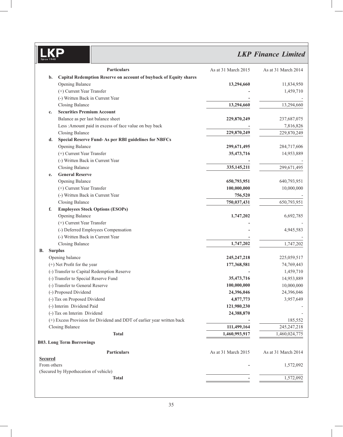## *LKP Finance Limited*

|                | Particulars                                                            | As at 31 March 2015 | As at 31 March 2014 |
|----------------|------------------------------------------------------------------------|---------------------|---------------------|
| b.             | Capital Redemption Reserve on account of buyback of Equity shares      |                     |                     |
|                | Opening Balance                                                        | 13,294,660          | 11,834,950          |
|                | (+) Current Year Transfer                                              |                     | 1,459,710           |
|                | (-) Written Back in Current Year                                       |                     |                     |
|                | <b>Closing Balance</b>                                                 | 13,294,660          | 13,294,660          |
| c.             | <b>Securities Premium Account</b>                                      |                     |                     |
|                | Balance as per last balance sheet                                      | 229,870,249         | 237,687,075         |
|                | Less : Amount paid in excess of face value on buy back                 |                     | 7,816,826           |
|                | <b>Closing Balance</b>                                                 | 229,870,249         | 229,870,249         |
| d.             | <b>Special Reserve Fund-As per RBI guidelines for NBFCs</b>            |                     |                     |
|                | Opening Balance                                                        | 299,671,495         | 284,717,606         |
|                | (+) Current Year Transfer                                              | 35,473,716          | 14,953,889          |
|                | (-) Written Back in Current Year                                       |                     |                     |
|                | <b>Closing Balance</b>                                                 | 335,145,211         | 299,671,495         |
| e.             | <b>General Reserve</b>                                                 |                     |                     |
|                | Opening Balance                                                        | 650,793,951         | 640,793,951         |
|                | (+) Current Year Transfer                                              | 100,000,000         | 10,000,000          |
|                | (-) Written Back in Current Year                                       | 756,520             |                     |
|                | <b>Closing Balance</b>                                                 | 750,037,431         | 650,793,951         |
| f.             | <b>Employees Stock Options (ESOPs)</b>                                 |                     |                     |
|                | Opening Balance                                                        | 1,747,202           | 6,692,785           |
|                | (+) Current Year Transfer                                              |                     |                     |
|                | (-) Deferred Employees Compensation                                    |                     | 4,945,583           |
|                | (-) Written Back in Current Year                                       |                     |                     |
|                | <b>Closing Balance</b>                                                 | 1,747,202           | 1,747,202           |
| В.             | <b>Surplus</b>                                                         |                     |                     |
|                | Opening balance                                                        | 245, 247, 218       | 225,059,517         |
|                | (+) Net Profit for the year                                            | 177,368,581         | 74,769,443          |
|                | (-) Transfer to Capital Redemption Reserve                             |                     | 1,459,710           |
|                | (-) Transfer to Special Reserve Fund                                   | 35,473,716          | 14,953,889          |
|                | (-) Transfer to General Reserve                                        | 100,000,000         | 10,000,000          |
|                | (-) Proposed Dividend                                                  | 24,396,046          | 24,396,046          |
|                | (-) Tax on Proposed Dividend                                           | 4,877,773           | 3,957,649           |
|                | (-) Interim Dividend Paid                                              | 121,980,230         |                     |
|                | (-) Tax on Interim Dividend                                            | 24,388,870          |                     |
|                | (+) Excess Provision for Dividend and DDT of earlier year written back |                     | 185,552             |
|                | Closing Balance                                                        | 111,499,164         | 245, 247, 218       |
|                | <b>Total</b>                                                           | 1,460,993,917       | 1,460,024,775       |
|                |                                                                        |                     |                     |
|                | <b>B03. Long Term Borrowings</b>                                       |                     |                     |
|                | Particulars                                                            | As at 31 March 2015 | As at 31 March 2014 |
| <b>Secured</b> |                                                                        |                     |                     |
| From others    |                                                                        |                     | 1,572,092           |
|                | (Secured by Hypothecation of vehicle)                                  |                     |                     |
|                | <b>Total</b>                                                           |                     | 1,572,092           |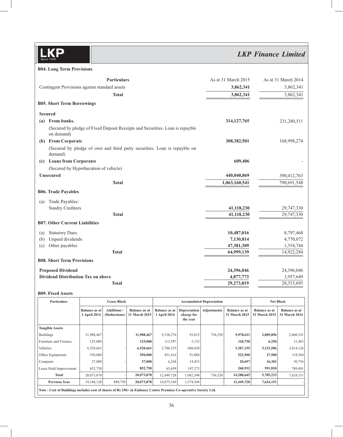## *LKP Finance Limited*

#### **B04. Long Term Provisions**

| Contingent Provisions against standard assets<br>3,862,341<br>3,862,341<br><b>Total</b><br><b>B05. Short Term Borrowings</b><br><b>Secured</b><br>From banks.<br>314, 127, 765<br>(a)<br>(Secured by pledge of Fixed Deposit Receipts and Securities. Loan is repayble<br>on demand)<br>(b) From Corporate<br>308,382,501<br>(Secured by pledge of own and third party securities. Loan is repayble on<br>demand)<br>(c) Loans from Corporates<br>609,406<br>(Secured by Hypothecation of vehicle)<br><b>Unsecured</b><br>440,040,869<br>1,063,160,541<br><b>Total</b><br><b>B06. Trade Payables</b><br>Trade Payables:<br>(a)<br><b>Sundry Creditors</b><br>41,118,230<br>41,118,230<br><b>Total</b><br><b>B07. Other Current Liabilities</b><br><b>Statutory Dues</b><br>10,487,016<br>(a)<br>Unpaid dividends<br>7,130,814<br>(b)<br>Other payables<br>47,381,309<br>(c)<br><b>Total</b><br>64,999,139<br><b>B08. Short Term Provisions</b><br><b>Proposed Dividend</b><br>24,396,046<br>Dividend Distribution Tax on above<br>4,877,773<br>29,273,819<br><b>Total</b> | Particulars | As at 31 March 2015 | As at 31 March 2014 |
|---------------------------------------------------------------------------------------------------------------------------------------------------------------------------------------------------------------------------------------------------------------------------------------------------------------------------------------------------------------------------------------------------------------------------------------------------------------------------------------------------------------------------------------------------------------------------------------------------------------------------------------------------------------------------------------------------------------------------------------------------------------------------------------------------------------------------------------------------------------------------------------------------------------------------------------------------------------------------------------------------------------------------------------------------------------------------|-------------|---------------------|---------------------|
|                                                                                                                                                                                                                                                                                                                                                                                                                                                                                                                                                                                                                                                                                                                                                                                                                                                                                                                                                                                                                                                                           |             |                     | 3,862,341           |
|                                                                                                                                                                                                                                                                                                                                                                                                                                                                                                                                                                                                                                                                                                                                                                                                                                                                                                                                                                                                                                                                           |             |                     | 3,862,341           |
|                                                                                                                                                                                                                                                                                                                                                                                                                                                                                                                                                                                                                                                                                                                                                                                                                                                                                                                                                                                                                                                                           |             |                     |                     |
|                                                                                                                                                                                                                                                                                                                                                                                                                                                                                                                                                                                                                                                                                                                                                                                                                                                                                                                                                                                                                                                                           |             |                     |                     |
|                                                                                                                                                                                                                                                                                                                                                                                                                                                                                                                                                                                                                                                                                                                                                                                                                                                                                                                                                                                                                                                                           |             |                     | 231,280,511         |
|                                                                                                                                                                                                                                                                                                                                                                                                                                                                                                                                                                                                                                                                                                                                                                                                                                                                                                                                                                                                                                                                           |             |                     |                     |
|                                                                                                                                                                                                                                                                                                                                                                                                                                                                                                                                                                                                                                                                                                                                                                                                                                                                                                                                                                                                                                                                           |             |                     | 168,998,274         |
|                                                                                                                                                                                                                                                                                                                                                                                                                                                                                                                                                                                                                                                                                                                                                                                                                                                                                                                                                                                                                                                                           |             |                     |                     |
|                                                                                                                                                                                                                                                                                                                                                                                                                                                                                                                                                                                                                                                                                                                                                                                                                                                                                                                                                                                                                                                                           |             |                     |                     |
|                                                                                                                                                                                                                                                                                                                                                                                                                                                                                                                                                                                                                                                                                                                                                                                                                                                                                                                                                                                                                                                                           |             |                     |                     |
|                                                                                                                                                                                                                                                                                                                                                                                                                                                                                                                                                                                                                                                                                                                                                                                                                                                                                                                                                                                                                                                                           |             |                     | 390,412,763         |
|                                                                                                                                                                                                                                                                                                                                                                                                                                                                                                                                                                                                                                                                                                                                                                                                                                                                                                                                                                                                                                                                           |             |                     | 790,691,548         |
|                                                                                                                                                                                                                                                                                                                                                                                                                                                                                                                                                                                                                                                                                                                                                                                                                                                                                                                                                                                                                                                                           |             |                     |                     |
|                                                                                                                                                                                                                                                                                                                                                                                                                                                                                                                                                                                                                                                                                                                                                                                                                                                                                                                                                                                                                                                                           |             |                     |                     |
|                                                                                                                                                                                                                                                                                                                                                                                                                                                                                                                                                                                                                                                                                                                                                                                                                                                                                                                                                                                                                                                                           |             |                     | 29,747,330          |
|                                                                                                                                                                                                                                                                                                                                                                                                                                                                                                                                                                                                                                                                                                                                                                                                                                                                                                                                                                                                                                                                           |             |                     | 29,747,330          |
|                                                                                                                                                                                                                                                                                                                                                                                                                                                                                                                                                                                                                                                                                                                                                                                                                                                                                                                                                                                                                                                                           |             |                     |                     |
|                                                                                                                                                                                                                                                                                                                                                                                                                                                                                                                                                                                                                                                                                                                                                                                                                                                                                                                                                                                                                                                                           |             |                     | 8,797,468           |
|                                                                                                                                                                                                                                                                                                                                                                                                                                                                                                                                                                                                                                                                                                                                                                                                                                                                                                                                                                                                                                                                           |             |                     | 4,770,072           |
|                                                                                                                                                                                                                                                                                                                                                                                                                                                                                                                                                                                                                                                                                                                                                                                                                                                                                                                                                                                                                                                                           |             |                     | 1,354,744           |
|                                                                                                                                                                                                                                                                                                                                                                                                                                                                                                                                                                                                                                                                                                                                                                                                                                                                                                                                                                                                                                                                           |             |                     | 14,922,284          |
|                                                                                                                                                                                                                                                                                                                                                                                                                                                                                                                                                                                                                                                                                                                                                                                                                                                                                                                                                                                                                                                                           |             |                     |                     |
|                                                                                                                                                                                                                                                                                                                                                                                                                                                                                                                                                                                                                                                                                                                                                                                                                                                                                                                                                                                                                                                                           |             |                     | 24,396,046          |
|                                                                                                                                                                                                                                                                                                                                                                                                                                                                                                                                                                                                                                                                                                                                                                                                                                                                                                                                                                                                                                                                           |             |                     | 3,957,649           |
|                                                                                                                                                                                                                                                                                                                                                                                                                                                                                                                                                                                                                                                                                                                                                                                                                                                                                                                                                                                                                                                                           |             |                     | 28,353,695          |

#### **B09. Fixed Assets**

| <b>Particulars</b>                                                                                               | <b>Gross Block</b>                   |                           | <b>Accumulated Depreciation</b>       |                                      |                                        |                    | <b>Net Block</b>                      |                                       |                                              |
|------------------------------------------------------------------------------------------------------------------|--------------------------------------|---------------------------|---------------------------------------|--------------------------------------|----------------------------------------|--------------------|---------------------------------------|---------------------------------------|----------------------------------------------|
|                                                                                                                  | <b>Balance as at</b><br>1 April 2014 | Additions<br>(Deductions) | <b>Balance as at</b><br>31 March 2015 | <b>Balance as at</b><br>1 April 2014 | Depreciation<br>charge for<br>the year | <b>Adjustments</b> | <b>Balance as at</b><br>31 March 2015 | <b>Balance as at</b><br>31 March 2015 | <b>Balance as at</b><br><b>31 March 2014</b> |
| <b>Tangible Assets</b>                                                                                           |                                      |                           |                                       |                                      |                                        |                    |                                       |                                       |                                              |
| <b>Buildings</b>                                                                                                 | 11,988,467                           |                           | 11,988,467                            | 9,128,276                            | 93,815                                 | 756,520            | 9,978,611                             | 2,009,856                             | 2,860,191                                    |
| Furniture and Fixtures                                                                                           | 125,000                              |                           | 125,000                               | 113,597                              | 5,153                                  |                    | 118,750                               | 6,250                                 | 11,403                                       |
| Vehicles                                                                                                         | 6,520,661                            |                           | 6,520,661                             | 2,706,535                            | 680,620                                |                    | 3,387,155                             | 3,133,506                             | 3,814,126                                    |
| Office Equipments                                                                                                | 550,000                              |                           | 550,000                               | 431,416                              | 91,084                                 |                    | 522,500                               | 27,500                                | 118,584                                      |
| Computer                                                                                                         | 37,000                               |                           | 37,000                                | 6,244                                | 14,453                                 |                    | 20,697                                | 16,303                                | 30,756                                       |
| Lease Hold Improvement                                                                                           | 852,750                              |                           | 852,750                               | 63,659                               | 197,273                                |                    | 260,932                               | 591,818                               | 789,091                                      |
| Total                                                                                                            | 20,073,878                           |                           | 20,073,878                            | 12,449,728                           | 1,082,398                              | 756,520            | 14,288,645                            | 5,785,233                             | 7,624,151                                    |
| <b>Previous Year</b>                                                                                             | 19, 184, 128                         | 889,750                   | 20,073,878                            | 10,875,160                           | 1,574,568                              |                    | 12,449,728                            | 7,624,151                             |                                              |
| Note: Cost of Buildings includes cost of shares of Rs 250/- in Embassy Centre Premises Co-operative Society Ltd. |                                      |                           |                                       |                                      |                                        |                    |                                       |                                       |                                              |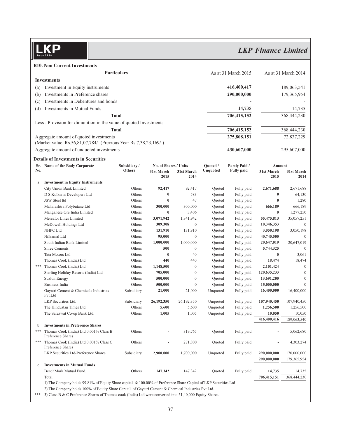

**B10. Non Current Investments**

|                                         |                                                                                                                                                                                                                                                                                                                                                                                                                                                                                                                                                                                                                                                                                                                                                                                                                                                        |                                                                                                                                                                                                                                                                                                                                                                                           |                                                                                                                                                                                                                                                                                                                               |                                                                                                                                                                                                                                                                                            |                                                                                                                                                                      |                                                                                                                                                                                                                                                                                                                                                                                                                                                           | As at 31 March 2014                                                                                                                                                                                                                                                               |
|-----------------------------------------|--------------------------------------------------------------------------------------------------------------------------------------------------------------------------------------------------------------------------------------------------------------------------------------------------------------------------------------------------------------------------------------------------------------------------------------------------------------------------------------------------------------------------------------------------------------------------------------------------------------------------------------------------------------------------------------------------------------------------------------------------------------------------------------------------------------------------------------------------------|-------------------------------------------------------------------------------------------------------------------------------------------------------------------------------------------------------------------------------------------------------------------------------------------------------------------------------------------------------------------------------------------|-------------------------------------------------------------------------------------------------------------------------------------------------------------------------------------------------------------------------------------------------------------------------------------------------------------------------------|--------------------------------------------------------------------------------------------------------------------------------------------------------------------------------------------------------------------------------------------------------------------------------------------|----------------------------------------------------------------------------------------------------------------------------------------------------------------------|-----------------------------------------------------------------------------------------------------------------------------------------------------------------------------------------------------------------------------------------------------------------------------------------------------------------------------------------------------------------------------------------------------------------------------------------------------------|-----------------------------------------------------------------------------------------------------------------------------------------------------------------------------------------------------------------------------------------------------------------------------------|
|                                         |                                                                                                                                                                                                                                                                                                                                                                                                                                                                                                                                                                                                                                                                                                                                                                                                                                                        |                                                                                                                                                                                                                                                                                                                                                                                           |                                                                                                                                                                                                                                                                                                                               |                                                                                                                                                                                                                                                                                            |                                                                                                                                                                      |                                                                                                                                                                                                                                                                                                                                                                                                                                                           |                                                                                                                                                                                                                                                                                   |
| (a)                                     |                                                                                                                                                                                                                                                                                                                                                                                                                                                                                                                                                                                                                                                                                                                                                                                                                                                        |                                                                                                                                                                                                                                                                                                                                                                                           |                                                                                                                                                                                                                                                                                                                               |                                                                                                                                                                                                                                                                                            |                                                                                                                                                                      | 189,063,541                                                                                                                                                                                                                                                                                                                                                                                                                                               |                                                                                                                                                                                                                                                                                   |
|                                         |                                                                                                                                                                                                                                                                                                                                                                                                                                                                                                                                                                                                                                                                                                                                                                                                                                                        |                                                                                                                                                                                                                                                                                                                                                                                           |                                                                                                                                                                                                                                                                                                                               |                                                                                                                                                                                                                                                                                            |                                                                                                                                                                      |                                                                                                                                                                                                                                                                                                                                                                                                                                                           | 179,365,954                                                                                                                                                                                                                                                                       |
|                                         |                                                                                                                                                                                                                                                                                                                                                                                                                                                                                                                                                                                                                                                                                                                                                                                                                                                        |                                                                                                                                                                                                                                                                                                                                                                                           |                                                                                                                                                                                                                                                                                                                               |                                                                                                                                                                                                                                                                                            |                                                                                                                                                                      |                                                                                                                                                                                                                                                                                                                                                                                                                                                           |                                                                                                                                                                                                                                                                                   |
|                                         |                                                                                                                                                                                                                                                                                                                                                                                                                                                                                                                                                                                                                                                                                                                                                                                                                                                        |                                                                                                                                                                                                                                                                                                                                                                                           |                                                                                                                                                                                                                                                                                                                               |                                                                                                                                                                                                                                                                                            |                                                                                                                                                                      |                                                                                                                                                                                                                                                                                                                                                                                                                                                           |                                                                                                                                                                                                                                                                                   |
|                                         |                                                                                                                                                                                                                                                                                                                                                                                                                                                                                                                                                                                                                                                                                                                                                                                                                                                        |                                                                                                                                                                                                                                                                                                                                                                                           |                                                                                                                                                                                                                                                                                                                               |                                                                                                                                                                                                                                                                                            |                                                                                                                                                                      |                                                                                                                                                                                                                                                                                                                                                                                                                                                           | 14,735                                                                                                                                                                                                                                                                            |
|                                         |                                                                                                                                                                                                                                                                                                                                                                                                                                                                                                                                                                                                                                                                                                                                                                                                                                                        |                                                                                                                                                                                                                                                                                                                                                                                           |                                                                                                                                                                                                                                                                                                                               |                                                                                                                                                                                                                                                                                            |                                                                                                                                                                      |                                                                                                                                                                                                                                                                                                                                                                                                                                                           | 368,444,230                                                                                                                                                                                                                                                                       |
|                                         |                                                                                                                                                                                                                                                                                                                                                                                                                                                                                                                                                                                                                                                                                                                                                                                                                                                        |                                                                                                                                                                                                                                                                                                                                                                                           |                                                                                                                                                                                                                                                                                                                               |                                                                                                                                                                                                                                                                                            |                                                                                                                                                                      |                                                                                                                                                                                                                                                                                                                                                                                                                                                           |                                                                                                                                                                                                                                                                                   |
|                                         |                                                                                                                                                                                                                                                                                                                                                                                                                                                                                                                                                                                                                                                                                                                                                                                                                                                        |                                                                                                                                                                                                                                                                                                                                                                                           |                                                                                                                                                                                                                                                                                                                               |                                                                                                                                                                                                                                                                                            | 706,415,152                                                                                                                                                          |                                                                                                                                                                                                                                                                                                                                                                                                                                                           | 368,444,230                                                                                                                                                                                                                                                                       |
|                                         |                                                                                                                                                                                                                                                                                                                                                                                                                                                                                                                                                                                                                                                                                                                                                                                                                                                        |                                                                                                                                                                                                                                                                                                                                                                                           |                                                                                                                                                                                                                                                                                                                               |                                                                                                                                                                                                                                                                                            | 275,808,151                                                                                                                                                          |                                                                                                                                                                                                                                                                                                                                                                                                                                                           | 72,837,229                                                                                                                                                                                                                                                                        |
|                                         |                                                                                                                                                                                                                                                                                                                                                                                                                                                                                                                                                                                                                                                                                                                                                                                                                                                        |                                                                                                                                                                                                                                                                                                                                                                                           |                                                                                                                                                                                                                                                                                                                               |                                                                                                                                                                                                                                                                                            | 430,607,000                                                                                                                                                          |                                                                                                                                                                                                                                                                                                                                                                                                                                                           | 295,607,000                                                                                                                                                                                                                                                                       |
|                                         |                                                                                                                                                                                                                                                                                                                                                                                                                                                                                                                                                                                                                                                                                                                                                                                                                                                        |                                                                                                                                                                                                                                                                                                                                                                                           |                                                                                                                                                                                                                                                                                                                               |                                                                                                                                                                                                                                                                                            |                                                                                                                                                                      |                                                                                                                                                                                                                                                                                                                                                                                                                                                           |                                                                                                                                                                                                                                                                                   |
|                                         | Subsidiary/                                                                                                                                                                                                                                                                                                                                                                                                                                                                                                                                                                                                                                                                                                                                                                                                                                            |                                                                                                                                                                                                                                                                                                                                                                                           |                                                                                                                                                                                                                                                                                                                               | <b>Ouoted</b> /                                                                                                                                                                                                                                                                            | Partly Paid /                                                                                                                                                        |                                                                                                                                                                                                                                                                                                                                                                                                                                                           |                                                                                                                                                                                                                                                                                   |
|                                         | Others                                                                                                                                                                                                                                                                                                                                                                                                                                                                                                                                                                                                                                                                                                                                                                                                                                                 | 31st March                                                                                                                                                                                                                                                                                                                                                                                | 31st March                                                                                                                                                                                                                                                                                                                    | Unquoted                                                                                                                                                                                                                                                                                   | <b>Fully paid</b>                                                                                                                                                    | 31st March                                                                                                                                                                                                                                                                                                                                                                                                                                                | 31st March                                                                                                                                                                                                                                                                        |
|                                         |                                                                                                                                                                                                                                                                                                                                                                                                                                                                                                                                                                                                                                                                                                                                                                                                                                                        | 2015                                                                                                                                                                                                                                                                                                                                                                                      | 2014                                                                                                                                                                                                                                                                                                                          |                                                                                                                                                                                                                                                                                            |                                                                                                                                                                      | 2015                                                                                                                                                                                                                                                                                                                                                                                                                                                      | 2014                                                                                                                                                                                                                                                                              |
| <b>Investment in Equity Instruments</b> |                                                                                                                                                                                                                                                                                                                                                                                                                                                                                                                                                                                                                                                                                                                                                                                                                                                        |                                                                                                                                                                                                                                                                                                                                                                                           |                                                                                                                                                                                                                                                                                                                               |                                                                                                                                                                                                                                                                                            |                                                                                                                                                                      |                                                                                                                                                                                                                                                                                                                                                                                                                                                           |                                                                                                                                                                                                                                                                                   |
| City Union Bank Limited                 | Others                                                                                                                                                                                                                                                                                                                                                                                                                                                                                                                                                                                                                                                                                                                                                                                                                                                 | 92,417                                                                                                                                                                                                                                                                                                                                                                                    | 92,417                                                                                                                                                                                                                                                                                                                        | Quoted                                                                                                                                                                                                                                                                                     | Fully paid                                                                                                                                                           | 2,671,688                                                                                                                                                                                                                                                                                                                                                                                                                                                 | 2,671,688                                                                                                                                                                                                                                                                         |
| D S Kulkarni Developers Ltd             | Others                                                                                                                                                                                                                                                                                                                                                                                                                                                                                                                                                                                                                                                                                                                                                                                                                                                 | $\bf{0}$                                                                                                                                                                                                                                                                                                                                                                                  | 583                                                                                                                                                                                                                                                                                                                           | Ouoted                                                                                                                                                                                                                                                                                     | Fully paid                                                                                                                                                           | $\bf{0}$                                                                                                                                                                                                                                                                                                                                                                                                                                                  | 64,130                                                                                                                                                                                                                                                                            |
| JSW Steel ltd                           | Others                                                                                                                                                                                                                                                                                                                                                                                                                                                                                                                                                                                                                                                                                                                                                                                                                                                 | $\bf{0}$                                                                                                                                                                                                                                                                                                                                                                                  | 47                                                                                                                                                                                                                                                                                                                            | Quoted                                                                                                                                                                                                                                                                                     | Fully paid                                                                                                                                                           | $\bf{0}$                                                                                                                                                                                                                                                                                                                                                                                                                                                  | 1,280                                                                                                                                                                                                                                                                             |
|                                         | Others                                                                                                                                                                                                                                                                                                                                                                                                                                                                                                                                                                                                                                                                                                                                                                                                                                                 | 300,000                                                                                                                                                                                                                                                                                                                                                                                   | 300,000                                                                                                                                                                                                                                                                                                                       | Quoted                                                                                                                                                                                                                                                                                     |                                                                                                                                                                      | 666,189                                                                                                                                                                                                                                                                                                                                                                                                                                                   | 666,189                                                                                                                                                                                                                                                                           |
|                                         | Others                                                                                                                                                                                                                                                                                                                                                                                                                                                                                                                                                                                                                                                                                                                                                                                                                                                 |                                                                                                                                                                                                                                                                                                                                                                                           | 3,406                                                                                                                                                                                                                                                                                                                         | Quoted                                                                                                                                                                                                                                                                                     | Fully paid                                                                                                                                                           |                                                                                                                                                                                                                                                                                                                                                                                                                                                           | 1,277,250                                                                                                                                                                                                                                                                         |
|                                         |                                                                                                                                                                                                                                                                                                                                                                                                                                                                                                                                                                                                                                                                                                                                                                                                                                                        |                                                                                                                                                                                                                                                                                                                                                                                           |                                                                                                                                                                                                                                                                                                                               | Quoted                                                                                                                                                                                                                                                                                     |                                                                                                                                                                      |                                                                                                                                                                                                                                                                                                                                                                                                                                                           | 35,057,251                                                                                                                                                                                                                                                                        |
| McDowell Holdings Ltd                   |                                                                                                                                                                                                                                                                                                                                                                                                                                                                                                                                                                                                                                                                                                                                                                                                                                                        |                                                                                                                                                                                                                                                                                                                                                                                           |                                                                                                                                                                                                                                                                                                                               |                                                                                                                                                                                                                                                                                            |                                                                                                                                                                      | 10,346,353                                                                                                                                                                                                                                                                                                                                                                                                                                                | $\boldsymbol{0}$                                                                                                                                                                                                                                                                  |
|                                         |                                                                                                                                                                                                                                                                                                                                                                                                                                                                                                                                                                                                                                                                                                                                                                                                                                                        | 131,910                                                                                                                                                                                                                                                                                                                                                                                   |                                                                                                                                                                                                                                                                                                                               | Quoted                                                                                                                                                                                                                                                                                     | Fully paid                                                                                                                                                           |                                                                                                                                                                                                                                                                                                                                                                                                                                                           | 3,050,198                                                                                                                                                                                                                                                                         |
| Nilkamal Ltd                            |                                                                                                                                                                                                                                                                                                                                                                                                                                                                                                                                                                                                                                                                                                                                                                                                                                                        |                                                                                                                                                                                                                                                                                                                                                                                           |                                                                                                                                                                                                                                                                                                                               | Quoted                                                                                                                                                                                                                                                                                     |                                                                                                                                                                      |                                                                                                                                                                                                                                                                                                                                                                                                                                                           | $\boldsymbol{0}$                                                                                                                                                                                                                                                                  |
|                                         |                                                                                                                                                                                                                                                                                                                                                                                                                                                                                                                                                                                                                                                                                                                                                                                                                                                        |                                                                                                                                                                                                                                                                                                                                                                                           |                                                                                                                                                                                                                                                                                                                               |                                                                                                                                                                                                                                                                                            |                                                                                                                                                                      |                                                                                                                                                                                                                                                                                                                                                                                                                                                           | 20,647,019                                                                                                                                                                                                                                                                        |
|                                         |                                                                                                                                                                                                                                                                                                                                                                                                                                                                                                                                                                                                                                                                                                                                                                                                                                                        |                                                                                                                                                                                                                                                                                                                                                                                           |                                                                                                                                                                                                                                                                                                                               |                                                                                                                                                                                                                                                                                            |                                                                                                                                                                      |                                                                                                                                                                                                                                                                                                                                                                                                                                                           | $\theta$                                                                                                                                                                                                                                                                          |
|                                         |                                                                                                                                                                                                                                                                                                                                                                                                                                                                                                                                                                                                                                                                                                                                                                                                                                                        |                                                                                                                                                                                                                                                                                                                                                                                           |                                                                                                                                                                                                                                                                                                                               |                                                                                                                                                                                                                                                                                            |                                                                                                                                                                      |                                                                                                                                                                                                                                                                                                                                                                                                                                                           | 3,061                                                                                                                                                                                                                                                                             |
|                                         |                                                                                                                                                                                                                                                                                                                                                                                                                                                                                                                                                                                                                                                                                                                                                                                                                                                        |                                                                                                                                                                                                                                                                                                                                                                                           |                                                                                                                                                                                                                                                                                                                               |                                                                                                                                                                                                                                                                                            |                                                                                                                                                                      |                                                                                                                                                                                                                                                                                                                                                                                                                                                           | 18,474                                                                                                                                                                                                                                                                            |
|                                         |                                                                                                                                                                                                                                                                                                                                                                                                                                                                                                                                                                                                                                                                                                                                                                                                                                                        |                                                                                                                                                                                                                                                                                                                                                                                           |                                                                                                                                                                                                                                                                                                                               |                                                                                                                                                                                                                                                                                            |                                                                                                                                                                      |                                                                                                                                                                                                                                                                                                                                                                                                                                                           | $\boldsymbol{0}$                                                                                                                                                                                                                                                                  |
|                                         |                                                                                                                                                                                                                                                                                                                                                                                                                                                                                                                                                                                                                                                                                                                                                                                                                                                        |                                                                                                                                                                                                                                                                                                                                                                                           |                                                                                                                                                                                                                                                                                                                               |                                                                                                                                                                                                                                                                                            |                                                                                                                                                                      |                                                                                                                                                                                                                                                                                                                                                                                                                                                           | $\boldsymbol{0}$                                                                                                                                                                                                                                                                  |
|                                         |                                                                                                                                                                                                                                                                                                                                                                                                                                                                                                                                                                                                                                                                                                                                                                                                                                                        |                                                                                                                                                                                                                                                                                                                                                                                           |                                                                                                                                                                                                                                                                                                                               |                                                                                                                                                                                                                                                                                            |                                                                                                                                                                      |                                                                                                                                                                                                                                                                                                                                                                                                                                                           | $\boldsymbol{0}$                                                                                                                                                                                                                                                                  |
|                                         |                                                                                                                                                                                                                                                                                                                                                                                                                                                                                                                                                                                                                                                                                                                                                                                                                                                        |                                                                                                                                                                                                                                                                                                                                                                                           |                                                                                                                                                                                                                                                                                                                               |                                                                                                                                                                                                                                                                                            |                                                                                                                                                                      |                                                                                                                                                                                                                                                                                                                                                                                                                                                           | $\mathbf{0}$                                                                                                                                                                                                                                                                      |
| Pvt.Ltd                                 |                                                                                                                                                                                                                                                                                                                                                                                                                                                                                                                                                                                                                                                                                                                                                                                                                                                        |                                                                                                                                                                                                                                                                                                                                                                                           |                                                                                                                                                                                                                                                                                                                               |                                                                                                                                                                                                                                                                                            |                                                                                                                                                                      |                                                                                                                                                                                                                                                                                                                                                                                                                                                           | 16,400,000                                                                                                                                                                                                                                                                        |
|                                         |                                                                                                                                                                                                                                                                                                                                                                                                                                                                                                                                                                                                                                                                                                                                                                                                                                                        |                                                                                                                                                                                                                                                                                                                                                                                           |                                                                                                                                                                                                                                                                                                                               |                                                                                                                                                                                                                                                                                            |                                                                                                                                                                      |                                                                                                                                                                                                                                                                                                                                                                                                                                                           | 107,940,450                                                                                                                                                                                                                                                                       |
|                                         |                                                                                                                                                                                                                                                                                                                                                                                                                                                                                                                                                                                                                                                                                                                                                                                                                                                        |                                                                                                                                                                                                                                                                                                                                                                                           |                                                                                                                                                                                                                                                                                                                               |                                                                                                                                                                                                                                                                                            |                                                                                                                                                                      | 1,256,500                                                                                                                                                                                                                                                                                                                                                                                                                                                 | 1,256,500                                                                                                                                                                                                                                                                         |
|                                         | Others                                                                                                                                                                                                                                                                                                                                                                                                                                                                                                                                                                                                                                                                                                                                                                                                                                                 |                                                                                                                                                                                                                                                                                                                                                                                           |                                                                                                                                                                                                                                                                                                                               |                                                                                                                                                                                                                                                                                            | Fully paid                                                                                                                                                           |                                                                                                                                                                                                                                                                                                                                                                                                                                                           | 10,050                                                                                                                                                                                                                                                                            |
|                                         |                                                                                                                                                                                                                                                                                                                                                                                                                                                                                                                                                                                                                                                                                                                                                                                                                                                        |                                                                                                                                                                                                                                                                                                                                                                                           |                                                                                                                                                                                                                                                                                                                               |                                                                                                                                                                                                                                                                                            |                                                                                                                                                                      |                                                                                                                                                                                                                                                                                                                                                                                                                                                           | 189,063,540                                                                                                                                                                                                                                                                       |
|                                         |                                                                                                                                                                                                                                                                                                                                                                                                                                                                                                                                                                                                                                                                                                                                                                                                                                                        |                                                                                                                                                                                                                                                                                                                                                                                           |                                                                                                                                                                                                                                                                                                                               |                                                                                                                                                                                                                                                                                            |                                                                                                                                                                      |                                                                                                                                                                                                                                                                                                                                                                                                                                                           |                                                                                                                                                                                                                                                                                   |
| Preference Shares                       |                                                                                                                                                                                                                                                                                                                                                                                                                                                                                                                                                                                                                                                                                                                                                                                                                                                        |                                                                                                                                                                                                                                                                                                                                                                                           |                                                                                                                                                                                                                                                                                                                               |                                                                                                                                                                                                                                                                                            |                                                                                                                                                                      |                                                                                                                                                                                                                                                                                                                                                                                                                                                           | 5,062,680                                                                                                                                                                                                                                                                         |
| Preference Shares                       |                                                                                                                                                                                                                                                                                                                                                                                                                                                                                                                                                                                                                                                                                                                                                                                                                                                        |                                                                                                                                                                                                                                                                                                                                                                                           |                                                                                                                                                                                                                                                                                                                               |                                                                                                                                                                                                                                                                                            |                                                                                                                                                                      |                                                                                                                                                                                                                                                                                                                                                                                                                                                           | 4,303,274                                                                                                                                                                                                                                                                         |
| LKP Securities Ltd-Preference Shares    |                                                                                                                                                                                                                                                                                                                                                                                                                                                                                                                                                                                                                                                                                                                                                                                                                                                        | 2,900,000                                                                                                                                                                                                                                                                                                                                                                                 | 1,700,000                                                                                                                                                                                                                                                                                                                     | Unquoted                                                                                                                                                                                                                                                                                   | Fully paid                                                                                                                                                           |                                                                                                                                                                                                                                                                                                                                                                                                                                                           | 170,000,000                                                                                                                                                                                                                                                                       |
|                                         |                                                                                                                                                                                                                                                                                                                                                                                                                                                                                                                                                                                                                                                                                                                                                                                                                                                        |                                                                                                                                                                                                                                                                                                                                                                                           |                                                                                                                                                                                                                                                                                                                               |                                                                                                                                                                                                                                                                                            |                                                                                                                                                                      |                                                                                                                                                                                                                                                                                                                                                                                                                                                           | 179,365,954                                                                                                                                                                                                                                                                       |
|                                         |                                                                                                                                                                                                                                                                                                                                                                                                                                                                                                                                                                                                                                                                                                                                                                                                                                                        |                                                                                                                                                                                                                                                                                                                                                                                           |                                                                                                                                                                                                                                                                                                                               |                                                                                                                                                                                                                                                                                            |                                                                                                                                                                      |                                                                                                                                                                                                                                                                                                                                                                                                                                                           |                                                                                                                                                                                                                                                                                   |
|                                         |                                                                                                                                                                                                                                                                                                                                                                                                                                                                                                                                                                                                                                                                                                                                                                                                                                                        |                                                                                                                                                                                                                                                                                                                                                                                           |                                                                                                                                                                                                                                                                                                                               |                                                                                                                                                                                                                                                                                            |                                                                                                                                                                      |                                                                                                                                                                                                                                                                                                                                                                                                                                                           | 14,735                                                                                                                                                                                                                                                                            |
|                                         |                                                                                                                                                                                                                                                                                                                                                                                                                                                                                                                                                                                                                                                                                                                                                                                                                                                        |                                                                                                                                                                                                                                                                                                                                                                                           |                                                                                                                                                                                                                                                                                                                               |                                                                                                                                                                                                                                                                                            |                                                                                                                                                                      |                                                                                                                                                                                                                                                                                                                                                                                                                                                           | 368,444,230                                                                                                                                                                                                                                                                       |
|                                         | <b>Investments</b><br>Investment in Equity instruments<br>Investments in Preference shares<br>Investments in Mutual Funds<br><b>Details of Investments in Securities</b><br>Name of the Body Corporate<br>Maharashtra Polybutane Ltd<br>Manganese Ore India Limited<br>Mercator Lines Limited<br>NHPC Ltd<br>South Indian Bank Limited<br>Shree Cements<br>Tata Motors Ltd<br>Thomas Cook (India) Ltd<br>Thomas Cook (India) Ltd<br>Sterling Holiday Resorts (India) Ltd<br><b>Suzlon Energy</b><br>Business India<br>Gayatri Cement & Chemicals Industries<br>LKP Securities Ltd.<br>The Hindustan Times Ltd.<br>The Saraswat Co-op Bank Ltd.<br><b>Investments in Preference Shares</b><br>Thomas Cook (India) Ltd 0.001% Class B<br>Thomas Cook (India) Ltd 0.001% Class C<br><b>Investments in Mutual Funds</b><br>BenchMark Mutual Fund.<br>Total | <b>Particulars</b><br>Investments in Debentures and bonds<br><b>Total</b><br><b>Total</b><br>Aggregate amount of quoted investments<br>Aggregate amount of unquoted investments<br>Others<br>Others<br>Others<br>Others<br>Others<br>Others<br>Others<br>Others<br>Others<br>Others<br>Others<br>Others<br>Subsidiary<br>Subsidiary<br>Others<br>Others<br>Others<br>Subsidiary<br>Others | Less: Provision for dimunition in the value of quoted Investments<br>(Market value Rs.56,81,07,784/- (Previous Year Rs 7,38,23,169/-)<br>$\bf{0}$<br>3,071,942<br>309,308<br>95,000<br>1,000,000<br>500<br>$\bf{0}$<br>440<br>1,148,500<br>705,000<br>500,000<br>500,000<br>21,000<br>26,192,350<br>5,600<br>1,005<br>147.342 | No. of Shares / Units<br>1,341,942<br>$\boldsymbol{0}$<br>131,910<br>$\boldsymbol{0}$<br>1,000,000<br>$\boldsymbol{0}$<br>40<br>440<br>$\boldsymbol{0}$<br>$\boldsymbol{0}$<br>$\boldsymbol{0}$<br>$\mathbf{0}$<br>21,000<br>26,192,350<br>5,600<br>1,005<br>319,765<br>271,800<br>147.342 | Ouoted<br>Quoted<br>Quoted<br>Quoted<br>Quoted<br>Quoted<br>Quoted<br>Quoted<br>Quoted<br>Unquoted<br>Unquoted<br>Unquoted<br>Unquoted<br>Quoted<br>Quoted<br>Quoted | As at 31 March 2015<br>416,400,417<br>290,000,000<br>14,735<br>706,415,152<br>Fully paid<br>Fully paid<br>Fully paid<br>Fully paid<br>Fully paid<br>Fully paid<br>Fully paid<br>Fully paid<br>Fully paid<br>Fully paid<br>Fully paid<br>Fully paid<br>Fully paid<br>Fully paid<br>Fully paid<br>Fully paid<br>Fully paid<br>Fully paid<br>1) The Company holds 99.81% of Equity Share capital & 100.00% of Preference Share Capital of LKP Securities Ltd | Amount<br>$\bf{0}$<br>55,475,813<br>3,050,198<br>40,745,500<br>20,647,019<br>5,744,325<br>$\bf{0}$<br>18,474<br>2,101,424<br>120,635,233<br>13,691,200<br>15,000,000<br>16,400,000<br>107,940,450<br>10,050<br>416,400,416<br>290,000,000<br>290,000,000<br>14,735<br>706,415,151 |

2) The Company holds 100% of Equity Share Capital of Gayatri Cement & Chemical Industries Pvt Ltd.

\*\*\* 3) Class B & C Preference Shares of Thomas cook (India) Ltd were converted into 51,40,000 Equity Shares.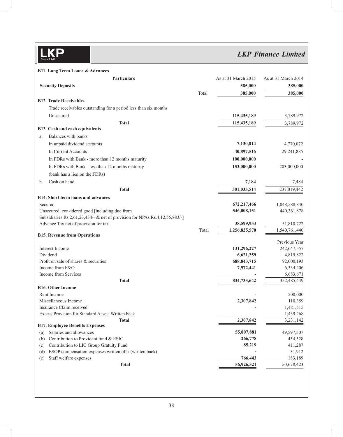*LKP Finance Limited*

**B11. Long Term Loans & Advances**

| Particulars                                                                                                      |       | As at 31 March 2015        | As at 31 March 2014     |
|------------------------------------------------------------------------------------------------------------------|-------|----------------------------|-------------------------|
| <b>Security Deposits</b>                                                                                         |       | 385,000                    | 385,000                 |
|                                                                                                                  | Total | 385,000                    | 385,000                 |
| <b>B12. Trade Receivables</b>                                                                                    |       |                            |                         |
| Trade receivables outstanding for a period less than six months                                                  |       |                            |                         |
| Unsecured                                                                                                        |       | 115,435,189                | 3,789,972               |
| <b>Total</b>                                                                                                     |       | 115,435,189                | 3,789,972               |
| B13. Cash and cash equivalents                                                                                   |       |                            |                         |
| Balances with banks<br>a.                                                                                        |       |                            |                         |
| In unpaid dividend accounts                                                                                      |       | 7,130,814                  | 4,770,072               |
| In Current Accounts                                                                                              |       | 40,897,516                 | 29,241,885              |
| In FDRs with Bank - more than 12 months maturity                                                                 |       | 100,000,000                |                         |
| In FDRs with Bank - less than 12 months maturity                                                                 |       | 153,000,000                | 203,000,000             |
| (bank has a lien on the FDRs)                                                                                    |       |                            |                         |
| Cash on hand<br>b.                                                                                               |       | 7,184                      | 7,484                   |
| <b>Total</b>                                                                                                     |       | 301,035,514                | 237,019,442             |
| <b>B14. Short term loans and advances</b>                                                                        |       |                            |                         |
| Secured                                                                                                          |       | 672,217,466                | 1,048,588,840           |
| Unsecured, considered good [including due from                                                                   |       | 546,008,151                | 440,361,878             |
| Subsidiaries Rs 2,61,23,434/- & net of provision for NPAs Rs.4,12,55,883/-]                                      |       |                            |                         |
| Advance Tax net of provision for tax                                                                             |       | 38,599,953                 | 51,810,722              |
|                                                                                                                  | Total | 1,256,825,570              | 1,540,761,440           |
| <b>B15. Revenue from Operations</b>                                                                              |       |                            |                         |
|                                                                                                                  |       |                            | Previous Year           |
| Interest Income                                                                                                  |       | 131,296,227                | 242,647,557             |
| Dividend<br>Profit on sale of shares & securities                                                                |       | 6,621,259<br>688, 843, 715 | 4,819,822<br>92,000,193 |
| Income from F&O                                                                                                  |       | 7,972,441                  | 6,334,206               |
| Income from Services                                                                                             |       |                            | 6,683,671               |
| <b>Total</b>                                                                                                     |       | 834,733,642                | 352,485,449             |
| <b>B16. Other Income</b>                                                                                         |       |                            |                         |
| Rent Income                                                                                                      |       |                            | 200,000                 |
| Miscellaneous Income                                                                                             |       | 2,307,842                  | 110,359                 |
| Insurance Claim received.                                                                                        |       |                            | 1,481,515               |
| Excess Provision for Standard Assets Written back                                                                |       |                            | 1,439,268               |
| <b>Total</b>                                                                                                     |       | 2,307,842                  | 3,231,142               |
| <b>B17. Employee Benefits Expenses</b>                                                                           |       |                            |                         |
| Salaries and allowances<br>(a)                                                                                   |       | 55,807,881                 | 49,597,507              |
| Contribution to Provident fund & ESIC<br>(b)                                                                     |       | 266,778                    | 454,528                 |
| Contribution to LIC Group Gratuity Fund<br>(c)<br>ESOP compensation expenses written off / (written back)<br>(d) |       | 85,219                     | 411,287<br>31,912       |
| Staff welfare expenses<br>(e)                                                                                    |       | 766,443                    | 183,189                 |
| <b>Total</b>                                                                                                     |       | 56,926,321                 | 50,678,423              |
|                                                                                                                  |       |                            |                         |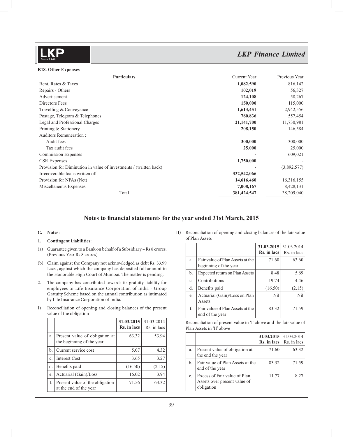#### **B18. Other Expenses**

| <b>Particulars</b>                                                | Current Year | Previous Year |
|-------------------------------------------------------------------|--------------|---------------|
| Rent, Rates & Taxes                                               | 1,082,590    | 816,142       |
| Repairs - Others                                                  | 102,019      | 56,327        |
| Advertisement                                                     | 124,108      | 58,267        |
| Directors Fees                                                    | 150,000      | 115,000       |
| Travelling & Conveyance                                           | 1,613,451    | 2,942,556     |
| Postage, Telegram & Telephones                                    | 760,836      | 557,454       |
| Legal and Professional Charges                                    | 21,141,700   | 11,730,981    |
| Printing & Stationery                                             | 208,150      | 146,584       |
| <b>Auditors Remuneration:</b>                                     |              |               |
| Audit fees                                                        | 300,000      | 300,000       |
| Tax audit fees                                                    | 25,000       | 25,000        |
| <b>Commission Expenses</b>                                        |              | 609,021       |
| <b>CSR</b> Expenses                                               | 1,750,000    |               |
| Provision for Diminution in value of investments / (written back) |              | (3,892,577)   |
| Irrecoverable loans written off                                   | 332,542,066  |               |
| Provision for NPAs (Net)                                          | 14,616,460   | 16,316,155    |
| Miscellaneous Expenses                                            | 7,008,167    | 8,428,131     |
| Total                                                             | 381,424,547  | 38,209,040    |

#### Notes to financial statements for the year ended 31st March, 2015

#### **C. Notes :**

#### **1. Contingent Liabilities:**

- (a) Guarantee given to a Bank on behalf of a Subsidiary Rs 8 crores. (Previous Year Rs 8 crores)
- (b) Claim against the Company not acknowledged as debt Rs. 33.99 Lacs , against which the company has deposited full amount in the Honorable High Court of Mumbai. The matter is pending.
- 2. The company has contributed towards its gratuity liability for employees to Life Insurance Corporation of India - Group Gratuity Scheme based on the annual contribution as intimated by Life Insurance Corporation of India.
- I) Reconciliation of opening and closing balances of the present value of the obligation

|    |                                                             | 31.03.2015<br>Rs. in lacs | 31.03.2014<br>Rs. in lacs |
|----|-------------------------------------------------------------|---------------------------|---------------------------|
| a. | Present value of obligation at<br>the beginning of the year | 63.32                     | 53.94                     |
| b. | Current service cost                                        | 5.07                      | 4.32                      |
| c. | <b>Interest Cost</b>                                        | 3.65                      | 3.27                      |
| d. | Benefits paid                                               | (16.50)                   | (2.15)                    |
| e. | Actuarial (Gain)/Loss                                       | 16.02                     | 3.94                      |
| f. | Present value of the obligation<br>at the end of the year   | 71.56                     | 63.32                     |

II) Reconciliation of opening and closing balances of the fair value of Plan Assets

|    |                                                           | $31.03.2015$ 31.03.2014<br>Rs. in lacs | Rs. in lacs |
|----|-----------------------------------------------------------|----------------------------------------|-------------|
| a. | Fair value of Plan Assets at the<br>beginning of the year | 71.60                                  | 63.60       |
| b. | Expected return on Plan Assets                            | 8.48                                   | 5.69        |
| c. | Contributions                                             | 19.74                                  | 4.46        |
| d. | Benefits paid                                             | (16.50)                                | (2.15)      |
| e. | Actuarial (Gain)/Loss on Plan<br>Assets                   | Nil                                    | Nil         |
| f. | Fair value of Plan Assets at the<br>end of the year       | 83.32                                  | 71.59       |

 Reconciliation of present value in 'I' above and the fair value of Plan Assets in 'II' above

|    |                                                                            | 31.03.2015 31.03.2014 | <b>Rs. in lacs</b> $\vert$ Rs. in lacs |
|----|----------------------------------------------------------------------------|-----------------------|----------------------------------------|
| a. | Present value of obligation at<br>the end the year                         | 71.60                 | 63.32                                  |
| b. | Fair value of Plan Assets at the<br>end of the year                        | 83.32                 | 71.59                                  |
| c. | Excess of Fair value of Plan<br>Assets over present value of<br>obligation | 11.77                 | 8.25                                   |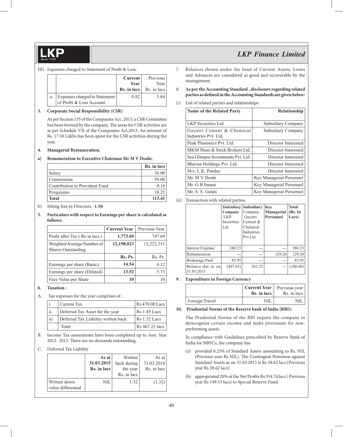#### III) Expenses charged to Statement of Profit & Loss.

|    |                                                           | Current  <br>Year<br>Rs. in lacs | Previous<br>Year<br>Rs. in lacs |
|----|-----------------------------------------------------------|----------------------------------|---------------------------------|
| a. | Expenses charged to Statement<br>of Profit & Loss Account | 0.82                             | 5.84                            |

#### **3. Corporate Social Responsibility (CSR)**

 As per Section 135 of the Companies Act , 2013, a CSR Committee has been formed by the company. The areas for CSR activities are as per Schedule VII of the Companies Act,2013. An amount of Rs. 17.50 Lakhs has been spent for the CSR activities during the year.

#### **4. Managerial Remuneration.**

#### **a) Remuneration to Executive Chairman Mr M V Doshi.**

|                                | Rs. in lacs |
|--------------------------------|-------------|
| Salary                         | 36.00       |
| Commission                     | 59.00       |
| Contribution to Provident Fund | 0.16        |
| Perquisites                    | 18.25       |
| <b>Total</b>                   | 113.41      |

b) Sitting fees to Directors : **1.50**

#### **5. Particulars with respect to Earnings per share is calculated as follows:**

|                                                         | <b>Current Year</b> | Previous Year |
|---------------------------------------------------------|---------------------|---------------|
| Profit after Tax (Rs in lacs)                           | 1,773.69            | 747.69        |
| Weighted Average Number of<br><b>Shares Outstanding</b> | 12,198,023          | 12,222,351    |
|                                                         | Rs. Ps.             | Rs. Ps.       |
| Earnings per share (Basic)                              | 14.54               | 6.12          |
| Earnings per share (Diluted)                            | 13.52               | 5.73          |
| Face Value per Share                                    |                     |               |

#### **6. Taxation :**

A. Tax expenses for the year comprises of :

|     | Current Tax.                        | Rs 470.00 Lacs            |
|-----|-------------------------------------|---------------------------|
| ii. | Deferred Tax Asset for the year     | Rs 1.45 Lacs              |
| iii | Deferred Tax Liability written back | $\overline{RS}$ 1.32 Lacs |
|     | Total                               | Rs 467.23 lacs            |

B. Income Tax assessments have been completed up to Asst. Year 2012- 2013. There are no demands outstanding.

#### C. Deferred Tax Liability

|                                    | As at       | Written     | As at       |
|------------------------------------|-------------|-------------|-------------|
|                                    | 31.03.2015  | back during | 31.03.2014  |
|                                    | Rs. in lacs | the year    | Rs. in lacs |
|                                    |             | Rs. in lacs |             |
| Written down<br>value differential | NIL         | 1.32        | (1.32)      |

- 7. Balances shown under the head of Current Assets, Loans and Advances are considered as good and recoverable by the management.
- 8. **As per the Accounting Standard , disclosure regarding related**  parties as defined in the Accounting Standards are given below:
- (i) List of related parties and relationships.

| <b>Name of the Related Party</b>                  | Relationship             |
|---------------------------------------------------|--------------------------|
| LKP Securities Ltd.                               | Subsidiary Company       |
| Gayatri Cement & Chemical<br>Industries Pvt. Ltd. | Subsidiary Company       |
| Peak Plastonics Pvt. Ltd.                         | Director Interested      |
| MKM Share & Stock Brokers Ltd.                    | Director Interested      |
| Sea Glimpse Investments Pvt. Ltd.                 | Director Interested      |
| Bhavna Holdings Pvt. Ltd.                         | Director Interested      |
| M/s. L.K. Panday                                  | Director Interested      |
| Mr. M V Doshi                                     | Key Managerial Personnel |
| Mr. G B Innani                                    | Key Managerial Personnel |
| Mr. S. S. Gulati                                  | Key Managerial Personnel |

(ii) Transaction with related parties.

|                                 | Company<br>LKP<br>Securities<br>Ltd | <i>Subsidiary</i> Subsidiary<br>Company<br>Gayatri<br>Cement $&$<br>Chemical<br><b>Industries</b><br>Pvt Ltd | Key<br>Managerial<br><b>Personnel</b> | <b>Total</b><br>(Rs. In<br>Lacs) |
|---------------------------------|-------------------------------------|--------------------------------------------------------------------------------------------------------------|---------------------------------------|----------------------------------|
| Interest Expense                | 380.23                              |                                                                                                              |                                       | 380.23                           |
| Remuneration                    |                                     | ---                                                                                                          | 129.20                                | 129.20                           |
| Brokerage Paid                  | 43.95                               |                                                                                                              |                                       | 43.95                            |
| Balance due as on<br>31.03.2015 | (447.83)                            | 261.23                                                                                                       |                                       | (186.60)                         |

#### **9. Expenditure in Foreign Currency**

|                | <b>Current Year</b><br>Rs. in lacs | Previous year<br>Rs. in lacs |
|----------------|------------------------------------|------------------------------|
| Foreign Travel | NII.                               |                              |

#### **10. Prudential Norms of the Reserve bank of India (RBI):**

 The Prudential Norms of the RBI require the company to derecognize certain income and make provisions for nonperforming assets.

 In compliance with Guidelines prescribed by Reserve Bank of India for NBFCs, the company has

- (a) provided 0.25% of Standard Assets amounting to Rs. NIL (Previous year Rs NIL). The Contingent Provision against Standard Assets as on 31.03.2015 is Rs 38.62 lacs (Previous year Rs 38.62 lacs)
- (b) appropriated 20% of the Net Profits Rs 354.74 lacs ( Previous year Rs 149.53 lacs) to Special Reserve Fund.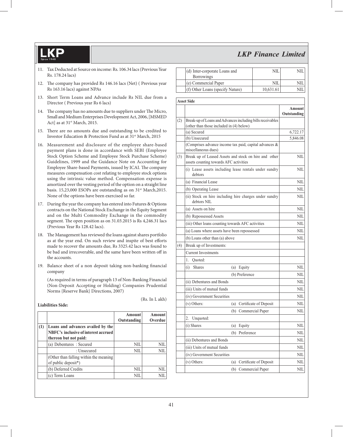- 11. Tax Deducted at Source on income: Rs. 106.34 lacs (Previous Year Rs. 178.24 lacs)
- 12. The company has provided Rs 146.16 lacs (Net) (Previous year Rs 163.16 lacs) against NPAs
- 13. Short Term Loans and Advance include Rs NIL due from a Director ( Previous year Rs 6 lacs)
- 14. The company has no amounts due to suppliers under The Micro, Small and Medium Enterprises Development Act, 2006, [MSMED Act] as at 31<sup>st</sup> March, 2015.
- 15. There are no amounts due and outstanding to be credited to Investor Education & Protection Fund as at 31<sup>st</sup> March, 2015
- 16. Measurement and disclosure of the employee share-based payment plans is done in accordance with SEBI (Employee Stock Option Scheme and Employee Stock Purchase Scheme) Guidelines, 1999 and the Guidance Note on Accounting for Employee Share-based Payments, issued by ICAI. The company measures compensation cost relating to employee stock options using the intrinsic value method. Compensation expense is amortized over the vesting period of the option on a straight line basis. 15,23,000 ESOPs are outstanding as on 31<sup>st</sup> March,2015. None of the options have been exercised so far.
- 17. During the year the company has entered into Futures & Options contracts on the National Stock Exchange in the Equity Segment and on the Multi Commodity Exchange in the commodity segment. The open position as on 31.03.2015 is Rs 4,246.31 lacs (Previous Year Rs 128.42 lacs).
- 18. The Management has reviewed the loans against shares portfolio as at the year end. On such review and inspite of best efforts made to recover the amounts due, Rs 3325.42 lacs was found to be bad and irrecoverable, and the same have been written off in the accounts.
- 19. Balance sheet of a non deposit taking non-banking financial company

 (As required in terms of paragraph 13 of Non-Banking Financial (Non-Deposit Accepting or Holding) Companies Prudential Norms {Reserve Bank} Directions, 2007)

#### **Liabilities Side:**

|     |                                                                                                    | <b>Amount</b><br>Outstanding | Amount<br>Overdue |
|-----|----------------------------------------------------------------------------------------------------|------------------------------|-------------------|
| (1) | Loans and advances availed by the<br>NBFC's inclusive of interest accrued<br>thereon but not paid: |                              |                   |
|     | (a) Debentures : Secured                                                                           | NIL                          | NIL.              |
|     | : Unsecured                                                                                        | NII.                         | NII               |
|     | (Other than falling within the meaning<br>of public deposit*)                                      |                              |                   |
|     | (b) Deferred Credits                                                                               | NIL                          | NII               |
|     | (c) Term Loans                                                                                     | NII                          |                   |

| (d) Inter-corporate Loans and    |           |  |
|----------------------------------|-----------|--|
| <b>Borrowings</b>                |           |  |
| (e) Commercial Paper             | NII       |  |
| (f) Other Loans (specify Nature) | 10,631.61 |  |

**Asset Side**

|     | Asset Side                                                                                             |                       |
|-----|--------------------------------------------------------------------------------------------------------|-----------------------|
|     |                                                                                                        | Amount<br>Outstanding |
| (2) | Break-up of Loans and Advances including bills receivables<br>(other than those included in (4) below) |                       |
|     | (a) Secured                                                                                            | 6,722.17              |
|     | (b) Unsecured                                                                                          | 5,846.08              |
|     | (Comprises advance income tax paid, capital advances &<br>miscellaneous dues)                          |                       |
| (3) | Break up of Leased Assets and stock on hire and other<br>assets counting towards AFC activities        | NIL                   |
|     | (i) Lease assets including lease rentals under sundry<br>debtors                                       | NIL                   |
|     | (a) Financial Lease                                                                                    | NIL                   |
|     | (b) Operating Lease                                                                                    | NIL                   |
|     | (ii) Stock on hire including hire charges under sundry<br>debtors NIL                                  | NIL                   |
|     | (a) Assets on hire                                                                                     | NIL                   |
|     | (b) Repossessed Assets                                                                                 | NIL                   |
|     | (iii) Other loans counting towards AFC activities                                                      | NIL.                  |
|     | (a) Loans where assets have been repossessed                                                           | NIL                   |
|     | (b) Loans other than (a) above                                                                         | NIL                   |
| (4) | Break up of Investments:                                                                               |                       |
|     | <b>Current Investments</b>                                                                             |                       |
|     | 1.<br>Ouoted:                                                                                          |                       |
|     | (i)<br><b>Shares</b><br>(a) Equity                                                                     | NIL                   |
|     | (b) Preference                                                                                         | NIL                   |
|     | (ii) Debentures and Bonds                                                                              | NIL                   |
|     | (iii) Units of mutual funds                                                                            | <b>NIL</b>            |
|     | (iv) Government Securities                                                                             | NIL                   |
|     | (v) Others:<br>(a) Certificate of Deposit                                                              | <b>NIL</b>            |
|     | (b) Commercial Paper                                                                                   | NIL                   |
|     | Unquoted:<br>2.                                                                                        |                       |
|     | (i) Shares<br>Equity<br>(a)                                                                            | NIL                   |
|     | Preference<br>(b)                                                                                      | <b>NIL</b>            |
|     | (ii) Debentures and Bonds                                                                              | NIL                   |
|     | (iii) Units of mutual funds                                                                            | NIL                   |
|     | (iv) Government Securities                                                                             | NIL                   |
|     | (v) Others:<br>(a) Certificate of Deposit                                                              | NIL                   |
|     | (b) Commercial Paper                                                                                   | NIL                   |

(Rs. In L akh)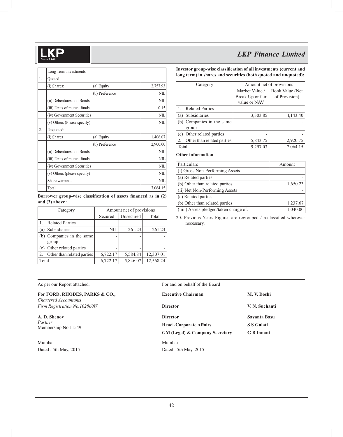|    | Long Term Investments       |                |            |
|----|-----------------------------|----------------|------------|
| 1. | Quoted                      |                |            |
|    | (i) Shares:                 | (a) Equity     | 2,757.93   |
|    |                             | (b) Preference | <b>NIL</b> |
|    | (ii) Debentures and Bonds   |                | NIL        |
|    | (iii) Units of mutual funds |                | 0.15       |
|    | (iv) Government Securities  |                | <b>NIL</b> |
|    | (v) Others (Please specify) |                | NIL        |
| 2. | Unquoted:                   |                |            |
|    | (i) Shares                  | (a) Equity     | 1,406.07   |
|    |                             | (b) Preference | 2,900.00   |
|    | (ii) Debentures and Bonds   |                | <b>NIL</b> |
|    | (iii) Units of mutual funds |                | <b>NIL</b> |
|    | (iv) Government Securities  |                | <b>NIL</b> |
|    | (v) Others (please specify) |                | <b>NIL</b> |
|    | Share warrants              |                | NIL        |
|    | Total                       |                | 7,064.15   |

Borrower group-wise classification of assets financed as in (2) **and (3) above :**

| Category                         | Amount net of provisions |           |           |
|----------------------------------|--------------------------|-----------|-----------|
|                                  | Secured                  | Unsecured | Total     |
| <b>Related Parties</b>           |                          |           |           |
| Subsidiaries<br>(a)              | NIL                      | 261.23    | 261.23    |
| (b) Companies in the same        |                          |           |           |
| group                            |                          |           |           |
| Other related parties<br>(c)     | $\overline{\phantom{0}}$ |           |           |
| Other than related parties<br>2. | 6,722.17                 | 5,584.84  | 12,307.01 |
| Total                            | 6,722.17                 | 5,846.07  | 12,568.24 |

Investor group-wise classification of all investments (current and **long term) in shares and securities (both quoted and unquoted):**

| Category       |                            | Amount net of provisions |                 |  |
|----------------|----------------------------|--------------------------|-----------------|--|
|                |                            | Market Value /           | Book Value (Net |  |
|                |                            | Break Up or fair         | of Provision)   |  |
|                |                            | value or NAV             |                 |  |
| $\mathbf{1}$ . | <b>Related Parties</b>     |                          |                 |  |
|                | (a) Subsidiaries           | 3,303.85                 | 4,143.40        |  |
|                | (b) Companies in the same  |                          |                 |  |
|                | group                      |                          |                 |  |
|                | (c) Other related parties  |                          |                 |  |
| 2.             | Other than related parties | 5,843.75                 | 2,920.75        |  |
| Total          |                            | 9,297.03                 | 7,064.15        |  |

**Other information**

| Particulars                           | Amount   |
|---------------------------------------|----------|
| (i) Gross Non-Performing Assets       |          |
| (a) Related parties                   |          |
| (b) Other than related parties        | 1,650.23 |
| (ii) Net Non-Performing Assets        |          |
| (a) Related parties                   |          |
| (b) Other than related parties        | 1,237.67 |
| (iii) Assets pledged/taken charge of. | 1,040.00 |

20. Previous Years Figures are regrouped  $/$  reclassified wherever necessary.

#### **For FORD, RHODES, PARKS & CO.,**

Mumbai Mumbai Dated : 5th May, 2015 Dated : 5th May, 2015

#### As per our Report attached. For and on behalf of the Board

| For FORD, RHODES, PARKS & CO.,                        | <b>Executive Chairman</b>                 | M. V. Doshi    |  |
|-------------------------------------------------------|-------------------------------------------|----------------|--|
| Chartered Accountants<br>Firm Registration No.102860W | <b>Director</b>                           | V. N. Suchanti |  |
| A.D. Shenoy                                           | <b>Director</b>                           | Sayanta Basu   |  |
| Partner<br>Membership No 11549                        | <b>Head -Corporate Affairs</b>            | S S Gulati     |  |
|                                                       | <b>GM (Legal) &amp; Company Secretary</b> | G B Innani     |  |
| Mumbai                                                | Mumbai                                    |                |  |
| _ . _                                                 |                                           |                |  |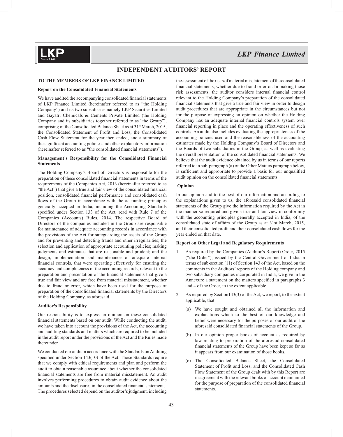#### **TO THE MEMBERS OF LKP FINANCE LIMITED**

#### **Report on the Consolidated Financial Statements**

We have audited the accompanying consolidated financial statements of LKP Finance Limited (hereinafter referred to as "the Holding Company") and its two subsidiaries namely LKP Securities Limited and Gayatri Chemicals & Cements Private Limited (the Holding Company and its subsidiaries together referred to as "the Group"), comprising of the Consolidated Balance Sheet as at 31<sup>st</sup> March, 2015, the Consolidated Statement of Profit and Loss, the Consolidated Cash Flow Statement for the year then ended, and a summary of the significant accounting policies and other explanatory information (hereinafter referred to as "the consolidated financial statements").

#### **Management's Responsibility for the Consolidated Financial Statements**

The Holding Company's Board of Directors is responsible for the preparation of these consolidated financial statements in terms of the requirements of the Companies Act, 2013 (hereinafter referred to as "the Act") that give a true and fair view of the consolidated financial position, consolidated financial performance and consolidated cash flows of the Group in accordance with the accounting principles generally accepted in India, including the Accounting Standards specified under Section 133 of the Act, read with Rule 7 of the Companies (Accounts) Rules, 2014. The respective Board of Directors of the companies included in the Group are responsible for maintenance of adequate accounting records in accordance with the provisions of the Act for safeguarding the assets of the Group and for preventing and detecting frauds and other irregularities; the selection and application of appropriate accounting policies; making judgments and estimates that are reasonable and prudent; and the design, implementation and maintenance of adequate internal financial controls, that were operating effectively for ensuring the accuracy and completeness of the accounting records, relevant to the preparation and presentation of the financial statements that give a true and fair view and are free from material misstatement, whether due to fraud or error, which have been used for the purpose of preparation of the consolidated financial statements by the Directors of the Holding Company, as aforesaid.

#### **Auditor's Responsibility**

Our responsibility is to express an opinion on these consolidated financial statements based on our audit. While conducting the audit, we have taken into account the provisions of the Act, the accounting and auditing standards and matters which are required to be included in the audit report under the provisions of the Act and the Rules made thereunder.

We conducted our audit in accordance with the Standards on Auditing specified under Section  $143(10)$  of the Act. Those Standards require that we comply with ethical requirements and plan and perform the audit to obtain reasonable assurance about whether the consolidated financial statements are free from material misstatement. An audit involves performing procedures to obtain audit evidence about the amounts and the disclosures in the consolidated financial statements. The procedures selected depend on the auditor's judgment, including

the assessment of the risks of material misstatement of the consolidated financial statements, whether due to fraud or error. In making those risk assessments, the auditor considers internal financial control relevant to the Holding Company's preparation of the consolidated financial statements that give a true and fair view in order to design audit procedures that are appropriate in the circumstances but not for the purpose of expressing an opinion on whether the Holding Company has an adequate internal financial controls system over financial reporting in place and the operating effectiveness of such controls. An audit also includes evaluating the appropriateness of the accounting policies used and the reasonableness of the accounting estimates made by the Holding Company's Board of Directors and the Boards of two subsidiaries in the Group, as well as evaluating the overall presentation of the consolidated financial statements. We believe that the audit evidence obtained by us in terms of our reports referred to in sub-paragraph (a) of the Other Matters paragraph below, is sufficient and appropriate to provide a basis for our unqualified audit opinion on the consolidated financial statements.

#### **Opinion**

In our opinion and to the best of our information and according to the explanations given to us, the aforesaid consolidated financial statements of the Group give the information required by the Act in the manner so required and give a true and fair view in conformity with the accounting principles generally accepted in India, of the consolidated state of affairs of the Group as at 31st March, 2015, and their consolidated profit and their consolidated cash flows for the year ended on that date.

#### **Report on Other Legal and Regulatory Requirements**

- 1. As required by the Companies (Auditor's Report) Order, 2015 ("the Order"), issued by the Central Government of India in terms of sub-section (11) of Section 143 of the Act, based on the comments in the Auditors' reports of the Holding company and two subsidiary companies incorporated in India, we give in the Annexure a statement on the matters specified in paragraphs 3 and 4 of the Order, to the extent applicable.
- 2. As required by Section143(3) of the Act, we report, to the extent applicable, that:
	- (a) We have sought and obtained all the information and explanations which to the best of our knowledge and belief were necessary for the purposes of our audit of the aforesaid consolidated financial statements of the Group.
	- (b) In our opinion proper books of account as required by law relating to preparation of the aforesaid consolidated financial statements of the Group have been kept so far as it appears from our examination of those books.
	- (c) The Consolidated Balance Sheet, the Consolidated Statement of Profit and Loss, and the Consolidated Cash Flow Statement of the Group dealt with by this Report are in agreement with the relevant books of account maintained for the purpose of preparation of the consolidated financial statements.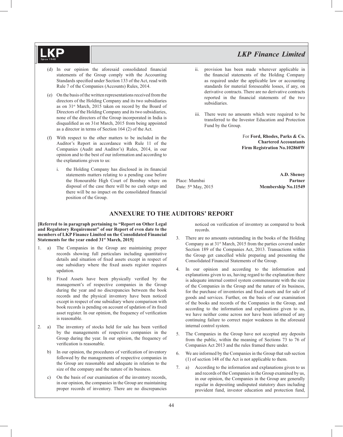- (d) In our opinion the aforesaid consolidated financial statements of the Group comply with the Accounting Standards specified under Section 133 of the Act, read with Rule 7 of the Companies (Accounts) Rules, 2014.
- (e) On the basis of the written representations received from the directors of the Holding Company and its two subsidiaries as on 31st March, 2015 taken on record by the Board of Directors of the Holding Company and its two subsidiaries, none of the directors of the Group incorporated in India is disqualified as on 31st March, 2015 from being appointed as a director in terms of Section 164 (2) of the Act.
- (f) With respect to the other matters to be included in the Auditor's Report in accordance with Rule 11 of the Companies (Audit and Auditor's) Rules, 2014, in our opinion and to the best of our information and according to the explanations given to us:
	- the Holding Company has disclosed in its financial statements matters relating to a pending case before the Honourable High Court of Bombay where on disposal of the case there will be no cash outgo and there will be no impact on the consolidated financial position of the Group.
- ii. provision has been made wherever applicable in the financial statements of the Holding Company as required under the applicable law or accounting standards for material foreseeable losses, if any, on derivative contracts. There are no derivative contracts reported in the financial statements of the two subsidiaries.
- iii. There were no amounts which were required to be transferred to the Investor Education and Protection Fund by the Group.

For **Ford, Rhodes, Parks & Co. Chartered Accountants Firm Registration No.102860W**

**A.D. Shenoy** Place: Mumbai **Partner** Date:  $5<sup>th</sup>$  May, 2015 **Membership No.11549** 

### **ANNEXURE TO THE AUDITORS' REPORT**

#### **[Referred to in paragraph pertaining to "Report on Other Legal and Regulatory Requirement" of our Report of even date to the members of LKP Finance Limited on the Consolidated Financial**  Statements for the year ended  $31<sup>st</sup> March, 2015$

- 1. a) The Companies in the Group are maintaining proper records showing full particulars including quantitative details and situation of fixed assets except in respect of one subsidiary where the fixed assets register requires updation.
	- b) Fixed Assets have been physically verified by the management's of respective companies in the Group during the year and no discrepancies between the book records and the physical inventory have been noticed except in respect of one subsidiary where comparison with book records is pending on account of updation of its fixed asset register. In our opinion, the frequency of verification is reasonable.
- 2. a) The inventory of stocks held for sale has been verified by the managements of respective companies in the Group during the year. In our opinion, the frequency of verification is reasonable.
	- b) In our opinion, the procedures of verification of inventory followed by the managements of respective companies in the Group are reasonable and adequate in relation to the size of the company and the nature of its business.
	- c) On the basis of our examination of the inventory records, in our opinion, the companies in the Group are maintaining proper records of inventory. There are no discrepancies

noticed on verification of inventory as compared to book records.

- 3. There are no amounts outstanding in the books of the Holding Company as at 31<sup>st</sup> March, 2015 from the parties covered under Section 189 of the Companies Act, 2013. Transactions within the Group get cancelled while preparing and presenting the Consolidated Financial Statements of the Group.
- 4. In our opinion and according to the information and explanations given to us, having regard to the explanation there is adequate internal control system commensurate with the size of the Companies in the Group and the nature of its business, for the purchase of inventories and fixed assets and for sale of goods and services. Further, on the basis of our examination of the books and records of the Companies in the Group, and according to the information and explanations given to us, we have neither come across nor have been informed of any continuing failure to correct major weakness in the aforesaid internal control system.
- 5. The Companies in the Group have not accepted any deposits from the public, within the meaning of Sections 73 to 76 of Companies Act 2013 and the rules framed there under.
- 6. We are informed by the Companies in the Group that sub section (1) of section 148 of the Act is not applicable to them.
- 7. a) According to the information and explanations given to us and records of the Companies in the Group examined by us, in our opinion, the Companies in the Group are generally regular in depositing undisputed statutory dues including provident fund, investor education and protection fund,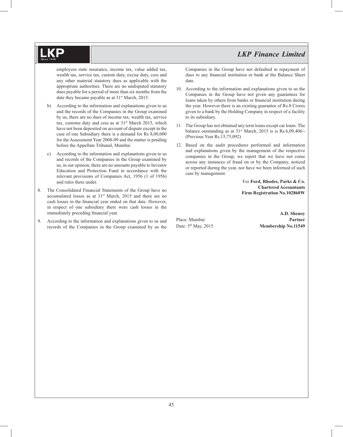employees state insurance, income tax, value added tax, wealth tax, service tax, custom duty, excise duty, cess and any other material statutory dues as applicable with the appropriate authorities. There are no undisputed statutory dues payable for a period of more than six months from the date they became payable as at  $31<sup>st</sup>$  March, 2015.

- b) According to the information and explanations given to us and the records of the Companies in the Group examined by us, there are no dues of income tax, wealth tax, service tax, customs duty and cess as at  $31<sup>st</sup>$  March 2015, which have not been deposited on account of dispute except in the case of one Subsidiary there is a demand for Rs 8,00,000 for the Assessment Year 2008-09 and the matter is pending before the Appellate Tribunal, Mumbai
- c) According to the information and explanations given to us and records of the Companies in the Group examined by us, in our opinion, there are no amounts payable to Investor Education and Protection Fund in accordance with the relevant provisions of Companies Act, 1956 (1 of 1956) and rules there under.
- 8. The Consolidated Financial Statements of the Group have no accumulated losses as at 31<sup>st</sup> March, 2015 and there are no cash losses in the financial year ended on that date. However, in respect of one subsidiary there were cash losses in the immediately preceding financial year.
- 9. According to the information and explanations given to us and records of the Companies in the Group examined by us the

Companies in the Group have not defaulted in repayment of dues to any financial institution or bank at the Balance Sheet date.

- 10. According to the information and explanations given to us the Companies in the Group have not given any guarantees for loans taken by others from banks or financial institution during the year. However there is an existing guarantee of Rs.8 Crores given to a bank by the Holding Company in respect of a facility to its subsidiary.
- 11. The Group has not obtained any term loans except car loans. The balance outstanding as at  $31<sup>st</sup>$  March, 2015 is is Rs.6,09,406/-(Previous Year Rs.15,75,092)
- 12. Based on the audit procedures performed and information and explanations given by the management of the respective companies in the Group, we report that we have not come across any instances of fraud on or by the Company, noticed or reported during the year, nor have we been informed of such case by management.

For **Ford, Rhodes, Parks & Co. Chartered Accountants Firm Registration No.102860W**

**A.D. Shenoy** Place: Mumbai **Partner** Date:  $5<sup>th</sup>$  May, 2015 **Membership No.11549**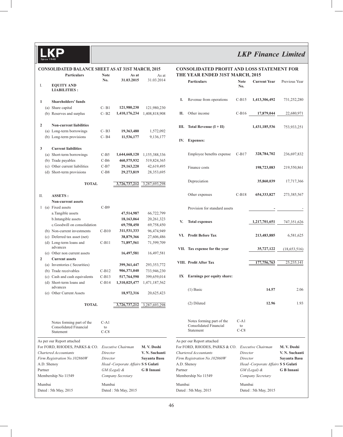## *LKP Finance Limited*

|                |         | <b>CONSOLIDATED BALANCE SHEET AS AT 31ST MARCH, 2015</b> |                |                                    |                               |         | <b>CONSOLIDATED</b>                          |
|----------------|---------|----------------------------------------------------------|----------------|------------------------------------|-------------------------------|---------|----------------------------------------------|
|                |         | <b>Particulars</b>                                       | <b>Note</b>    | As at                              | As at                         |         | <b>THE YEAR ENDE</b>                         |
|                |         |                                                          | No.            | 31.03.2015                         | 31 03 2014                    |         | <b>Particulars</b>                           |
| I.             |         | <b>EQUITY AND</b><br><b>LIABILITIES:</b>                 |                |                                    |                               |         |                                              |
|                |         |                                                          |                |                                    |                               |         |                                              |
| 1              |         | <b>Shareholders' funds</b>                               |                |                                    |                               | I.      | Revenue from o                               |
|                |         | (a) Share capital                                        | $C - B1$       | 121,980,230                        | 121,980,230                   |         |                                              |
|                |         | (b) Reserves and surplus                                 | $C - B2$       | 1,410,176,234                      | 1,408,818,908                 | П.      | Other income                                 |
|                |         |                                                          |                |                                    |                               |         |                                              |
| $\overline{2}$ |         | <b>Non-current liabilities</b>                           |                |                                    |                               | Ш.      | <b>Total Revenue</b>                         |
|                |         | (a) Long-term borrowings                                 | $C - B3$       | 19,363,480                         | 1,572,092                     |         |                                              |
|                |         | (b) Long-term provisions                                 | $C - B4$       | 11,536,177                         | 9,136,177                     | IV.     | <b>Expenses:</b>                             |
|                |         |                                                          |                |                                    |                               |         |                                              |
| 3              |         | <b>Current liabilities</b>                               |                |                                    |                               |         | Employee benef                               |
|                |         | (a) Short-term borrowings<br>(b) Trade payables          | C-B5<br>$C-B6$ | 1,644,668,120<br>460,575,932       | 1,155,388,336<br>519,824,365  |         |                                              |
|                |         | (c) Other current liabilities                            | $C-B7$         | 29,163,220                         | 42,619,495                    |         |                                              |
|                |         | (d) Short-term provisions                                | $C-B8$         | 29,273,819                         | 28,353,695                    |         | Finance costs                                |
|                |         |                                                          |                |                                    |                               |         |                                              |
|                |         | <b>TOTAL</b>                                             |                | 3,726,737,212                      | 3,287,693,298                 |         | Depreciation                                 |
|                |         |                                                          |                |                                    |                               |         |                                              |
| П.             |         | <b>ASSETS:</b>                                           |                |                                    |                               |         | Other expenses                               |
|                |         | <b>Non-current assets</b>                                |                |                                    |                               |         |                                              |
|                |         | 1 (a) Fixed assets                                       | $C-B9$         |                                    |                               |         | Provision for sta                            |
|                |         | a.Tangible assets                                        |                | 47,514,987                         | 66,722,799                    |         |                                              |
|                |         | b.Intangible assets                                      |                | 18,163,064                         | 20, 261, 323                  | V.      | <b>Total expenses</b>                        |
|                |         | c.Goodwill on consolidation                              |                | 69,758,450                         | 69,758,450                    |         |                                              |
|                |         | (b) Non-current investments                              | $C-B10$        | 311,531,333                        | 96,474,949                    |         |                                              |
|                |         | (c) Deferred tax asset (net)                             |                | 38,879,366                         | 27,606,486                    | VI.     | Profit Before Ta                             |
|                |         | (d) Long-term loans and                                  | $C-B11$        | 71,897,561                         | 71,599,709                    |         |                                              |
|                |         | advances                                                 |                |                                    |                               |         | VII. Tax expense for                         |
|                |         | (e) Other non current assets                             |                | 16,497,581                         | 16,497,581                    |         |                                              |
| $\overline{2}$ |         | <b>Current assets</b>                                    |                |                                    |                               |         | VIII. Profit After Tax                       |
|                |         | (a) Inventories (Securities)<br>(b) Trade receivables    | $C-B12$        | 399,361,447<br>906,371,040         | 293, 353, 772<br>733,946,230  |         |                                              |
|                |         | (c) Cash and cash equivalents                            | $C-B13$        | 517,764,590                        | 399,659,014                   | IX      | <b>Earnings per ed</b>                       |
|                |         | (d) Short-term loans and                                 | $C-B14$        | 1,310,025,477                      | 1,471,187,562                 |         |                                              |
|                |         | advances                                                 |                |                                    |                               |         | $(1)$ Basic                                  |
|                |         | (e) Other Current Assets                                 |                | 18,972,316                         | 20,625,423                    |         |                                              |
|                |         |                                                          |                |                                    |                               |         |                                              |
|                |         | <b>TOTAL</b>                                             |                | 3,726,737,212                      | 3,287,693,298                 |         | (2) Diluted                                  |
|                |         |                                                          |                |                                    |                               |         |                                              |
|                |         |                                                          |                |                                    |                               |         | Notes forming p                              |
|                |         | Notes forming part of the<br>Consolidated Financial      | $C-A1$<br>to   |                                    |                               |         | Consolidated Fi                              |
|                |         | Statement                                                | $C-C8$         |                                    |                               |         | Statement                                    |
|                |         |                                                          |                |                                    |                               |         |                                              |
|                |         | As per our Report attached                               |                |                                    |                               |         | As per our Report attacl                     |
|                |         | For FORD, RHODES, PARKS & CO.<br>Chartered Accountants   | Director       | Executive Chairman                 | M. V. Doshi<br>V. N. Suchanti |         | For FORD, RHODES, I<br>Chartered Accountants |
|                |         | Firm Registration No.102860W                             | Director       |                                    | Sayanta Basu                  |         | Firm Registration No.1                       |
|                |         | A.D. Shenoy                                              |                | Head -Corporate Affairs S S Gulati |                               |         | A.D. Shenoy                                  |
|                | Partner |                                                          |                | $GM$ (Legal) $\&$                  | G B Innani                    | Partner |                                              |
|                |         | Membership No 11549                                      |                | Company Secretary                  |                               |         | Membership No 11549                          |
|                |         |                                                          |                |                                    |                               |         |                                              |
|                | Mumbai  |                                                          | Mumbai         |                                    |                               | Mumbai  |                                              |

Dated : 5th May, 2015 Dated : 5th May, 2015

#### **PROFIT AND LOSS STATEMENT FOR ED 31ST MARCH, 2015**

|                                             | <b>Particulars</b>                                               | <b>Note</b><br>No.   | <b>Current Year</b>                                | Previous Year                       |
|---------------------------------------------|------------------------------------------------------------------|----------------------|----------------------------------------------------|-------------------------------------|
|                                             |                                                                  |                      |                                                    |                                     |
| I.                                          | Revenue from operations                                          |                      | C-B15 1,413,306,492                                | 731,252,280                         |
| П.                                          | Other income                                                     |                      | C-B16 17,879,044 22,680,971                        |                                     |
| III.                                        | Total Revenue $(I + II)$                                         |                      | 1,431,185,536 753,933,251                          |                                     |
| IV.                                         | <b>Expenses:</b>                                                 |                      |                                                    |                                     |
|                                             | Employee benefits expense C-B17                                  |                      | 328,784,702                                        | 236,697,832                         |
|                                             | Finance costs                                                    |                      | 198,723,083                                        | 219,550,861                         |
|                                             | Depreciation                                                     |                      | 35,860,039                                         | 17,717,366                          |
|                                             | Other expenses                                                   |                      | C-B18 654,333,827                                  | 273,385,567                         |
|                                             | Provision for standard assets                                    |                      | and the state of the state of the                  |                                     |
| V.                                          | <b>Total expenses</b>                                            |                      | 1,217,701,651 747,351,626                          |                                     |
|                                             | VI. Profit Before Tax                                            |                      | 213,483,885                                        | 6,581,625                           |
|                                             | VII. Tax expense for the year                                    |                      |                                                    | 35,727,122 (18,653,516)             |
|                                             | VIII. Profit After Tax                                           |                      |                                                    | $\overline{177,756,763}$ 25,235,141 |
| IX                                          | Earnings per equity share:                                       |                      |                                                    |                                     |
|                                             | $(1)$ Basic                                                      |                      | 14.57                                              | 2.06                                |
|                                             | (2) Diluted                                                      |                      | 12.96                                              | 1.93                                |
|                                             | Notes forming part of the<br>Consolidated Financial<br>Statement | $C-A1$<br>to<br>C-C8 |                                                    |                                     |
|                                             | As per our Report attached                                       |                      |                                                    |                                     |
|                                             | For FORD, RHODES, PARKS & CO.                                    |                      | Executive Chairman                                 | M. V. Doshi                         |
| Chartered Accountants                       |                                                                  | Director             |                                                    | V. N. Suchanti                      |
| Firm Registration No.102860W<br>A.D. Shenoy |                                                                  | Director             |                                                    | Sayanta Basu                        |
| Partner                                     |                                                                  |                      | Head -Corporate Affairs S S Gulati<br>GM (Legal) & | G B Innani                          |
|                                             | Membership No 11549                                              |                      | Company Secretary                                  |                                     |
| Mumbai                                      |                                                                  | Mumbai               |                                                    |                                     |
|                                             | Dated : 5th May, 2015                                            |                      | Dated : 5th May, 2015                              |                                     |
|                                             |                                                                  |                      |                                                    |                                     |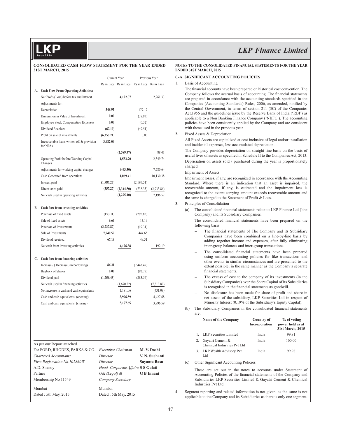#### **CONSOLIDATED CASH FLOW STATEMENT FOR THE YEAR ENDED 31ST MARCH, 2015**

|         |                                                         | Current Year                       |                       | Previous Year         |                |
|---------|---------------------------------------------------------|------------------------------------|-----------------------|-----------------------|----------------|
|         |                                                         |                                    | Rs in Lacs Rs in Lacs | Rs in Lacs Rs in Lacs |                |
| А.      | <b>Cash Flow From Operating Activities:</b>             |                                    |                       |                       |                |
|         | Net Profit/(Loss) before tax and Interest               |                                    | 4,122.07              |                       | 2,261.33       |
|         | Adiustments for:                                        |                                    |                       |                       |                |
|         | Depreciation                                            | 348.95                             |                       |                       |                |
|         |                                                         |                                    |                       | 177.17                |                |
|         | Dimunition in Value of Investment                       | 0.00                               |                       | (38.93)               |                |
|         | <b>Employee Stock Compensation Expenses</b>             | 0.00                               |                       | (0.32)                |                |
|         | Dividend Received                                       | (67.19)                            |                       | (49.51)               |                |
|         | Profit on sale of investments                           | (6,353.21)                         |                       | 0.00                  |                |
|         | Irrecoverable loans written off & provision<br>for NPAs | 3,482.09                           |                       |                       |                |
|         |                                                         |                                    | (2,589.37)            |                       | 88.41          |
|         | Operating Profit before Working Capital<br>Changes      |                                    | 1,532.70              |                       | 2,349.74       |
|         | Adjustments for working capital changes                 |                                    | (463.30)              |                       | 7,780.64       |
|         | Cash Generated from operations                          |                                    | 1,069.41              |                       | 10,130.38      |
|         | Interest paid                                           | (1,987.23)                         |                       | (2,195.51)            |                |
|         | Direct taxes paid                                       | (357.27)                           | (2,344.50)            | (738.35)              | (2,933.86)     |
|         | Net cash used in operating activities                   |                                    | (1,275.10)            |                       | 7.196.52       |
|         |                                                         |                                    |                       |                       |                |
| В.      | Cash flow from investing activities                     |                                    |                       |                       |                |
|         | Purchase of fixed assets                                | (153.11)                           |                       | (295.85)              |                |
|         | Sale of fixed assets                                    | 9.66                               |                       | 13.19                 |                |
|         | Purchase of Investments                                 | (3,737.87)                         |                       | (19.31)               |                |
|         | Sale of Investments                                     | 7,940.52                           |                       | 444.65                |                |
|         | Dividend received                                       | 67.19                              |                       | 49.51                 |                |
|         |                                                         |                                    |                       |                       |                |
|         | Net cash from investing activities                      |                                    | 4,126.38              |                       | 192.19         |
|         | C. Cash flow from financing activities                  |                                    |                       |                       |                |
|         | Increase / (Decrease) in borrowings                     | 86.21                              |                       | (7, 443.49)           |                |
|         | <b>Buyback of Shares</b>                                | 0.00                               |                       | (92.77)               |                |
|         | Dividend paid                                           | (1,756.43)                         |                       | (283.54)              |                |
|         | Net cash used in financing activities                   |                                    | (1,670.22)            |                       | (7,819.80)     |
|         | Net increase in cash and cash equivalents               |                                    | 1,181.06              |                       | (431.09)       |
|         | Cash and cash equivalents. (opening)                    |                                    | 3,996.59              |                       | 4,427.68       |
|         | Cash and cash equivalents. (closing)                    |                                    | 5,177.65              |                       | 3,996.59       |
|         |                                                         |                                    |                       |                       |                |
|         |                                                         |                                    |                       |                       |                |
|         |                                                         |                                    |                       |                       |                |
|         | As per our Report attached                              |                                    |                       |                       |                |
|         | For FORD, RHODES, PARKS & CO.                           | Executive Chairman                 |                       |                       | M.V. Doshi     |
|         | Chartered Accountants                                   | Director                           |                       |                       | V. N. Suchanti |
|         | Firm Registration No.102860W                            | Director                           |                       |                       | Sayanta Basu   |
|         | A.D. Shenoy                                             | Head -Corporate Affairs S S Gulati |                       |                       |                |
| Partner |                                                         | GM (Legal) &                       |                       |                       | G B Innani     |
|         | Membership No 11549                                     | Company Secretary                  |                       |                       |                |
|         | Mumbai                                                  | Mumbai                             |                       |                       |                |
|         | Dated : 5th May, 2015                                   | Dated : 5th May, 2015              |                       |                       |                |

## *LKP Finance Limited*

#### **NOTES TO THE CONSOLIDATED FINANCIAL STATEMENTS FOR THE YEAR ENDED 31ST MARCH, 2015**

#### **C-A. SIGNIFICANT ACCOUNTING POLICIES**

1. Basis of Accounting

The financial accounts have been prepared on historical cost convention. The Company follows the accrual basis of accounting. The financial statements are prepared in accordance with the accounting standards specified in the Companies (Accounting Standards) Rules, 2006, as amended, notified by the Central Government, in terms of section 211 (3C) of the Companies Act,1956 and the guidelines issue by the Reserve Bank of India ('RBI') as applicable to a Non Banking Finance Company ('NBFC'). The accounting policies have been consistently applied by the Company and are consistent with those used in the previous year.

#### **2.** Fixed Assets & Depreciation

 All Fixed Assets are capitalized at cost inclusive of legal and/or installation and incidental expenses, less accumulated depreciation.

 The Company provides depreciation on straight line basis on the basis of useful lives of assets as specified in Schedule II to the Companies Act, 2013. Depriciation on assets sold / purchased during the year is proportionately charged.

#### Impairment of Assets

 Impairment losses, if any, are recognized in accordance with the Accounting Standard. Where there is an indication that an asset is impaired, the recoverable amount, if any, is estimated and the impairment loss is recognized to the extent carrying amount exceeds recoverable amount and the same is charged to the Statement of Profit  $&$  Loss.

#### 3. Principles of Consolidation

(a) The consolidated financial statements relate to LKP Finance Ltd ('the Company) and its Subsidiary Companies.

The consolidated financial statements have been prepared on the following basis.

- The financial statements of The Company and its Subsidiary Companies have been combined on a line-by-line basis by adding together income and expenses, after fully eliminating inter-group balances and inter-group transactions.
- The consolidated financial statements have been prepared using uniform accounting policies for like transactions and other events in similar circumstances and are presented to the extent possible, in the same manner as the Company's separate financial statements.
- The excess of cost to the company of its investments (in the Subsidiary Companies) over the Share Capital of its Subsidiaries is recognised in the financial statements as goodwill.
- No disclosure has been made for share of profit and share in net assets of the subsidiary, LKP Securities Ltd in respect of Minority Interest (0.19% of the Subsidiary's Equity Capital).
- (b) The Subsidiary Companies in the consolidated financial statements are:

| Name of the Company                             | Country of<br>Incorporation | % of voting<br>power held as at<br>31st March, 2015 |
|-------------------------------------------------|-----------------------------|-----------------------------------------------------|
| <b>LKP</b> Securities Limited                   | India                       | 99.81                                               |
| Gayatri Cement &<br>Chemical Industries Pvt Ltd | India                       | 100.00                                              |
| 3. LKP Wealth Advisory Pvt<br>L td              | India                       | 99.98                                               |

(c) Other Significant Accounting Policies

 These are set out in the notes to accounts under Statement of Accounting Policies of the financial statements of the Company and Subsidiaries LKP Securities Limited & Gayatri Cement & Chemical Industries Pvt Ltd.

4. Segment reporting and related information is not given, as the same is not applicable to the Company and its Subsidiaries as there is only one segment.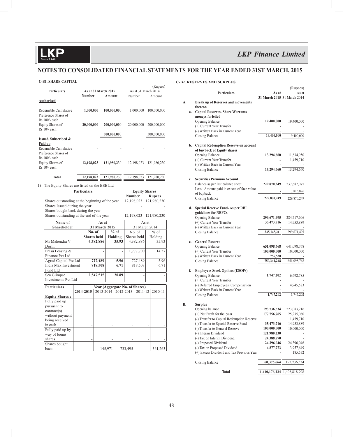**KP** 

## *LKP Finance Limited*

### **NOTES TO CONSOLIDATED FINANCIAL STATEMENTS FOR THE YEAR ENDED 31ST MARCH, 2015**

#### **C-B1. SHARE CAPITAL**

|    | Particulars                                             |  | Number             | As at 31 March 2015     | Amount      |                       |                         | As at 31 March 2014<br>Number  |             | (Rupees)<br>Amount |
|----|---------------------------------------------------------|--|--------------------|-------------------------|-------------|-----------------------|-------------------------|--------------------------------|-------------|--------------------|
|    | <b>Authorised</b>                                       |  |                    |                         |             |                       |                         |                                |             |                    |
|    | Redemable Cumulative<br>Preference Shares of            |  | 1,000,000          |                         | 100,000,000 |                       |                         | 1,000,000                      |             | 100,000,000        |
|    | Rs 100/- each<br>Equity Shares of<br>Rs 10/- each       |  | 20,000,000         |                         | 200,000,000 |                       |                         | 20,000,000                     |             | 200,000,000        |
|    |                                                         |  |                    |                         | 300,000,000 |                       |                         |                                |             | 300,000,000        |
|    | Issued, Subscribed &                                    |  |                    |                         |             |                       |                         |                                |             |                    |
|    | Paid up<br>Redemable Cumulative<br>Preference Shares of |  |                    |                         |             |                       |                         |                                |             |                    |
|    | Rs 100/- each<br>Equity Shares of<br>$Rs$ 10/- each     |  | 12,198,023         |                         | 121,980,230 |                       |                         | 12,198,023                     |             | 121,980,230        |
|    | <b>Total</b>                                            |  | 12,198,023         |                         | 121,980,230 |                       |                         | 12,198,023                     |             | 121,980,230        |
|    |                                                         |  |                    |                         |             |                       |                         |                                |             |                    |
| 1) | The Equity Shares are listed on the BSE Ltd             |  |                    |                         |             |                       |                         |                                |             |                    |
|    |                                                         |  | <b>Particulars</b> |                         |             |                       | <b>Number</b>           | <b>Equity Shares</b>           |             | <b>Rupees</b>      |
|    | Shares outstanding at the beginning of the year         |  |                    |                         |             |                       | 12,198,023              |                                |             | 121,980,230        |
|    | Shares Issued during the year                           |  |                    |                         |             |                       |                         |                                |             |                    |
|    | Shares bought back during the year                      |  |                    |                         |             |                       |                         |                                |             |                    |
|    | Shares outstanding at the end of the year               |  |                    |                         |             | 12,198,023            |                         |                                | 121,980,230 |                    |
|    | Name of                                                 |  | As at              |                         |             |                       | As at                   |                                |             |                    |
|    | <b>Shareholder</b>                                      |  |                    | 31 March 2015<br>No. of |             | $%$ of                | 31 March 2014<br>No. of |                                |             | $%$ of             |
|    |                                                         |  |                    | <b>Shares</b> held      |             | Holding               |                         | Shares held                    |             | Holding            |
|    | Mr Mahendra V                                           |  |                    | 4,382,886               |             | 35.93                 |                         | 4,382,886                      |             | 35.93              |
|    | Doshi<br>Prasu Leasing &                                |  |                    |                         |             |                       |                         |                                |             | 14.57              |
|    | Finance Pvt Ltd                                         |  |                    |                         |             |                       | 1,777,700               |                                |             |                    |
|    | Agrud Capital Pte Ltd                                   |  |                    | 727,489                 |             | 5.96                  |                         | 727,489                        |             | 5.96               |
|    | India Max Investment<br>Fund Ltd                        |  |                    | 818,508                 |             | 6.71                  |                         | 818,508                        |             | 6.71               |
|    | Sea Glimpse                                             |  |                    | 2,547,515               |             | 20.89                 |                         |                                |             |                    |
|    | <b>Investments Pvt Ltd</b>                              |  |                    |                         |             |                       |                         |                                |             |                    |
|    | <b>Particulars</b>                                      |  |                    |                         |             |                       |                         | Year (Aggregate No. of Shares) |             |                    |
|    |                                                         |  | 2014-2015          |                         |             | 2013-2014   2012-2013 |                         | 2011-12                        |             | 2010-11            |
|    | <b>Equity Shares:</b>                                   |  |                    |                         |             |                       |                         |                                |             |                    |
|    | Fully paid up                                           |  |                    |                         |             |                       |                         |                                |             |                    |
|    | pursuant to                                             |  |                    |                         |             |                       |                         |                                |             |                    |
|    | contract(s)<br>without payment                          |  |                    |                         |             |                       |                         |                                |             |                    |
|    | being received                                          |  |                    |                         |             |                       |                         |                                |             |                    |
|    | in cash                                                 |  |                    |                         |             |                       |                         |                                |             |                    |
|    | Fully paid up by                                        |  |                    |                         |             |                       |                         |                                |             |                    |
|    | way of bonus                                            |  |                    |                         |             |                       |                         |                                |             |                    |
|    | shares                                                  |  |                    |                         |             |                       |                         |                                |             |                    |
|    | Shares bought<br>back                                   |  |                    |                         | 145,971     |                       | 733,495                 |                                |             | 361,263            |

#### **C-B2. RESERVES AND SURPLUS**

|    |    | Particulars                                                                                     | As at<br>31 March 2015 31 March 2014 | (Rupees)<br>As at |
|----|----|-------------------------------------------------------------------------------------------------|--------------------------------------|-------------------|
| A. | a. | <b>Break up of Reserves and movements</b><br>thereon<br><b>Capital Reserves- Share Warrants</b> |                                      |                   |
|    |    | moneys forfeited<br>Opening Balance                                                             | 19,400,000                           | 19,400,000        |
|    |    | (+) Current Year Transfer                                                                       |                                      |                   |
|    |    | (-) Written Back in Current Year<br><b>Closing Balance</b>                                      | 19,400,000                           | 19,400,000        |
|    |    | b. Capital Redemption Reserve on account<br>of buyback of Equity shares                         |                                      |                   |
|    |    | <b>Opening Balance</b>                                                                          | 13,294,660                           | 11,834,950        |
|    |    | (+) Current Year Transfer                                                                       |                                      | 1,459,710         |
|    |    | (-) Written Back in Current Year<br><b>Closing Balance</b>                                      | 13,294,660                           | 13,294,660        |
|    | c. | <b>Securities Premium Account</b>                                                               |                                      |                   |
|    |    | Balance as per last balance sheet                                                               | 229,870,249                          | 237,687,075       |
|    |    | Less : Amount paid in excess of face value                                                      |                                      | 7,816,826         |
|    |    | of buyback<br><b>Closing Balance</b>                                                            | 229,870,249                          | 229,870,249       |
|    |    |                                                                                                 |                                      |                   |
|    | d. | <b>Special Reserve Fund-As per RBI</b><br>guidelines for NBFCs                                  |                                      |                   |
|    |    | Opening Balance                                                                                 | 299,671,495                          | 284,717,606       |
|    |    | (+) Current Year Transfer                                                                       | 35,473,716                           | 14,953,889        |
|    |    | (-) Written Back in Current Year<br><b>Closing Balance</b>                                      | 335,145,211                          | 299,671,495       |
|    | e. | <b>General Reserve</b>                                                                          |                                      |                   |
|    |    | Opening Balance                                                                                 | 651,098,768                          | 641,098,768       |
|    |    | (+) Current Year Transfer                                                                       | 100,000,000                          | 10,000,000        |
|    |    | (-) Written Back in Current Year<br><b>Closing Balance</b>                                      | 756,520<br>750,342,248               | 651,098,768       |
|    |    |                                                                                                 |                                      |                   |
|    | f. | <b>Employees Stock Options (ESOPs)</b>                                                          |                                      |                   |
|    |    | Opening Balance<br>(+) Current Year Transfer                                                    | 1,747,202                            | 6,692,785         |
|    |    | (-) Deferred Employees Compensation<br>(-) Written Back in Current Year                         |                                      | 4,945,583         |
|    |    | <b>Closing Balance</b>                                                                          | 1,747,202                            | 1,747,202         |
| B. |    | <b>Surplus</b>                                                                                  |                                      |                   |
|    |    | Opening balance                                                                                 | 193,736,534                          | 223,083,216       |
|    |    | (+) Net Profit for the year                                                                     | 177,756,765                          | 25,235,060        |
|    |    | (-) Transfer to Capital Redemption Reserve                                                      |                                      | 1,459,710         |
|    |    | (-) Transfer to Special Reserve Fund<br>(-) Transfer to General Reserve                         | 35,473,716<br>100,000,000            | 14,953,889        |
|    |    | (-) Interim Dividend                                                                            | 121,980,230                          | 10,000,000        |
|    |    | (-) Tax on Interim Dividend                                                                     | 24,388,870                           |                   |
|    |    | (-) Proposed Dividend                                                                           | 24,396,046                           | 24,396,046        |
|    |    | (-) Tax on Proposed Dividend                                                                    | 4,877,773                            | 3,957,649         |
|    |    | (+) Excess Dividend and Tax Previous Year                                                       |                                      | 185,552           |
|    |    | Closing Balance                                                                                 | 60,376,664                           | 193,736,534       |
|    |    | Total                                                                                           | 1,410,176,234                        | 1,408,818,908     |
|    |    |                                                                                                 |                                      |                   |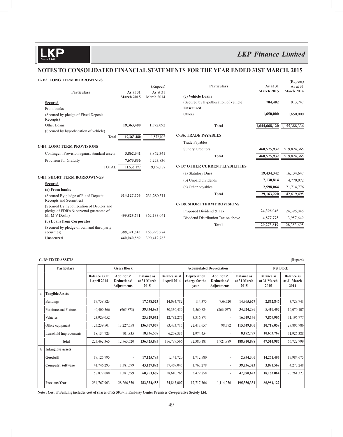(Rupees)

### **NOTES TO CONSOLIDATED FINANCIAL STATEMENTS FOR THE YEAR ENDED 31ST MARCH, 2015**

#### **C- B3. LONG TERM BORROWINGS**

|                                                                 |               | (Rupees)    | <b>Particulars</b>                    | As at 31      | As at 31      |
|-----------------------------------------------------------------|---------------|-------------|---------------------------------------|---------------|---------------|
| <b>Particulars</b>                                              | As at 31      | As at $31$  |                                       | March 2015    | March 2014    |
|                                                                 | March 2015    | March 2014  | (c) Vehicle Loans                     |               |               |
| <b>Secured</b>                                                  |               |             | (Secured by hypothecation of vehicle) | 704,402       | 913,747       |
| From banks                                                      |               |             | <b>Unsecured</b>                      |               |               |
| (Secured by pledge of Fixed Deposit<br>Receipts)                |               |             | Others                                | 1,650,000     | 1,650,000     |
| Other Loans                                                     | 19,363,480    | 1,572,092   | <b>Total</b>                          | 1,644,668,120 | 1,155,388,336 |
| (Secured by hypothecation of vehicle)                           |               |             |                                       |               |               |
| Total                                                           | 19,363,480    | 1,572,092   | <b>C-B6. TRADE PAYABLES</b>           |               |               |
|                                                                 |               |             | Trade Payables:                       |               |               |
| <b>C-B4. LONG TERM PROVISIONS</b>                               |               |             | <b>Sundry Creditors</b>               | 460,575,932   | 519,824,365   |
| Contingent Provision against standard assets                    | 3,862,341     | 3,862,341   | <b>Total</b>                          | 460,575,932   | 519,824,365   |
| Provision for Gratuity                                          | 7,673,836     | 5,273,836   |                                       |               |               |
| <b>TOTAL</b>                                                    | 11,536,177    | 9,136,177   | <b>C-B7 OTHER CURRENT LIABILITIES</b> |               |               |
|                                                                 |               |             | (a) Statutory Dues                    | 19,434,342    | 16,134,647    |
| <b>C-B5. SHORT TERM BORROWINGS</b>                              |               |             | (b) Unpaid dividends                  | 7,130,814     | 4,770,072     |
| <b>Secured</b>                                                  |               |             | (c) Other payables                    | 2,598,064     | 21,714,776    |
| (a) From banks                                                  |               |             |                                       |               |               |
| (Secured By pledge of Fixed Deposit<br>Receipts and Securities) | 314, 127, 765 | 231,280,511 | <b>Total</b>                          | 29,163,220    | 42,619,495    |
| (Secured By hypothecation of Debtors and                        |               |             | <b>C-B8. SHORT TERM PROVISIONS</b>    |               |               |
| pledge of FDR's & personal guarantee of                         |               |             | Proposed Dividend & Tax               | 24,396,046    | 24,396,046    |
| Mr M V Doshi)                                                   | 499,823,741   | 362,133,041 | Dividend Distribution Tax on above    | 4,877,773     | 3,957,649     |
| (b) Loans from Corporates                                       |               |             | <b>Total</b>                          | 29,273,819    | 28,353,695    |
| (Secured by pledge of own and third party                       |               |             |                                       |               |               |
| securities)                                                     | 388,321,343   | 168,998,274 |                                       |               |               |
| <b>Unsecured</b>                                                | 440,040,869   | 390,412,763 |                                       |               |               |

#### **C- B9 FIXED ASSETS** (Rupees)

|    | <b>Particulars</b>                                                                                              | <b>Gross Block</b>                   |                                                 |                                          | <b>Accumulated Depreciation</b>      |                                        |                                                        |                                          | <b>Net Block</b>                         |                                          |
|----|-----------------------------------------------------------------------------------------------------------------|--------------------------------------|-------------------------------------------------|------------------------------------------|--------------------------------------|----------------------------------------|--------------------------------------------------------|------------------------------------------|------------------------------------------|------------------------------------------|
|    |                                                                                                                 | <b>Balance as at</b><br>1 April 2014 | <b>Additions/</b><br>Deductions/<br>Adjustments | <b>Balance as</b><br>at 31 March<br>2015 | <b>Balance as at</b><br>1 April 2014 | Depreciation<br>charge for the<br>vear | <b>Additions/</b><br>Deductions/<br><b>Adjustments</b> | <b>Balance</b> as<br>at 31 March<br>2015 | <b>Balance</b> as<br>at 31 March<br>2015 | <b>Balance as</b><br>at 31 March<br>2014 |
| a. | <b>Tangible Assets</b>                                                                                          |                                      |                                                 |                                          |                                      |                                        |                                                        |                                          |                                          |                                          |
|    | <b>Buildings</b>                                                                                                | 17,758,523                           |                                                 | 17,758,523                               | 14,034,782                           | 114,375                                | 756,520                                                | 14,905,677                               | 2,852,846                                | 3,723,741                                |
|    | Furniture and Fixtures                                                                                          | 40,400,566                           | (965, 873)                                      | 39,434,693                               | 30,330,459                           | 4,560,824                              | (866,997)                                              | 34,024,286                               | 5,410,407                                | 10,070,107                               |
|    | Vehicles                                                                                                        | 23,929,052                           |                                                 | 23,929,052                               | 12,732,275                           | 3,316,871                              |                                                        | 16,049,146                               | 7,879,906                                | 11,196,777                               |
|    | Office equipment                                                                                                | 123,239,501                          | 13,227,558                                      | 136,467,059                              | 93,433,715                           | 22,413,657                             | 98,372                                                 | 115,749,000                              | 20,718,059                               | 29,805,786                               |
|    | Leasehold Improvements                                                                                          | 18, 134, 723                         | 701,835                                         | 18,836,558                               | 6,208,335                            | 1,974,454                              |                                                        | 8,182,789                                | 10,653,769                               | 11,926,388                               |
|    | <b>Total</b>                                                                                                    | 223,462,365                          | 12,963,520                                      | 236,425,885                              | 156,739,566                          | 32,380,181                             | 1,721,889                                              | 188,910,898                              | 47,514,987                               | 66,722,799                               |
| h  | <b>Intangible Assets</b>                                                                                        |                                      |                                                 |                                          |                                      |                                        |                                                        |                                          |                                          |                                          |
|    | Goodwill                                                                                                        | 17, 125, 795                         |                                                 | 17,125,795                               | 1,141,720                            | 1,712,580                              |                                                        | 2,854,300                                | 14,271,495                               | 15,984,075                               |
|    | <b>Computer software</b>                                                                                        | 41,746,293                           | 1,381,599                                       | 43,127,892                               | 37,469,045                           | 1,767,278                              |                                                        | 39,236,323                               | 3,891,569                                | 4,277,248                                |
|    |                                                                                                                 | 58,872,088                           | 1,381,599                                       | 60,253,687                               | 38,610,765                           | 3,479,858                              |                                                        | 42,090,623                               | 18,163,064                               | 20, 261, 323                             |
|    | <b>Previous Year</b>                                                                                            | 254,767,903                          | 28,266,550                                      | 282,334,453                              | 34,863,007                           | 17,717,366                             | 1,114,256                                              | 195,350,331                              | 86,984,122                               |                                          |
|    | Note: Cost of Building includes cost of shares of Rs 500/- in Embassy Center Premises Co-operative Society Ltd. |                                      |                                                 |                                          |                                      |                                        |                                                        |                                          |                                          |                                          |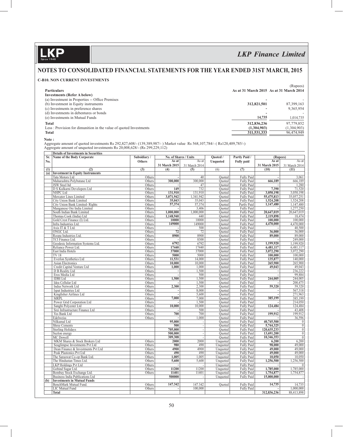**KP** 

### *LKP Finance Limited*

### **NOTES TO CONSOLIDATED FINANCIAL STATEMENTS FOR THE YEAR ENDED 31ST MARCH, 2015**

#### **C-B10. NON CURRENT INVESTMENTS**

|                                                                   |             | (Rupees)                                |
|-------------------------------------------------------------------|-------------|-----------------------------------------|
| <b>Particulars</b>                                                |             | As at 31 March 2015 As at 31 March 2014 |
| <b>Investments (Refer A below)</b>                                |             |                                         |
| (a) Investment in Properties -- Office Premises                   |             |                                         |
| (b) Investment in Equity instruments                              | 312,821,501 | 87,399,163                              |
| (c) Investments in preference shares                              |             | 9,365,954                               |
| (d) Investments in debentures or bonds                            |             |                                         |
| (e) Investments in Mutual Funds                                   | 14,735      | 1,014,735                               |
| <b>Total</b>                                                      | 312,836,236 | 97,779,852                              |
| Less: Provision for dimunition in the value of quoted Investments | (1,304,903) | (1,304,903)                             |
| <b>Total</b>                                                      | 311,531,333 | 96,474,949                              |
|                                                                   |             |                                         |

 **Note :**

 Aggregate amount of quoted investments Rs 292,827,608/- (139,389,987/- ) Market value Rs 568,107,784/- ( Rs120,409,785/-) Aggregate amount of unquoted investments Rs 20,008,628/- (Rs 299,229,112)

|     | <b>Details of Investments in Securities</b> |               |                       |               |                 |                   |               |                        |
|-----|---------------------------------------------|---------------|-----------------------|---------------|-----------------|-------------------|---------------|------------------------|
| Sr. | <b>Name of the Body Corporate</b>           | Subsidiary/   | No. of Shares / Units |               | Quoted /        | Partly Paid /     | (Rupees)      |                        |
| No. |                                             | <b>Others</b> | As at                 | As at         | <b>Unquoted</b> | <b>Fully paid</b> | As at         | As at                  |
|     |                                             |               | 31 March 2015         | 31 March 2014 |                 |                   | 31 March 2015 | 31 March 2014          |
| (1) | (2)                                         | (3)           | (4)                   | (5)           | (6)             | (7)               | (10)          | (11)                   |
| (a) | <b>Investment in Equity Instruments</b>     |               |                       |               |                 |                   |               |                        |
|     | Tata Motors Ltd                             | Others        |                       | 40            | Quoted          | Fully Paid        |               | 3,061                  |
|     | Maharashtra Polybutane Ltd                  | Others        | 300,000               | 300,000       | Quoted          | <b>Fully Paid</b> | 666,189       | 666,189                |
|     | JSW Steel ltd                               | Others        |                       | 47            | Ouoted          | <b>Fully Paid</b> |               | 1,280                  |
|     | D S Kulkarni Developers Ltd                 | Others        | 149                   | 732           | Quoted          | <b>Fully Paid</b> | 7,390         | 71,520                 |
|     | NHPC Ltd                                    | Others        | 131,910               | 131,910       | <b>Ouoted</b>   | <b>Fully Paid</b> | 3,050,198     | 3.050.198              |
|     | Mercator Lines Limited                      | Others        | 3,071,942             | 1,341,942     | Ouoted          | <b>Fully Paid</b> | 55,475,813    | 35,057,251             |
|     | City Union Bank Limited                     | Others        | 35,043                | 35,043        | Quoted          | <b>Fully Paid</b> | 1,524,208     | 1,524,208              |
|     | City Union Bank Limited-Rights              | Others        | 57,374                | 57,374        | Quoted          | Partly Paid       | 1,147,480     | 1,147,480              |
|     | Manganese Ore India Limited                 | Others        |                       | 3,406         | Ouoted          | <b>Fully Paid</b> |               | 1,277,250              |
|     | South Indian Bank Limited                   | Others        | 1,000,000             | 1.000.000     | <b>Ouoted</b>   | Fully Paid        | 20,647,019    | 20,647,019             |
|     | Thomas Cook (India) Ltd                     | Others        | 1,148,940             | 440           | Ouoted          | <b>Fully Paid</b> | 2,119,898     | 18,474                 |
|     | Gold Crest Finance (I) Ltd.                 | Others        | 10000                 | 10000         | Quoted          | <b>Fully Paid</b> | 100,000       | 100,000                |
|     | Infra Industries Ltd.                       | Others        | 149000                | 149000        | Quoted          | <b>Fully Paid</b> | 4,470,000     | 4,470,000              |
|     | Axis IT & T Ltd.                            | Others        |                       | 500           | Quoted          | <b>Fully Paid</b> |               | 40,500                 |
|     | ONGC Ltd.                                   | Others        | $\overline{72}$       | 72            | Ouoted          | <b>Fully Paid</b> | 36,000        | 36,000                 |
|     | Roopa Industries Ltd.                       | Others        | 8900                  | 8900          | Ouoted          | <b>Fully Paid</b> | 89,000        | 89,000                 |
|     | TCI Finance Ltd.                            | Others        |                       | 8300          | Ouoted          | Fully Paid        |               | 249,000                |
|     |                                             |               | 6792                  | 6792          |                 |                   | 1,199,920     |                        |
|     | Geodesic Information Systems Ltd.           | Others        | 17440                 |               | Quoted          | <b>Fully Paid</b> | 6,481,117     | 1,199,920              |
|     | Reliance Power Ltd.                         | Others        | 37000                 | 17440         | Ouoted          | Fully Paid        |               | 6,481,117<br>3,072,290 |
|     | East India Hotels                           | Others        |                       | 37000         | Quoted          | <b>Fully Paid</b> | 3,072,290     |                        |
|     | <b>TV18</b>                                 | Others        | 5000                  | 5000          | Ouoted          | <b>Fully Paid</b> | 100,000       | 100,000                |
|     | Everlon Synthetics Ltd                      | Others        | 11,531                | 14,000        | Quoted          | Fully Paid        | 135,877       | 140,000                |
|     | Asian Electronics                           | Others        | 10,000                | 10,000        | Quoted          | <b>Fully Paid</b> | 265,900       | 265,900                |
|     | Credit Capital Venture Ltd                  | Others        | 1,000                 | 1,000         | Ouoted          | Fully Paid        | 49,043        | 49,043                 |
|     | D B Reality Ltd                             | Others        |                       | 1,500         | Ouoted          | Fully Paid        |               | 236.222                |
|     | Eros Media Ltd                              | Others        |                       | 500           | Quoted          | <b>Fully Paid</b> |               | 99,884                 |
|     | <b>IDBI</b> Ltd                             | Others        | 1,500                 | 1.500         | Ouoted          | <b>Fully Paid</b> | 244,005       | 244,005                |
|     | Idea Cellular Ltd                           | Others        |                       | 1,500         | Quoted          | Fully Paid        |               | 200,475                |
|     | <b>Indus Network Ltd</b>                    | Others        | 2,300                 | 2,300         | Quoted          | <b>Fully Paid</b> | 59,320        | 59,320                 |
|     | Ispat Industries Ltd                        | Others        |                       | 8,000         | Ouoted          | Fully Paid        |               | 567,318                |
|     | Kingfisher Airlines Ltd                     | Others        |                       | 5,600         | Quoted          | Fully Paid        |               | 271,963                |
|     | <b>MRPL</b>                                 | Others        | 7,000                 | 7,000         | Quoted          | <b>Fully Paid</b> | 385,199       | 385,199                |
|     | Power Grid Corporation Ltd                  | Others        |                       | 1,500         | Quoted          | Fully Paid        |               | 214,050                |
|     | Sanghi Polvester Ltd                        | Others        | 10.000                | 10.000        | Quoted          | Fully Paid        | 124,484       | 124,484                |
|     | Srei Infrastructure Finance Ltd             | Others        |                       | 500           | Ouoted          | <b>Fully Paid</b> |               | 43,408                 |
|     | Yes Bank Ltd                                | Others        | 700                   | 700           | Quoted          | Fully Paid        | 199,912       | 199,912                |
|     | Edelweiss                                   | Others        |                       | 1,000         | Ouoted          | Fully Paid        |               | 36,596                 |
|     | Nilkamal Ltd                                |               | 95,000                |               | Quoted          | <b>Fully Paid</b> | 40,745,500    | $\boldsymbol{0}$       |
|     | <b>Shree Cements</b>                        |               | 500                   | J.            | Ouoted          | <b>Fully Paid</b> | 5,744,325     | $\overline{0}$         |
|     | <b>Sterling Holidays</b>                    |               | 705,000               |               | Quoted          | <b>Fully Paid</b> | 120,635,233   | $\overline{0}$         |
|     | Suzlon energy                               |               | 500,000               | ÷,            | Ouoted          | <b>Fully Paid</b> | 13,691,200    | $\overline{0}$         |
|     | MC Dowell                                   |               | 309,308               |               | Ouoted          | <b>Fully Paid</b> | 10,346,353    | $\overline{0}$         |
|     | MKM Shares & Stock Brokers Ltd              | Others        | 2000                  | 2000          | Unquoted        | Fully Paid        | 6,200         | 6,200                  |
|     | Seaglimpse Investments Pvt Ltd              | Others        | 980                   | 490           | Unquoted        | <b>Fully Paid</b> | 98,000        | 49,000                 |
|     | Dean Finance & Investments Pvt Ltd          | Others        | 4900                  | 4900          | Unquoted        | <b>Fully Paid</b> | 49,000        | 49,000                 |
|     | Peak Plastonics Pvt Ltd                     | Others        | 490                   | 490           | Unquoted        | <b>Fully Paid</b> | 49,000        | 49,000                 |
|     | The Saraswat Co-op Bank Ltd.                | Others        | 1.005                 | 1.005         | Unquoted        | <b>Fully Paid</b> | 10,050        | 10.050                 |
|     | The Hindustan Times Ltd.                    | Others        | 5,600                 | 5,600         | Unquoted        | Fully Paid        | 1,256,500     | 1,256,500              |
|     | <b>LKP</b> Holdings Pvt Ltd                 | Others        |                       |               | Unquoted        | Fully Paid        |               | $\mathbf{0}$           |
|     |                                             |               |                       |               |                 |                   |               |                        |
|     | Gobind Sugar Ltd.                           | Others        | 11200                 | 11200         | Unquoted        | Fully Paid        | 1,785,000     | 1,785,000              |
|     | Bombay Stock Exchange Ltd.                  | Others        | 11401                 | 11401         | Unquoted        | <b>Fully Paid</b> | 1,754,877     | 1,754,877              |
|     | <b>Business India Publications Ltd</b>      |               | 500000                |               | Unquoted        | Fully Paid        | 15,000,000    |                        |
| (b) | <b>Investments in Mutual Funds</b>          |               |                       |               |                 |                   |               |                        |
|     | BenchMark Mutual Fund.                      | Others        | 147.342               | 147.342       | Ouoted          | Fully Paid        | 14,735        | 14,735                 |
|     | <b>LIC Mutual Fund</b>                      | Others        |                       | 100,000       |                 | Fully Paid        |               | 1,000,000              |
|     | Total                                       |               |                       |               |                 |                   | 312,836,236   | 88,413,898             |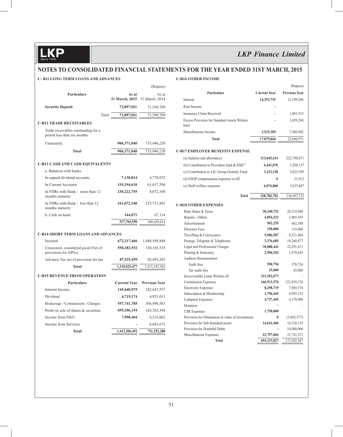### **NOTES TO CONSOLIDATED FINANCIAL STATEMENTS FOR THE YEAR ENDED 31ST MARCH, 2015**

#### **C- B11 LONG TERM LOANS AND ADVANCES**

### **C-B16 OTHER INCOME**

|                                                                    |                     | (Rupees)             |
|--------------------------------------------------------------------|---------------------|----------------------|
| <b>Particulars</b>                                                 | As at               | As at                |
|                                                                    | 31 March, 2015      | 31 March, 2014       |
| <b>Security Deposit</b>                                            | 71,897,561          | 71,599,709           |
| Total                                                              | 71,897,561          | 71,599,709           |
| <b>C-B12 TRADE RECEIVABLES</b>                                     |                     |                      |
| Trade receivables outstanding for a<br>period less than six months |                     |                      |
| Unsecured.                                                         | 906,371,040         | 733,946,230          |
| <b>Total</b>                                                       | 906,371,040         | 733,946,230          |
|                                                                    |                     |                      |
| <b>C-B13 CASH AND CASH EQUIVALENTS</b>                             |                     |                      |
| a. Balances with banks                                             |                     |                      |
| In unpaid dividend accounts                                        | 7,130,814           | 4,770,072            |
| In Current Accounts                                                | 119,194,610         | 61,017,596           |
| In FDRs with Bank - more than 12<br>months maturity                | 230, 222, 755       | 8,072,340            |
| In FDRs with Bank - less than 12<br>months maturity                | 161,072,340         | 325,731,892          |
| b. Cash on hand                                                    | 144,071             | 67,114               |
|                                                                    | 517,764,590         | 399,659,014          |
|                                                                    |                     |                      |
| <b>C-B14 SHORT TERM LOANS AND ADVANCES</b>                         |                     |                      |
| Secured                                                            | 672,217,466         | 1,048,588,840        |
| Unsecured, considered good (Net of<br>provisions for NPAs)         | 550,282,552         | 330, 105, 519        |
| Advance Tax net of provision for tax                               | 87,525,459          | 92,493,203           |
| <b>Total</b>                                                       | 1,310,025,477       | 1,471,187,562        |
| <b>C-B15 REVENUE FROM OPERATION</b>                                |                     |                      |
| <b>Particulars</b>                                                 | <b>Current Year</b> | <b>Previous Year</b> |
| Interest Income                                                    | 145,640,975         | 242,647,557          |
| Dividend                                                           | 6,719,174           | 4,951,013            |
| Brokerage / Commission / Charges                                   | 557,741,785         | 366,990,583          |
| Profit on sale of shares & securities                              | 695,206,154         | 103,763,394          |
| Income from F&O                                                    | 7,998,404           | 6,216,062            |
| Income from Services                                               |                     | 6,683,671            |
| <b>Total</b>                                                       | 1,413,306,492       | 731.252.280          |
|                                                                    |                     |                      |

|                                                      |                     | (Rupees)             |
|------------------------------------------------------|---------------------|----------------------|
| Particulars                                          | <b>Current Year</b> | <b>Previous Year</b> |
| Interest                                             | 14,353,735          | 12,199,206           |
| Rent Income                                          |                     |                      |
| Insurance Claim Received                             |                     | 1,481,515            |
| Excess Provision for Standard Assets Written<br>hack |                     | 1,439,268            |
| Miscelleneous Income                                 | 3,525,309           | 7,560,982            |
| <b>Total</b>                                         | 17,879,044          | 22,680,971           |
|                                                      |                     |                      |
| <b>C-B17 EMPLOYEE BENEFITS EXPENSE</b>               |                     |                      |
| (a) Salaries and allowances                          | 313,045,434         | 222,798,871          |
| (b) Contribution to Provident fund & ESIC"           | 6,441,070           | 5,208,157            |
| (c) Contribution to LIC Group Gratuity Fund          | 3,223,338           | 5,023,305            |
| (d) ESOP compensation expenses w/off                 | $\bf{0}$            | 31,912               |
| (e) Staff welfare expenses                           | 6,074,860           | 3,635,487            |
| <b>Total</b>                                         | 328,784,702         | 236,697,732          |
|                                                      |                     |                      |
| <b>C-B18 OTHER EXPENSES</b>                          |                     |                      |
| Rent, Rates & Taxes                                  | 30,340,751          | 28,215,948           |
| Repairs - Others                                     | 4,854,323           | 3,965,919            |
| Advertisement                                        | 502,235             | 662,398              |
| Directors Fees                                       | 150,000             | 115,000              |
| Travelling & Conveyance                              | 5,906,507           | 8,321,404            |
| Postage, Telegram & Telephones                       | 3,376,685           | 18,240,877           |
| Legal and Professional Charges                       | 30,088,442          | 22,291,671           |
| Printing & Stationery                                | 2,996,542           | 1,870,645            |
| Auditors Remuneration:                               |                     |                      |
| Audit fees                                           | 590,754             | 570,754              |
| Tax audit fees                                       | 25,000              | 45,000               |
| Irrecoverable Loans Written off                      | 333,592,077         |                      |
| <b>Commission Expenses</b>                           | 166,913,576         | 123,810,376          |
| <b>Electricity Expenses</b>                          | 8,298,719           | 7,945,574            |
| Subscription & Membership                            | 1,796,445           | 4,995,152            |
| <b>Computer Expenses</b>                             | 4,737,445           | 4,170,000            |
| Donation                                             |                     |                      |
| <b>CSR</b> Expenses                                  | 1,750,000           |                      |
| Provision for Diminution in value of investments     | 0                   | (3,892,577)          |
| Provision for Sub Standard assets                    | 14,616,460          | 16,316,155           |
| Provision for Doubtful Debts                         |                     | 14,000,000           |
| Miscellaneous Expenses                               | 43,797,866          | 21,741,271           |
| <b>Total</b>                                         | 654,333,827         | 273,385,567          |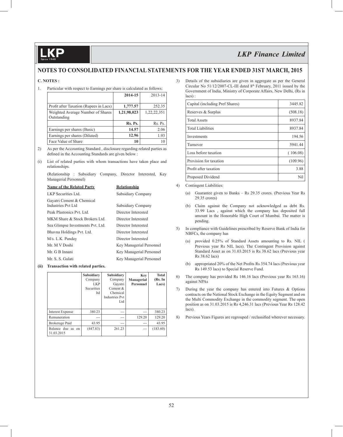### **NOTES TO CONSOLIDATED FINANCIAL STATEMENTS FOR THE YEAR ENDED 31ST MARCH, 2015**

#### **C. NOTES :**

1. Particular with respect to Earnings per share is calculated as follows:

|                                        | 2014-15     | 2013-14     |
|----------------------------------------|-------------|-------------|
|                                        |             |             |
| Profit after Taxation (Rupees in Lacs) | 1,777.57    | 252.35      |
| Weighted Average Number of Shares      | 1,21,98,023 | 1,22,22,351 |
| Outstanding                            |             |             |
|                                        | Rs. Ps.     | Rs. Ps.     |
| Earnings per shares (Basic)            | 14.57       | 2.06        |
| Earnings per shares (Diluted)          | 12.96       | 1.93        |
| Face Value of Share                    | 10          | 10          |

- 2) As per the Accounting Standard , disclosure regarding related parties as defined in the Accounting Standards are given below :
- (i) List of related parties with whom transactions have taken place and relationships.

 (Relationship : Subsidiary Company, Director Interested, Key Managerial Personnel)

| <b>Name of the Related Party</b>                | <b>Relationship</b>      |
|-------------------------------------------------|--------------------------|
| LKP Securities Ltd.                             | Subsidiary Company       |
| Gayatri Cement & Chemical<br>Industries Pvt Ltd | Subsidiary Company       |
| Peak Plastonics Pvt. Ltd.                       | Director Interested      |
| MKM Share & Stock Brokers Ltd.                  | Director Interested      |
| Sea Glimpse Investments Pvt. Ltd.               | Director Interested      |
| Bhavna Holdings Pvt. Ltd.                       | Director Interested      |
| M/s. L.K. Panday                                | Director Interested      |
| Mr. M V Doshi                                   | Key Managerial Personnel |
| Mr. G B Innani                                  | Key Managerial Personnel |
| Mr. S. S. Gulati                                | Key Managerial Personnel |
|                                                 |                          |

#### **(ii) Transaction with related parties.**

|                                 | Subsidiary<br>Company<br><b>LKP</b><br><b>Securities</b><br>ltd | Subsidiary<br>Company<br>Gayatri<br>Cement $\&$<br>Chemical<br><b>Industries Pyt</b><br>Ltd | Key<br>Managerial<br>Personnel | <b>Total</b><br>(Rs. In<br>Lacs) |
|---------------------------------|-----------------------------------------------------------------|---------------------------------------------------------------------------------------------|--------------------------------|----------------------------------|
| <b>Interest Expense</b>         | 380.23                                                          | ---                                                                                         |                                | 380.23                           |
| Remuneration                    | ---                                                             | ---                                                                                         | 129.20                         | 129.20                           |
| Brokerage Paid                  | 43.95                                                           | ---                                                                                         | ---                            | 43.95                            |
| Balance due as on<br>31.03.2015 | (447.83)                                                        | 261.23                                                                                      | ---                            | (183.60)                         |

3) Details of the subsidiaries are given in aggregate as per the General Circular No  $51/12/2007$ -CL-III dated  $8<sup>th</sup>$  February, 2011 issued by the Government of India, Ministry of Corporate Affairs, New Delhi, (Rs in lacs) :

| Capital (including Pref Shares) | 3445.82  |
|---------------------------------|----------|
| Reserves & Surplus              | (508.18) |
| <b>Total Assets</b>             | 8937.84  |
| <b>Total Liabilities</b>        | 8937.84  |
| Investments                     | 194.56   |
| Turnover                        | 5941.44  |
| Loss before taxation            | (106.08) |
| Provision for taxation          | (109.96) |
| Profit after taxation           | 3.88     |
| Proposed Dividend               | Nil      |

- 4) Contingent Liabilities:
	- (a) Guarantee given to Banks Rs 29.35 crores. (Previous Year Rs 29.35 crores)
	- (b) Claim against the Company not acknowledged as debt Rs. 33.99 Lacs , against which the company has deposited full amount in the Honorable High Court of Mumbai. The matter is pending.
- 5) In compliance with Guidelines prescribed by Reserve Bank of India for NBFCs, the company has
	- (a) provided 0.25% of Standard Assets amounting to Rs. NIL ( Previous year Rs NIL lacs). The Contingent Provision against Standard Asset as on 31.03.2015 is Rs 38.62 lacs (Previous year Rs 38.62 lacs)
	- (b) appropriated 20% of the Net Profits Rs  $354.74$  lacs (Previous year Rs 149.53 lacs) to Special Reserve Fund.
- 6) The company has provided Rs 146.16 lacs (Previous year Rs 163.16) against NPAs
- 7) During the year the company has entered into Futures & Options contracts on the National Stock Exchange in the Equity Segment and on the Multi Commodity Exchange in the commodity segment. The open position as on 31.03.2015 is Rs 4,246.31 lacs (Previous Year Rs 128.42 lacs).
- 8) Previous Years Figures are regrouped / reclassified wherever necessary.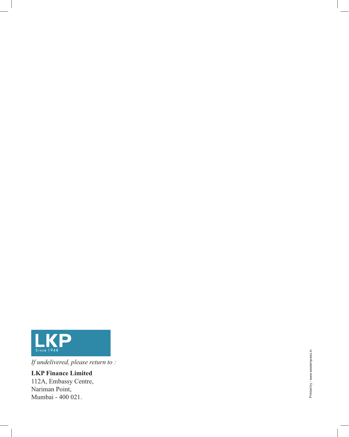

*If undelivered, please return to :*

**LKP Finance Limited** 112A, Embassy Centre, Nariman Point, Mumbai - 400 021.